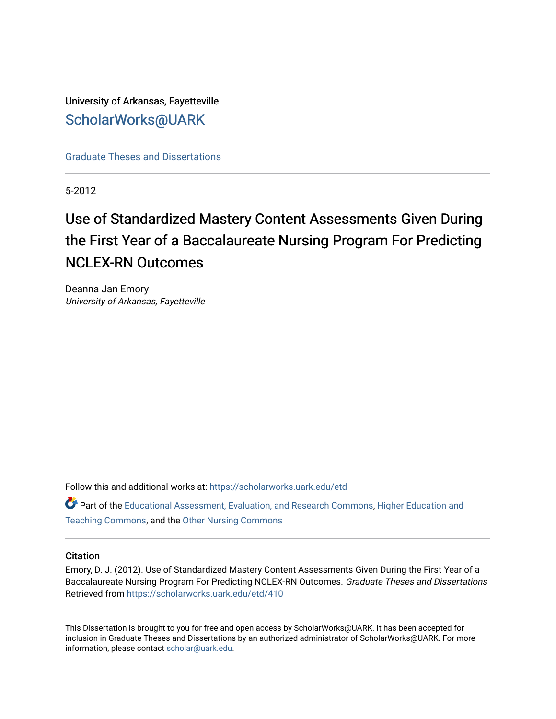University of Arkansas, Fayetteville [ScholarWorks@UARK](https://scholarworks.uark.edu/) 

[Graduate Theses and Dissertations](https://scholarworks.uark.edu/etd) 

5-2012

# Use of Standardized Mastery Content Assessments Given During the First Year of a Baccalaureate Nursing Program For Predicting NCLEX-RN Outcomes

Deanna Jan Emory University of Arkansas, Fayetteville

Follow this and additional works at: [https://scholarworks.uark.edu/etd](https://scholarworks.uark.edu/etd?utm_source=scholarworks.uark.edu%2Fetd%2F410&utm_medium=PDF&utm_campaign=PDFCoverPages)

Part of the [Educational Assessment, Evaluation, and Research Commons](http://network.bepress.com/hgg/discipline/796?utm_source=scholarworks.uark.edu%2Fetd%2F410&utm_medium=PDF&utm_campaign=PDFCoverPages), [Higher Education and](http://network.bepress.com/hgg/discipline/806?utm_source=scholarworks.uark.edu%2Fetd%2F410&utm_medium=PDF&utm_campaign=PDFCoverPages)  [Teaching Commons](http://network.bepress.com/hgg/discipline/806?utm_source=scholarworks.uark.edu%2Fetd%2F410&utm_medium=PDF&utm_campaign=PDFCoverPages), and the [Other Nursing Commons](http://network.bepress.com/hgg/discipline/729?utm_source=scholarworks.uark.edu%2Fetd%2F410&utm_medium=PDF&utm_campaign=PDFCoverPages)

# **Citation**

Emory, D. J. (2012). Use of Standardized Mastery Content Assessments Given During the First Year of a Baccalaureate Nursing Program For Predicting NCLEX-RN Outcomes. Graduate Theses and Dissertations Retrieved from [https://scholarworks.uark.edu/etd/410](https://scholarworks.uark.edu/etd/410?utm_source=scholarworks.uark.edu%2Fetd%2F410&utm_medium=PDF&utm_campaign=PDFCoverPages)

This Dissertation is brought to you for free and open access by ScholarWorks@UARK. It has been accepted for inclusion in Graduate Theses and Dissertations by an authorized administrator of ScholarWorks@UARK. For more information, please contact [scholar@uark.edu.](mailto:scholar@uark.edu)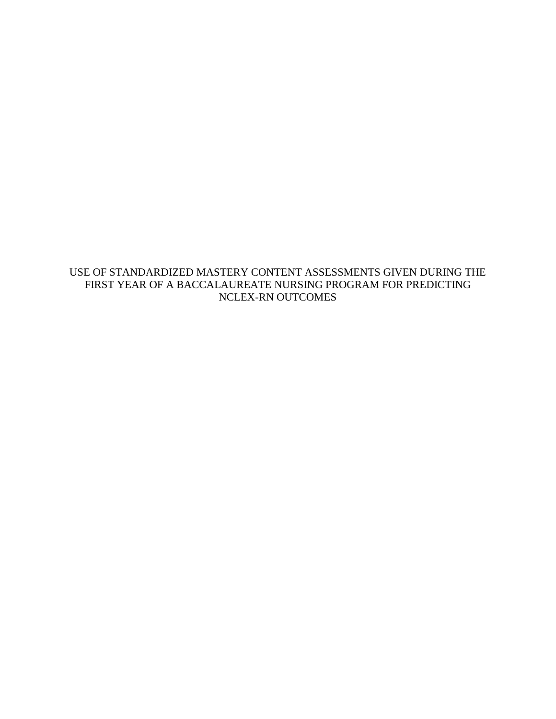USE OF STANDARDIZED MASTERY CONTENT ASSESSMENTS GIVEN DURING THE FIRST YEAR OF A BACCALAUREATE NURSING PROGRAM FOR PREDICTING NCLEX-RN OUTCOMES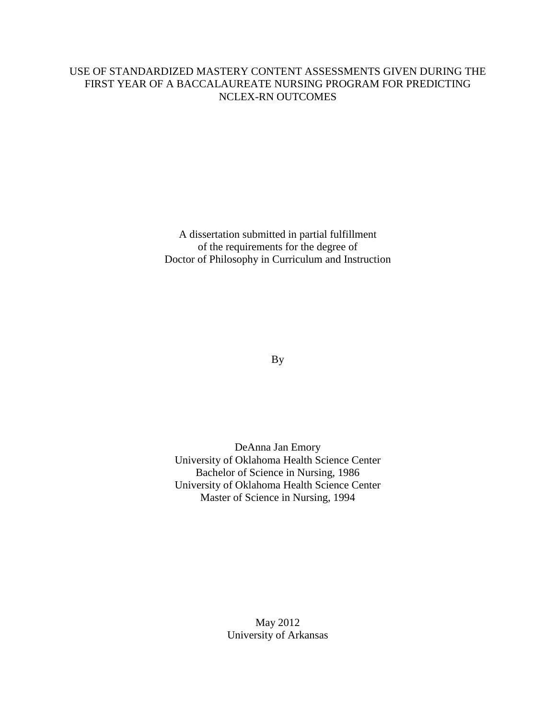# USE OF STANDARDIZED MASTERY CONTENT ASSESSMENTS GIVEN DURING THE FIRST YEAR OF A BACCALAUREATE NURSING PROGRAM FOR PREDICTING NCLEX-RN OUTCOMES

A dissertation submitted in partial fulfillment of the requirements for the degree of Doctor of Philosophy in Curriculum and Instruction

By

DeAnna Jan Emory University of Oklahoma Health Science Center Bachelor of Science in Nursing, 1986 University of Oklahoma Health Science Center Master of Science in Nursing, 1994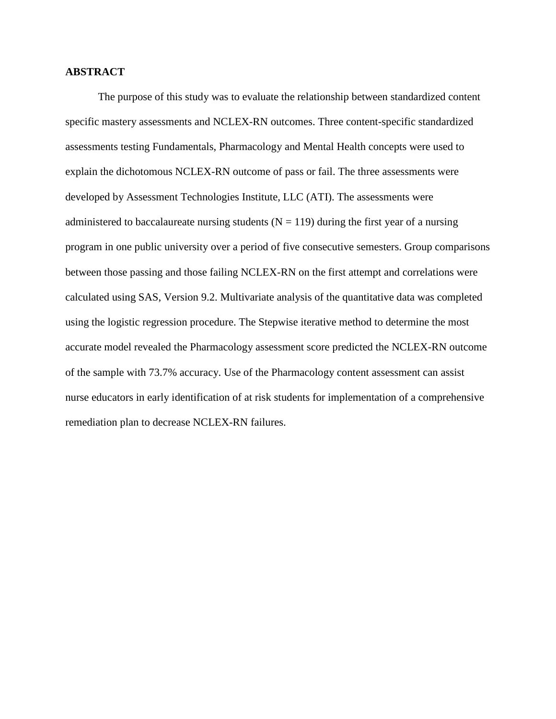#### **ABSTRACT**

 The purpose of this study was to evaluate the relationship between standardized content specific mastery assessments and NCLEX-RN outcomes. Three content-specific standardized assessments testing Fundamentals, Pharmacology and Mental Health concepts were used to explain the dichotomous NCLEX-RN outcome of pass or fail. The three assessments were developed by Assessment Technologies Institute, LLC (ATI). The assessments were administered to baccalaureate nursing students ( $N = 119$ ) during the first year of a nursing program in one public university over a period of five consecutive semesters. Group comparisons between those passing and those failing NCLEX-RN on the first attempt and correlations were calculated using SAS, Version 9.2. Multivariate analysis of the quantitative data was completed using the logistic regression procedure. The Stepwise iterative method to determine the most accurate model revealed the Pharmacology assessment score predicted the NCLEX-RN outcome of the sample with 73.7% accuracy. Use of the Pharmacology content assessment can assist nurse educators in early identification of at risk students for implementation of a comprehensive remediation plan to decrease NCLEX-RN failures.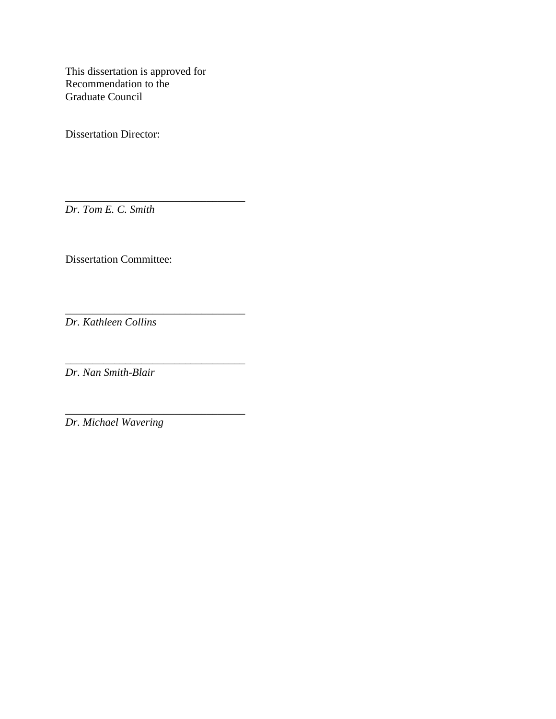This dissertation is approved for Recommendation to the Graduate Council

\_\_\_\_\_\_\_\_\_\_\_\_\_\_\_\_\_\_\_\_\_\_\_\_\_\_\_\_\_\_\_\_\_

\_\_\_\_\_\_\_\_\_\_\_\_\_\_\_\_\_\_\_\_\_\_\_\_\_\_\_\_\_\_\_\_\_

Dissertation Director:

*Dr. Tom E. C. Smith* 

Dissertation Committee:

\_\_\_\_\_\_\_\_\_\_\_\_\_\_\_\_\_\_\_\_\_\_\_\_\_\_\_\_\_\_\_\_\_ *Dr. Kathleen Collins* 

\_\_\_\_\_\_\_\_\_\_\_\_\_\_\_\_\_\_\_\_\_\_\_\_\_\_\_\_\_\_\_\_\_ *Dr. Nan Smith-Blair* 

*Dr. Michael Wavering*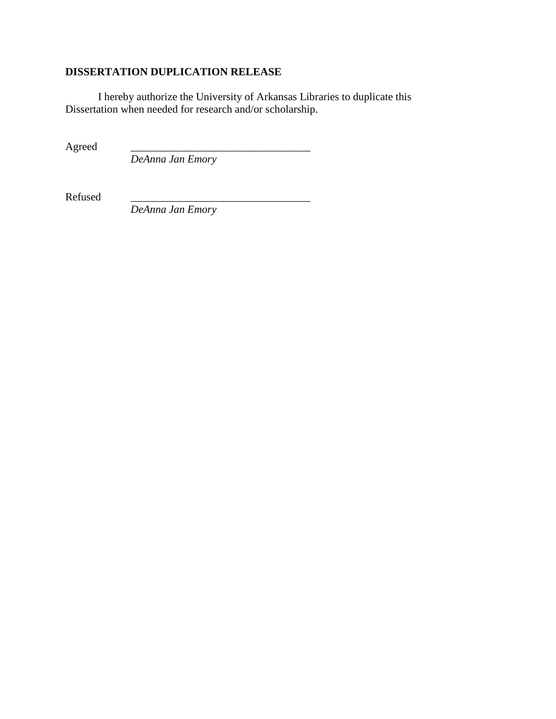# **DISSERTATION DUPLICATION RELEASE**

 I hereby authorize the University of Arkansas Libraries to duplicate this Dissertation when needed for research and/or scholarship.

Agreed \_\_\_\_\_\_\_\_\_\_\_\_\_\_\_\_\_\_\_\_\_\_\_\_\_\_\_\_\_\_\_\_\_

*DeAnna Jan Emory* 

Refused \_\_\_\_\_\_\_\_\_\_\_\_\_\_\_\_\_\_\_\_\_\_\_\_\_\_\_\_\_\_\_\_\_

*DeAnna Jan Emory*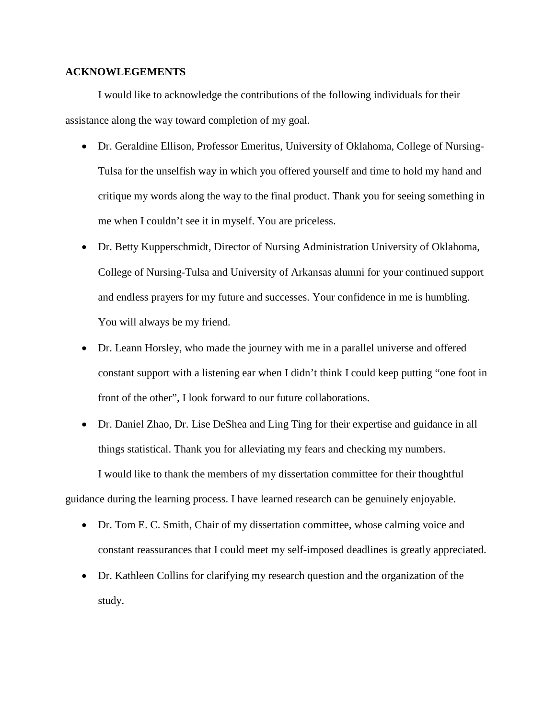## **ACKNOWLEGEMENTS**

 I would like to acknowledge the contributions of the following individuals for their assistance along the way toward completion of my goal.

- Dr. Geraldine Ellison, Professor Emeritus, University of Oklahoma, College of Nursing-Tulsa for the unselfish way in which you offered yourself and time to hold my hand and critique my words along the way to the final product. Thank you for seeing something in me when I couldn't see it in myself. You are priceless.
- Dr. Betty Kupperschmidt, Director of Nursing Administration University of Oklahoma, College of Nursing-Tulsa and University of Arkansas alumni for your continued support and endless prayers for my future and successes. Your confidence in me is humbling. You will always be my friend.
- Dr. Leann Horsley, who made the journey with me in a parallel universe and offered constant support with a listening ear when I didn't think I could keep putting "one foot in front of the other", I look forward to our future collaborations.
- Dr. Daniel Zhao, Dr. Lise DeShea and Ling Ting for their expertise and guidance in all things statistical. Thank you for alleviating my fears and checking my numbers. I would like to thank the members of my dissertation committee for their thoughtful guidance during the learning process. I have learned research can be genuinely enjoyable.
	- Dr. Tom E. C. Smith, Chair of my dissertation committee, whose calming voice and constant reassurances that I could meet my self-imposed deadlines is greatly appreciated.
	- Dr. Kathleen Collins for clarifying my research question and the organization of the study.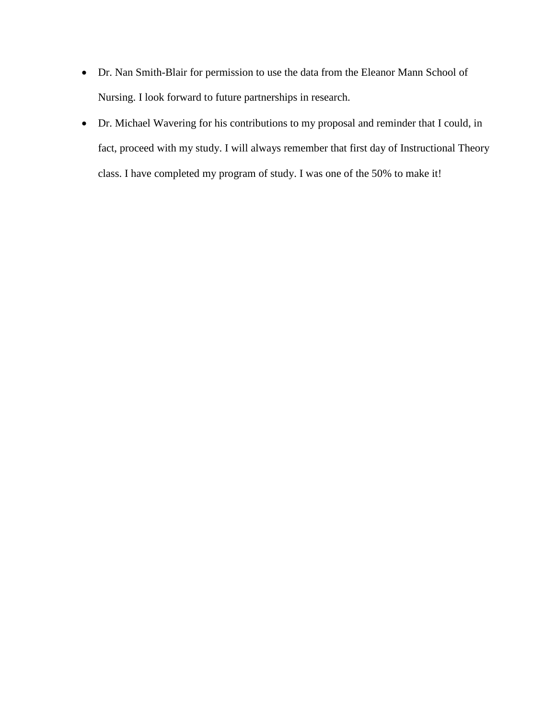- Dr. Nan Smith-Blair for permission to use the data from the Eleanor Mann School of Nursing. I look forward to future partnerships in research.
- Dr. Michael Wavering for his contributions to my proposal and reminder that I could, in fact, proceed with my study. I will always remember that first day of Instructional Theory class. I have completed my program of study. I was one of the 50% to make it!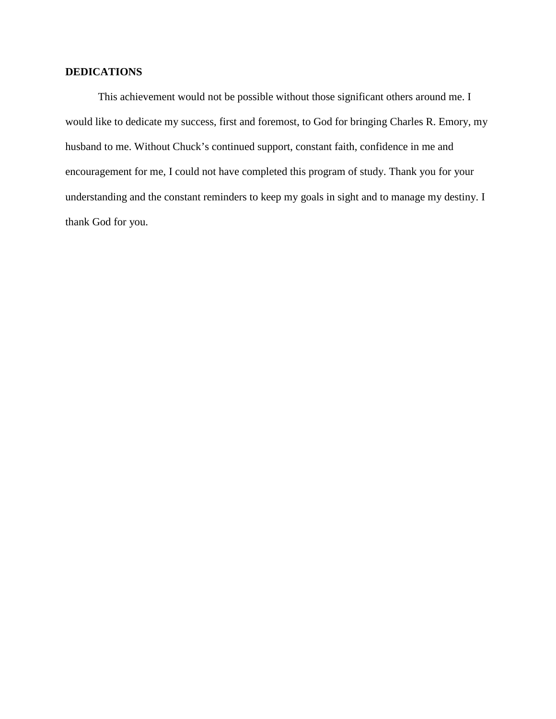# **DEDICATIONS**

 This achievement would not be possible without those significant others around me. I would like to dedicate my success, first and foremost, to God for bringing Charles R. Emory, my husband to me. Without Chuck's continued support, constant faith, confidence in me and encouragement for me, I could not have completed this program of study. Thank you for your understanding and the constant reminders to keep my goals in sight and to manage my destiny. I thank God for you.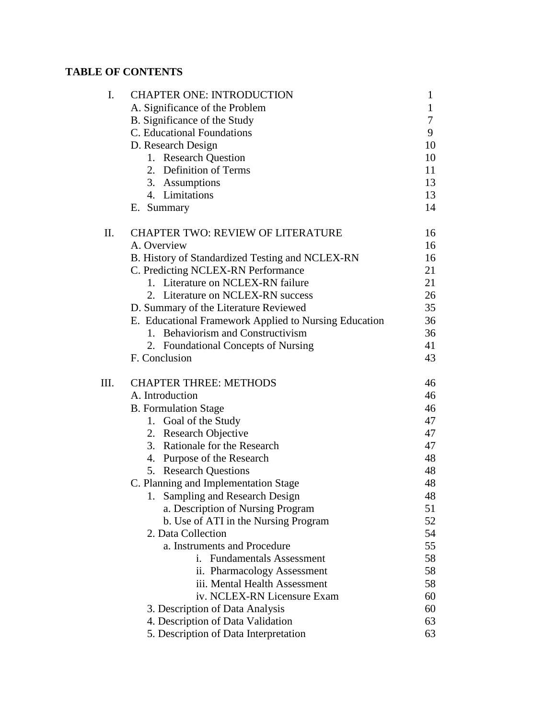# **TABLE OF CONTENTS**

| I.   | <b>CHAPTER ONE: INTRODUCTION</b>                      | 1            |
|------|-------------------------------------------------------|--------------|
|      | A. Significance of the Problem                        | $\mathbf{1}$ |
|      | B. Significance of the Study                          | 7            |
|      | C. Educational Foundations                            | 9            |
|      | D. Research Design                                    | 10           |
|      | 1. Research Question                                  | 10           |
|      | 2. Definition of Terms                                | 11           |
|      | 3. Assumptions                                        | 13           |
|      | 4. Limitations                                        | 13           |
|      | E. Summary                                            | 14           |
| П.   | <b>CHAPTER TWO: REVIEW OF LITERATURE</b>              | 16           |
|      | A. Overview                                           | 16           |
|      | B. History of Standardized Testing and NCLEX-RN       | 16           |
|      | C. Predicting NCLEX-RN Performance                    | 21           |
|      | 1. Literature on NCLEX-RN failure                     | 21           |
|      | 2. Literature on NCLEX-RN success                     | 26           |
|      | D. Summary of the Literature Reviewed                 | 35           |
|      | E. Educational Framework Applied to Nursing Education | 36           |
|      | 1. Behaviorism and Constructivism                     | 36           |
|      | 2. Foundational Concepts of Nursing                   | 41           |
|      | F. Conclusion                                         | 43           |
| III. | <b>CHAPTER THREE: METHODS</b>                         | 46           |
|      | A. Introduction                                       | 46           |
|      | <b>B.</b> Formulation Stage                           | 46           |
|      | 1. Goal of the Study                                  | 47           |
|      | 2. Research Objective                                 | 47           |
|      | 3. Rationale for the Research                         | 47           |
|      | 4. Purpose of the Research                            | 48           |
|      | 5. Research Questions                                 | 48           |
|      | C. Planning and Implementation Stage                  | 48           |
|      | 1. Sampling and Research Design                       | 48           |
|      | a. Description of Nursing Program                     | 51           |
|      | b. Use of ATI in the Nursing Program                  | 52           |
|      | 2. Data Collection                                    | 54           |
|      | a. Instruments and Procedure                          | 55           |
|      | <b>Fundamentals Assessment</b><br>i.                  | 58           |
|      | ii. Pharmacology Assessment                           | 58           |
|      | iii. Mental Health Assessment                         | 58           |
|      | iv. NCLEX-RN Licensure Exam                           | 60           |
|      | 3. Description of Data Analysis                       | 60           |
|      | 4. Description of Data Validation                     | 63           |
|      | 5. Description of Data Interpretation                 | 63           |
|      |                                                       |              |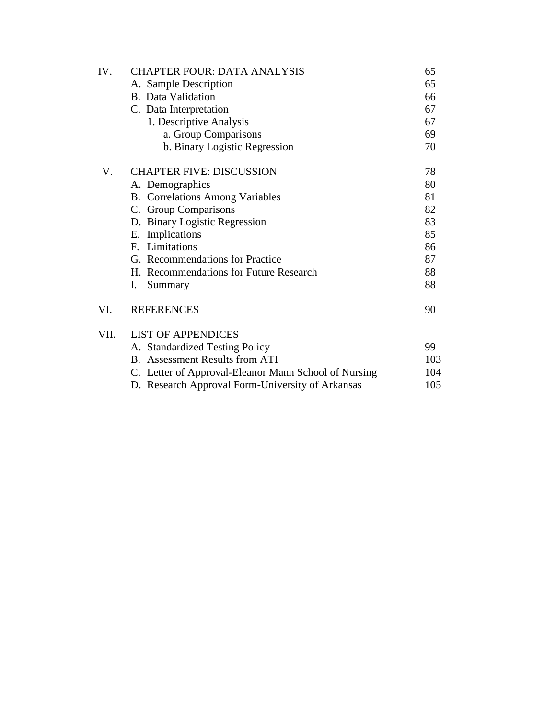| IV.  | <b>CHAPTER FOUR: DATA ANALYSIS</b>                   | 65  |
|------|------------------------------------------------------|-----|
|      | A. Sample Description                                | 65  |
|      | <b>B.</b> Data Validation                            | 66  |
|      | C. Data Interpretation                               | 67  |
|      | 1. Descriptive Analysis                              | 67  |
|      | a. Group Comparisons                                 | 69  |
|      | b. Binary Logistic Regression                        | 70  |
| V.   | <b>CHAPTER FIVE: DISCUSSION</b>                      | 78  |
|      | A. Demographics                                      | 80  |
|      | <b>B.</b> Correlations Among Variables               | 81  |
|      | C. Group Comparisons                                 | 82  |
|      | D. Binary Logistic Regression                        | 83  |
|      | E. Implications                                      | 85  |
|      | F. Limitations                                       | 86  |
|      | G. Recommendations for Practice                      | 87  |
|      | H. Recommendations for Future Research               | 88  |
|      | I.<br>Summary                                        | 88  |
| VI.  | <b>REFERENCES</b>                                    | 90  |
| VII. | <b>LIST OF APPENDICES</b>                            |     |
|      | A. Standardized Testing Policy                       | 99  |
|      | <b>B.</b> Assessment Results from ATI                | 103 |
|      | C. Letter of Approval-Eleanor Mann School of Nursing | 104 |
|      | D. Research Approval Form-University of Arkansas     | 105 |
|      |                                                      |     |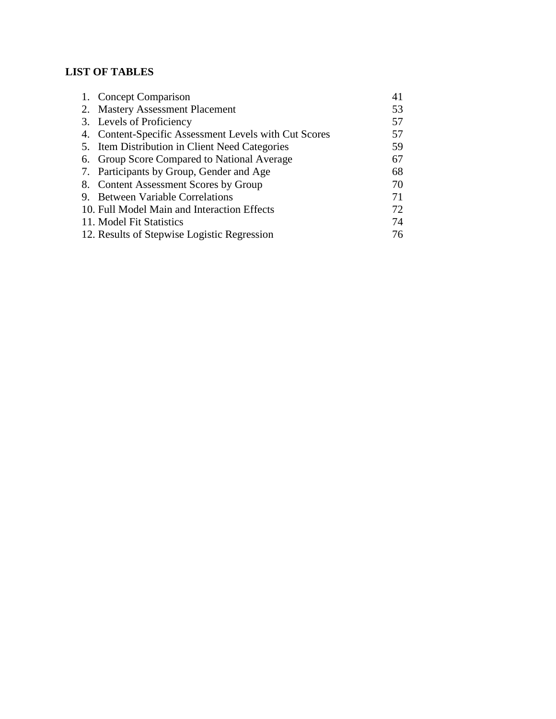# **LIST OF TABLES**

| 1. Concept Comparison                                 | 41 |
|-------------------------------------------------------|----|
| 2. Mastery Assessment Placement                       | 53 |
| 3. Levels of Proficiency                              | 57 |
| 4. Content-Specific Assessment Levels with Cut Scores | 57 |
| 5. Item Distribution in Client Need Categories        | 59 |
| 6. Group Score Compared to National Average           | 67 |
| 7. Participants by Group, Gender and Age              | 68 |
| 8. Content Assessment Scores by Group                 | 70 |
| 9. Between Variable Correlations                      | 71 |
| 10. Full Model Main and Interaction Effects           | 72 |
| 11. Model Fit Statistics                              | 74 |
| 12. Results of Stepwise Logistic Regression           | 76 |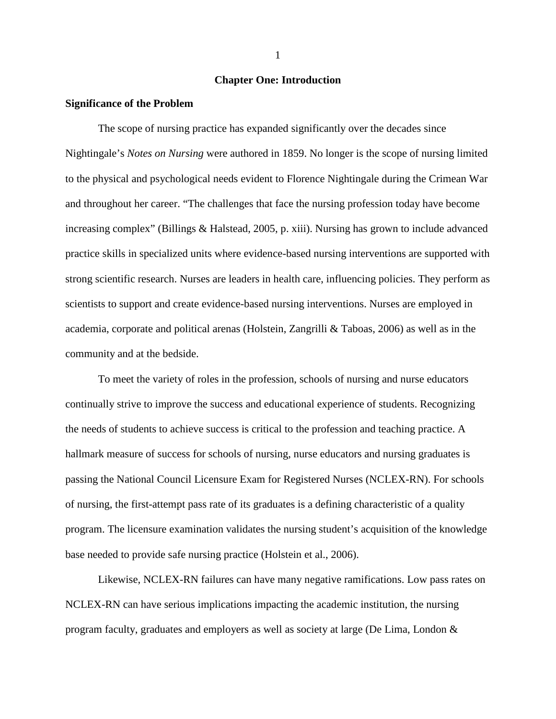# **Chapter One: Introduction**

#### **Significance of the Problem**

 The scope of nursing practice has expanded significantly over the decades since Nightingale's *Notes on Nursing* were authored in 1859. No longer is the scope of nursing limited to the physical and psychological needs evident to Florence Nightingale during the Crimean War and throughout her career. "The challenges that face the nursing profession today have become increasing complex" (Billings & Halstead, 2005, p. xiii). Nursing has grown to include advanced practice skills in specialized units where evidence-based nursing interventions are supported with strong scientific research. Nurses are leaders in health care, influencing policies. They perform as scientists to support and create evidence-based nursing interventions. Nurses are employed in academia, corporate and political arenas (Holstein, Zangrilli & Taboas, 2006) as well as in the community and at the bedside.

 To meet the variety of roles in the profession, schools of nursing and nurse educators continually strive to improve the success and educational experience of students. Recognizing the needs of students to achieve success is critical to the profession and teaching practice. A hallmark measure of success for schools of nursing, nurse educators and nursing graduates is passing the National Council Licensure Exam for Registered Nurses (NCLEX-RN). For schools of nursing, the first-attempt pass rate of its graduates is a defining characteristic of a quality program. The licensure examination validates the nursing student's acquisition of the knowledge base needed to provide safe nursing practice (Holstein et al., 2006).

 Likewise, NCLEX-RN failures can have many negative ramifications. Low pass rates on NCLEX-RN can have serious implications impacting the academic institution, the nursing program faculty, graduates and employers as well as society at large (De Lima, London &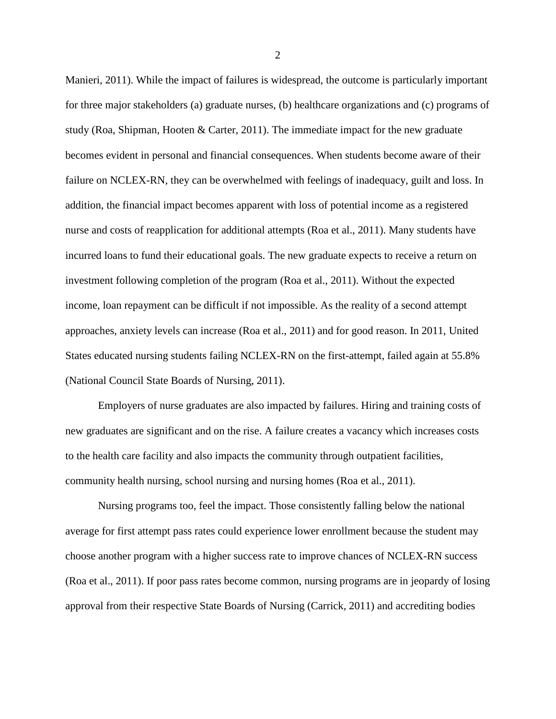Manieri, 2011). While the impact of failures is widespread, the outcome is particularly important for three major stakeholders (a) graduate nurses, (b) healthcare organizations and (c) programs of study (Roa, Shipman, Hooten & Carter, 2011). The immediate impact for the new graduate becomes evident in personal and financial consequences. When students become aware of their failure on NCLEX-RN, they can be overwhelmed with feelings of inadequacy, guilt and loss. In addition, the financial impact becomes apparent with loss of potential income as a registered nurse and costs of reapplication for additional attempts (Roa et al., 2011). Many students have incurred loans to fund their educational goals. The new graduate expects to receive a return on investment following completion of the program (Roa et al., 2011). Without the expected income, loan repayment can be difficult if not impossible. As the reality of a second attempt approaches, anxiety levels can increase (Roa et al., 2011) and for good reason. In 2011, United States educated nursing students failing NCLEX-RN on the first-attempt, failed again at 55.8% (National Council State Boards of Nursing, 2011).

 Employers of nurse graduates are also impacted by failures. Hiring and training costs of new graduates are significant and on the rise. A failure creates a vacancy which increases costs to the health care facility and also impacts the community through outpatient facilities, community health nursing, school nursing and nursing homes (Roa et al., 2011).

 Nursing programs too, feel the impact. Those consistently falling below the national average for first attempt pass rates could experience lower enrollment because the student may choose another program with a higher success rate to improve chances of NCLEX-RN success (Roa et al., 2011). If poor pass rates become common, nursing programs are in jeopardy of losing approval from their respective State Boards of Nursing (Carrick, 2011) and accrediting bodies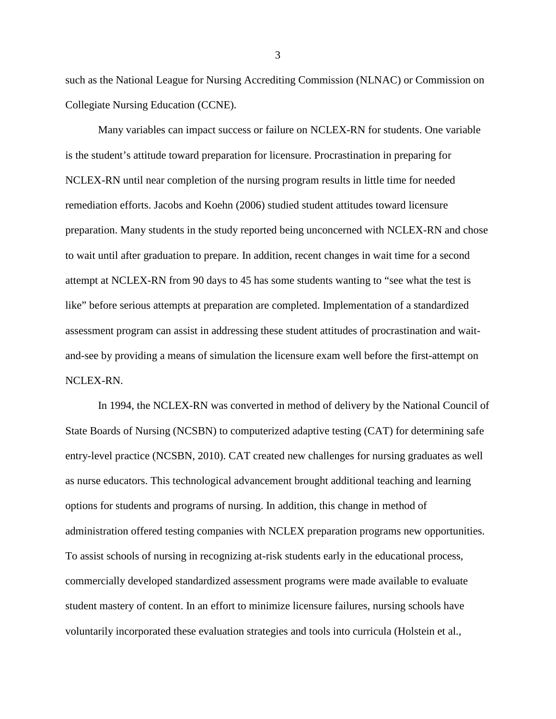such as the National League for Nursing Accrediting Commission (NLNAC) or Commission on Collegiate Nursing Education (CCNE).

 Many variables can impact success or failure on NCLEX-RN for students. One variable is the student's attitude toward preparation for licensure. Procrastination in preparing for NCLEX-RN until near completion of the nursing program results in little time for needed remediation efforts. Jacobs and Koehn (2006) studied student attitudes toward licensure preparation. Many students in the study reported being unconcerned with NCLEX-RN and chose to wait until after graduation to prepare. In addition, recent changes in wait time for a second attempt at NCLEX-RN from 90 days to 45 has some students wanting to "see what the test is like" before serious attempts at preparation are completed. Implementation of a standardized assessment program can assist in addressing these student attitudes of procrastination and waitand-see by providing a means of simulation the licensure exam well before the first-attempt on NCLEX-RN.

 In 1994, the NCLEX-RN was converted in method of delivery by the National Council of State Boards of Nursing (NCSBN) to computerized adaptive testing (CAT) for determining safe entry-level practice (NCSBN, 2010). CAT created new challenges for nursing graduates as well as nurse educators. This technological advancement brought additional teaching and learning options for students and programs of nursing. In addition, this change in method of administration offered testing companies with NCLEX preparation programs new opportunities. To assist schools of nursing in recognizing at-risk students early in the educational process, commercially developed standardized assessment programs were made available to evaluate student mastery of content. In an effort to minimize licensure failures, nursing schools have voluntarily incorporated these evaluation strategies and tools into curricula (Holstein et al.,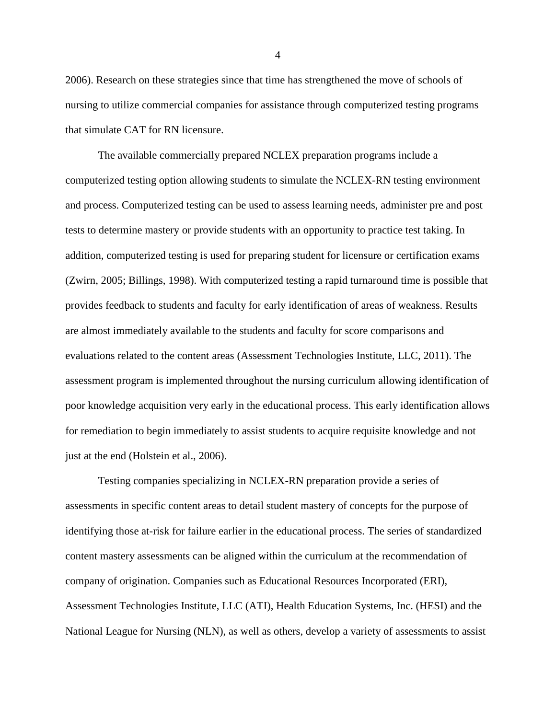2006). Research on these strategies since that time has strengthened the move of schools of nursing to utilize commercial companies for assistance through computerized testing programs that simulate CAT for RN licensure.

 The available commercially prepared NCLEX preparation programs include a computerized testing option allowing students to simulate the NCLEX-RN testing environment and process. Computerized testing can be used to assess learning needs, administer pre and post tests to determine mastery or provide students with an opportunity to practice test taking. In addition, computerized testing is used for preparing student for licensure or certification exams (Zwirn, 2005; Billings, 1998). With computerized testing a rapid turnaround time is possible that provides feedback to students and faculty for early identification of areas of weakness. Results are almost immediately available to the students and faculty for score comparisons and evaluations related to the content areas (Assessment Technologies Institute, LLC, 2011). The assessment program is implemented throughout the nursing curriculum allowing identification of poor knowledge acquisition very early in the educational process. This early identification allows for remediation to begin immediately to assist students to acquire requisite knowledge and not just at the end (Holstein et al., 2006).

 Testing companies specializing in NCLEX-RN preparation provide a series of assessments in specific content areas to detail student mastery of concepts for the purpose of identifying those at-risk for failure earlier in the educational process. The series of standardized content mastery assessments can be aligned within the curriculum at the recommendation of company of origination. Companies such as Educational Resources Incorporated (ERI), Assessment Technologies Institute, LLC (ATI), Health Education Systems, Inc. (HESI) and the National League for Nursing (NLN), as well as others, develop a variety of assessments to assist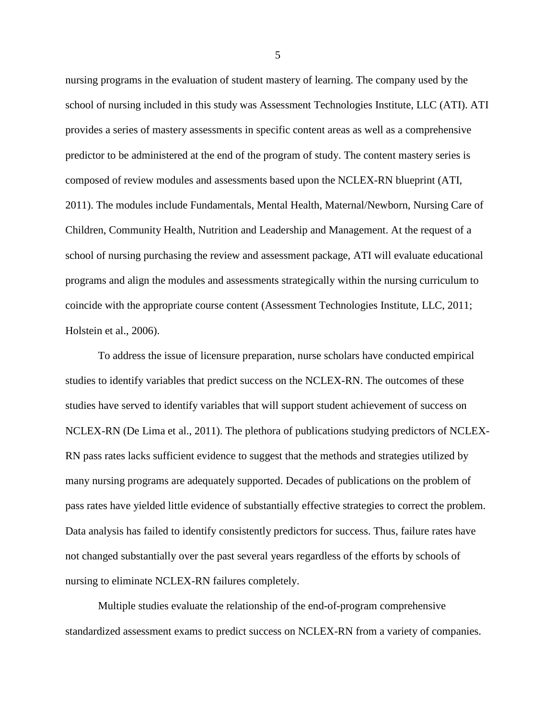nursing programs in the evaluation of student mastery of learning. The company used by the school of nursing included in this study was Assessment Technologies Institute, LLC (ATI). ATI provides a series of mastery assessments in specific content areas as well as a comprehensive predictor to be administered at the end of the program of study. The content mastery series is composed of review modules and assessments based upon the NCLEX-RN blueprint (ATI, 2011). The modules include Fundamentals, Mental Health, Maternal/Newborn, Nursing Care of Children, Community Health, Nutrition and Leadership and Management. At the request of a school of nursing purchasing the review and assessment package, ATI will evaluate educational programs and align the modules and assessments strategically within the nursing curriculum to coincide with the appropriate course content (Assessment Technologies Institute, LLC, 2011; Holstein et al., 2006).

 To address the issue of licensure preparation, nurse scholars have conducted empirical studies to identify variables that predict success on the NCLEX-RN. The outcomes of these studies have served to identify variables that will support student achievement of success on NCLEX-RN (De Lima et al., 2011). The plethora of publications studying predictors of NCLEX-RN pass rates lacks sufficient evidence to suggest that the methods and strategies utilized by many nursing programs are adequately supported. Decades of publications on the problem of pass rates have yielded little evidence of substantially effective strategies to correct the problem. Data analysis has failed to identify consistently predictors for success. Thus, failure rates have not changed substantially over the past several years regardless of the efforts by schools of nursing to eliminate NCLEX-RN failures completely.

 Multiple studies evaluate the relationship of the end-of-program comprehensive standardized assessment exams to predict success on NCLEX-RN from a variety of companies.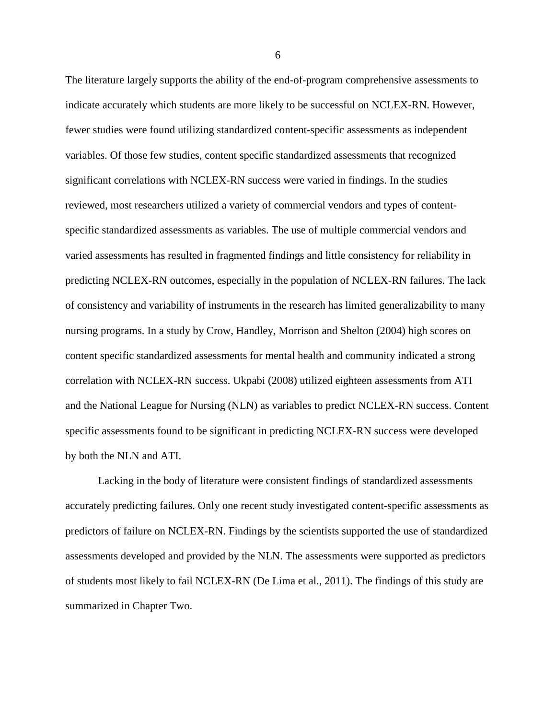The literature largely supports the ability of the end-of-program comprehensive assessments to indicate accurately which students are more likely to be successful on NCLEX-RN. However, fewer studies were found utilizing standardized content-specific assessments as independent variables. Of those few studies, content specific standardized assessments that recognized significant correlations with NCLEX-RN success were varied in findings. In the studies reviewed, most researchers utilized a variety of commercial vendors and types of contentspecific standardized assessments as variables. The use of multiple commercial vendors and varied assessments has resulted in fragmented findings and little consistency for reliability in predicting NCLEX-RN outcomes, especially in the population of NCLEX-RN failures. The lack of consistency and variability of instruments in the research has limited generalizability to many nursing programs. In a study by Crow, Handley, Morrison and Shelton (2004) high scores on content specific standardized assessments for mental health and community indicated a strong correlation with NCLEX-RN success. Ukpabi (2008) utilized eighteen assessments from ATI and the National League for Nursing (NLN) as variables to predict NCLEX-RN success. Content specific assessments found to be significant in predicting NCLEX-RN success were developed by both the NLN and ATI.

 Lacking in the body of literature were consistent findings of standardized assessments accurately predicting failures. Only one recent study investigated content-specific assessments as predictors of failure on NCLEX-RN. Findings by the scientists supported the use of standardized assessments developed and provided by the NLN. The assessments were supported as predictors of students most likely to fail NCLEX-RN (De Lima et al., 2011). The findings of this study are summarized in Chapter Two.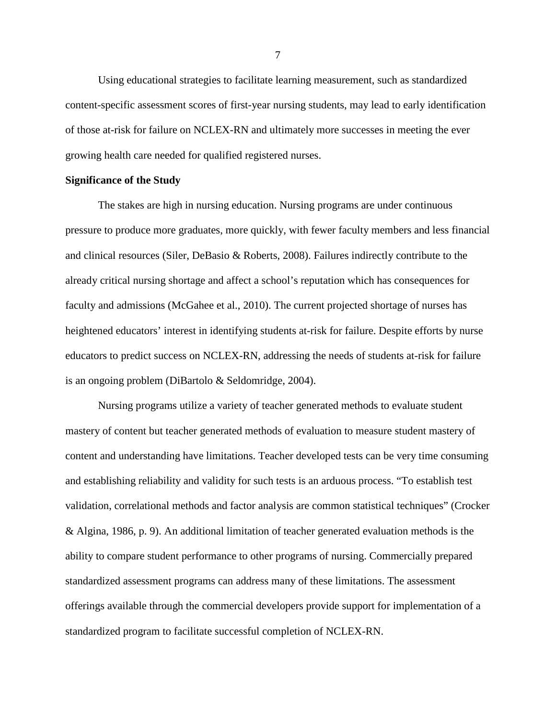Using educational strategies to facilitate learning measurement, such as standardized content-specific assessment scores of first-year nursing students, may lead to early identification of those at-risk for failure on NCLEX-RN and ultimately more successes in meeting the ever growing health care needed for qualified registered nurses.

#### **Significance of the Study**

 The stakes are high in nursing education. Nursing programs are under continuous pressure to produce more graduates, more quickly, with fewer faculty members and less financial and clinical resources (Siler, DeBasio & Roberts, 2008). Failures indirectly contribute to the already critical nursing shortage and affect a school's reputation which has consequences for faculty and admissions (McGahee et al., 2010). The current projected shortage of nurses has heightened educators' interest in identifying students at-risk for failure. Despite efforts by nurse educators to predict success on NCLEX-RN, addressing the needs of students at-risk for failure is an ongoing problem (DiBartolo & Seldomridge, 2004).

 Nursing programs utilize a variety of teacher generated methods to evaluate student mastery of content but teacher generated methods of evaluation to measure student mastery of content and understanding have limitations. Teacher developed tests can be very time consuming and establishing reliability and validity for such tests is an arduous process. "To establish test validation, correlational methods and factor analysis are common statistical techniques" (Crocker & Algina, 1986, p. 9). An additional limitation of teacher generated evaluation methods is the ability to compare student performance to other programs of nursing. Commercially prepared standardized assessment programs can address many of these limitations. The assessment offerings available through the commercial developers provide support for implementation of a standardized program to facilitate successful completion of NCLEX-RN.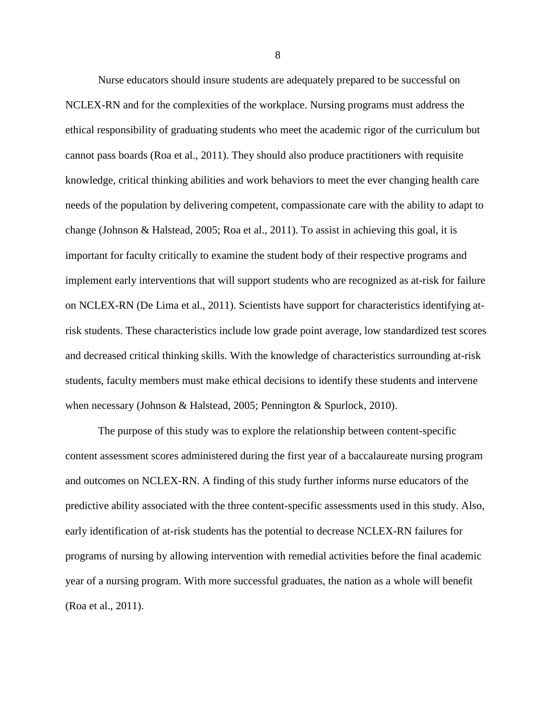Nurse educators should insure students are adequately prepared to be successful on NCLEX-RN and for the complexities of the workplace. Nursing programs must address the ethical responsibility of graduating students who meet the academic rigor of the curriculum but cannot pass boards (Roa et al., 2011). They should also produce practitioners with requisite knowledge, critical thinking abilities and work behaviors to meet the ever changing health care needs of the population by delivering competent, compassionate care with the ability to adapt to change (Johnson & Halstead, 2005; Roa et al., 2011). To assist in achieving this goal, it is important for faculty critically to examine the student body of their respective programs and implement early interventions that will support students who are recognized as at-risk for failure on NCLEX-RN (De Lima et al., 2011). Scientists have support for characteristics identifying atrisk students. These characteristics include low grade point average, low standardized test scores and decreased critical thinking skills. With the knowledge of characteristics surrounding at-risk students, faculty members must make ethical decisions to identify these students and intervene when necessary (Johnson & Halstead, 2005; Pennington & Spurlock, 2010).

 The purpose of this study was to explore the relationship between content-specific content assessment scores administered during the first year of a baccalaureate nursing program and outcomes on NCLEX-RN. A finding of this study further informs nurse educators of the predictive ability associated with the three content-specific assessments used in this study. Also, early identification of at-risk students has the potential to decrease NCLEX-RN failures for programs of nursing by allowing intervention with remedial activities before the final academic year of a nursing program. With more successful graduates, the nation as a whole will benefit (Roa et al., 2011).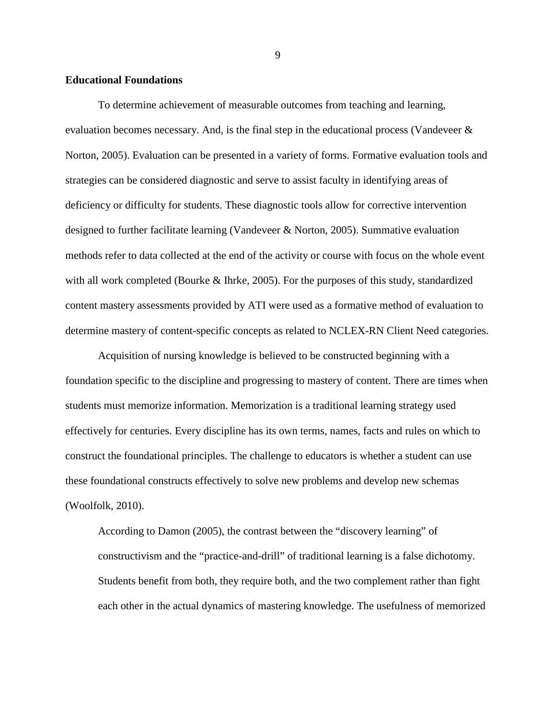# **Educational Foundations**

 To determine achievement of measurable outcomes from teaching and learning, evaluation becomes necessary. And, is the final step in the educational process (Vandeveer & Norton, 2005). Evaluation can be presented in a variety of forms. Formative evaluation tools and strategies can be considered diagnostic and serve to assist faculty in identifying areas of deficiency or difficulty for students. These diagnostic tools allow for corrective intervention designed to further facilitate learning (Vandeveer & Norton, 2005). Summative evaluation methods refer to data collected at the end of the activity or course with focus on the whole event with all work completed (Bourke & Ihrke, 2005). For the purposes of this study, standardized content mastery assessments provided by ATI were used as a formative method of evaluation to determine mastery of content-specific concepts as related to NCLEX-RN Client Need categories.

Acquisition of nursing knowledge is believed to be constructed beginning with a foundation specific to the discipline and progressing to mastery of content. There are times when students must memorize information. Memorization is a traditional learning strategy used effectively for centuries. Every discipline has its own terms, names, facts and rules on which to construct the foundational principles. The challenge to educators is whether a student can use these foundational constructs effectively to solve new problems and develop new schemas (Woolfolk, 2010).

According to Damon (2005), the contrast between the "discovery learning" of constructivism and the "practice-and-drill" of traditional learning is a false dichotomy. Students benefit from both, they require both, and the two complement rather than fight each other in the actual dynamics of mastering knowledge. The usefulness of memorized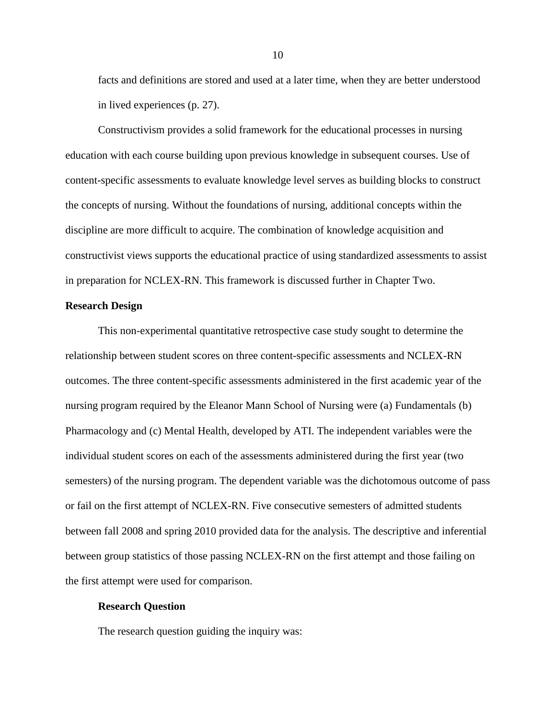facts and definitions are stored and used at a later time, when they are better understood in lived experiences (p. 27).

Constructivism provides a solid framework for the educational processes in nursing education with each course building upon previous knowledge in subsequent courses. Use of content-specific assessments to evaluate knowledge level serves as building blocks to construct the concepts of nursing. Without the foundations of nursing, additional concepts within the discipline are more difficult to acquire. The combination of knowledge acquisition and constructivist views supports the educational practice of using standardized assessments to assist in preparation for NCLEX-RN. This framework is discussed further in Chapter Two.

#### **Research Design**

 This non-experimental quantitative retrospective case study sought to determine the relationship between student scores on three content-specific assessments and NCLEX-RN outcomes. The three content-specific assessments administered in the first academic year of the nursing program required by the Eleanor Mann School of Nursing were (a) Fundamentals (b) Pharmacology and (c) Mental Health, developed by ATI. The independent variables were the individual student scores on each of the assessments administered during the first year (two semesters) of the nursing program. The dependent variable was the dichotomous outcome of pass or fail on the first attempt of NCLEX-RN. Five consecutive semesters of admitted students between fall 2008 and spring 2010 provided data for the analysis. The descriptive and inferential between group statistics of those passing NCLEX-RN on the first attempt and those failing on the first attempt were used for comparison.

#### **Research Question**

The research question guiding the inquiry was: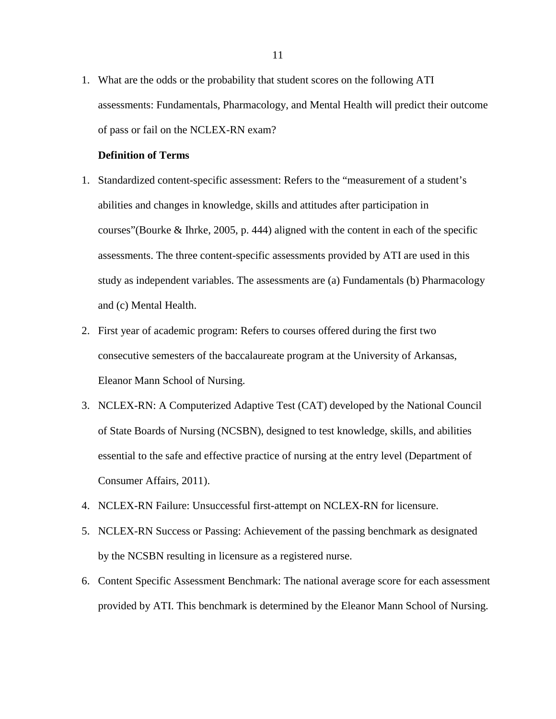1. What are the odds or the probability that student scores on the following ATI assessments: Fundamentals, Pharmacology, and Mental Health will predict their outcome of pass or fail on the NCLEX-RN exam?

# **Definition of Terms**

- 1. Standardized content-specific assessment: Refers to the "measurement of a student's abilities and changes in knowledge, skills and attitudes after participation in courses"(Bourke & Ihrke, 2005, p. 444) aligned with the content in each of the specific assessments. The three content-specific assessments provided by ATI are used in this study as independent variables. The assessments are (a) Fundamentals (b) Pharmacology and (c) Mental Health.
- 2. First year of academic program: Refers to courses offered during the first two consecutive semesters of the baccalaureate program at the University of Arkansas, Eleanor Mann School of Nursing.
- 3. NCLEX-RN: A Computerized Adaptive Test (CAT) developed by the National Council of State Boards of Nursing (NCSBN), designed to test knowledge, skills, and abilities essential to the safe and effective practice of nursing at the entry level (Department of Consumer Affairs, 2011).
- 4. NCLEX-RN Failure: Unsuccessful first-attempt on NCLEX-RN for licensure.
- 5. NCLEX-RN Success or Passing: Achievement of the passing benchmark as designated by the NCSBN resulting in licensure as a registered nurse.
- 6. Content Specific Assessment Benchmark: The national average score for each assessment provided by ATI. This benchmark is determined by the Eleanor Mann School of Nursing.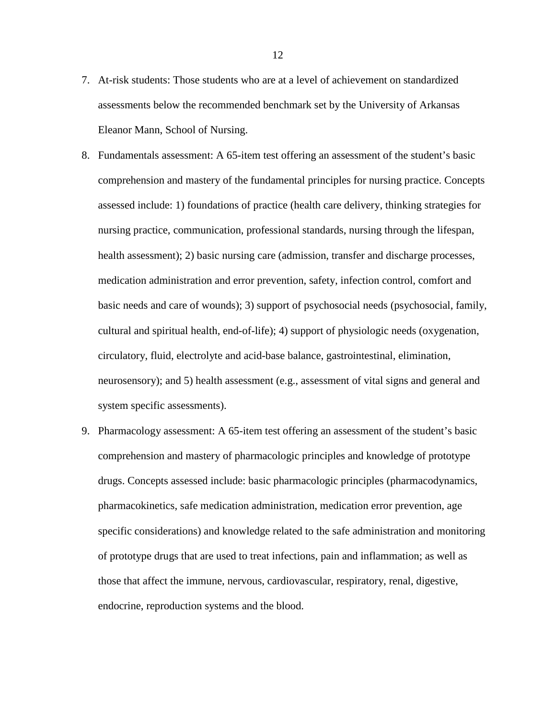- 7. At-risk students: Those students who are at a level of achievement on standardized assessments below the recommended benchmark set by the University of Arkansas Eleanor Mann, School of Nursing.
- 8. Fundamentals assessment: A 65-item test offering an assessment of the student's basic comprehension and mastery of the fundamental principles for nursing practice. Concepts assessed include: 1) foundations of practice (health care delivery, thinking strategies for nursing practice, communication, professional standards, nursing through the lifespan, health assessment); 2) basic nursing care (admission, transfer and discharge processes, medication administration and error prevention, safety, infection control, comfort and basic needs and care of wounds); 3) support of psychosocial needs (psychosocial, family, cultural and spiritual health, end-of-life); 4) support of physiologic needs (oxygenation, circulatory, fluid, electrolyte and acid-base balance, gastrointestinal, elimination, neurosensory); and 5) health assessment (e.g., assessment of vital signs and general and system specific assessments).
- 9. Pharmacology assessment: A 65-item test offering an assessment of the student's basic comprehension and mastery of pharmacologic principles and knowledge of prototype drugs. Concepts assessed include: basic pharmacologic principles (pharmacodynamics, pharmacokinetics, safe medication administration, medication error prevention, age specific considerations) and knowledge related to the safe administration and monitoring of prototype drugs that are used to treat infections, pain and inflammation; as well as those that affect the immune, nervous, cardiovascular, respiratory, renal, digestive, endocrine, reproduction systems and the blood.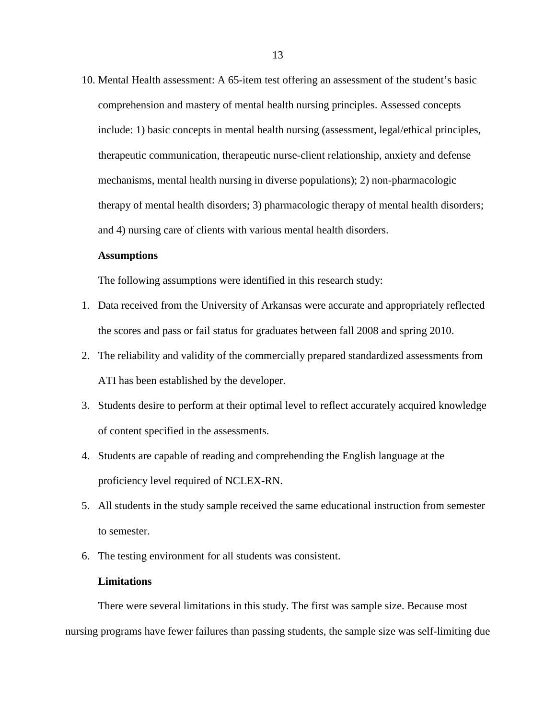10. Mental Health assessment: A 65-item test offering an assessment of the student's basic comprehension and mastery of mental health nursing principles. Assessed concepts include: 1) basic concepts in mental health nursing (assessment, legal/ethical principles, therapeutic communication, therapeutic nurse-client relationship, anxiety and defense mechanisms, mental health nursing in diverse populations); 2) non-pharmacologic therapy of mental health disorders; 3) pharmacologic therapy of mental health disorders; and 4) nursing care of clients with various mental health disorders.

# **Assumptions**

The following assumptions were identified in this research study:

- 1. Data received from the University of Arkansas were accurate and appropriately reflected the scores and pass or fail status for graduates between fall 2008 and spring 2010.
- 2. The reliability and validity of the commercially prepared standardized assessments from ATI has been established by the developer.
- 3. Students desire to perform at their optimal level to reflect accurately acquired knowledge of content specified in the assessments.
- 4. Students are capable of reading and comprehending the English language at the proficiency level required of NCLEX-RN.
- 5. All students in the study sample received the same educational instruction from semester to semester.
- 6. The testing environment for all students was consistent.

## **Limitations**

 There were several limitations in this study. The first was sample size. Because most nursing programs have fewer failures than passing students, the sample size was self-limiting due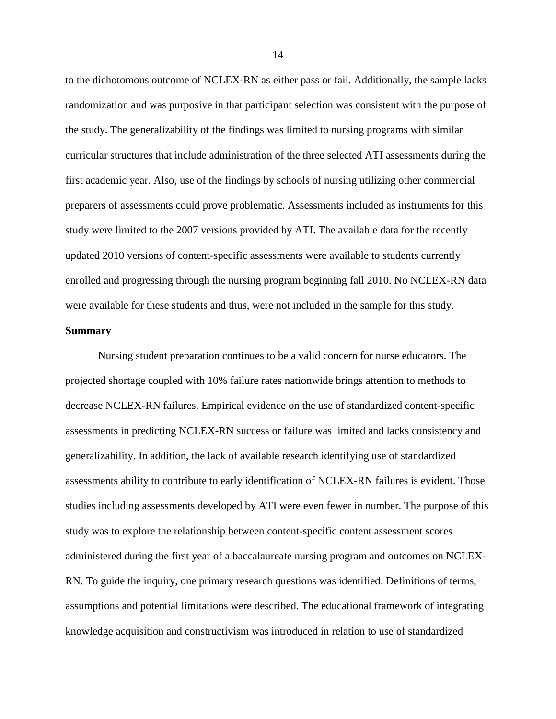to the dichotomous outcome of NCLEX-RN as either pass or fail. Additionally, the sample lacks randomization and was purposive in that participant selection was consistent with the purpose of the study. The generalizability of the findings was limited to nursing programs with similar curricular structures that include administration of the three selected ATI assessments during the first academic year. Also, use of the findings by schools of nursing utilizing other commercial preparers of assessments could prove problematic. Assessments included as instruments for this study were limited to the 2007 versions provided by ATI. The available data for the recently updated 2010 versions of content-specific assessments were available to students currently enrolled and progressing through the nursing program beginning fall 2010. No NCLEX-RN data were available for these students and thus, were not included in the sample for this study.

# **Summary**

Nursing student preparation continues to be a valid concern for nurse educators. The projected shortage coupled with 10% failure rates nationwide brings attention to methods to decrease NCLEX-RN failures. Empirical evidence on the use of standardized content-specific assessments in predicting NCLEX-RN success or failure was limited and lacks consistency and generalizability. In addition, the lack of available research identifying use of standardized assessments ability to contribute to early identification of NCLEX-RN failures is evident. Those studies including assessments developed by ATI were even fewer in number. The purpose of this study was to explore the relationship between content-specific content assessment scores administered during the first year of a baccalaureate nursing program and outcomes on NCLEX-RN. To guide the inquiry, one primary research questions was identified. Definitions of terms, assumptions and potential limitations were described. The educational framework of integrating knowledge acquisition and constructivism was introduced in relation to use of standardized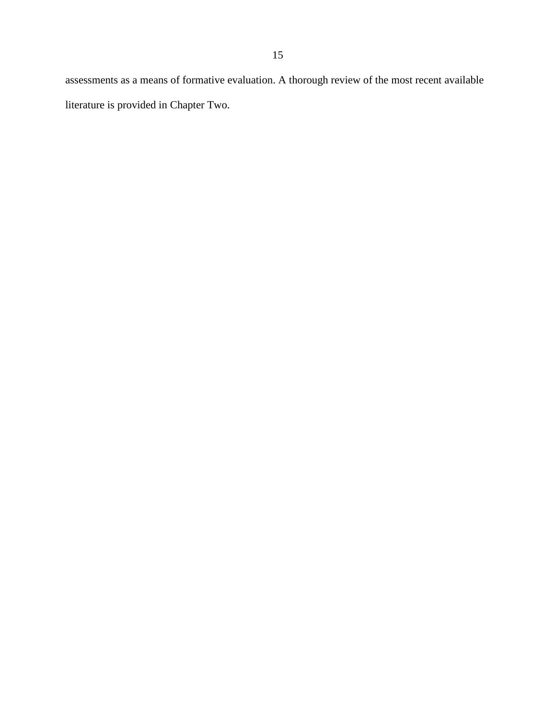assessments as a means of formative evaluation. A thorough review of the most recent available literature is provided in Chapter Two.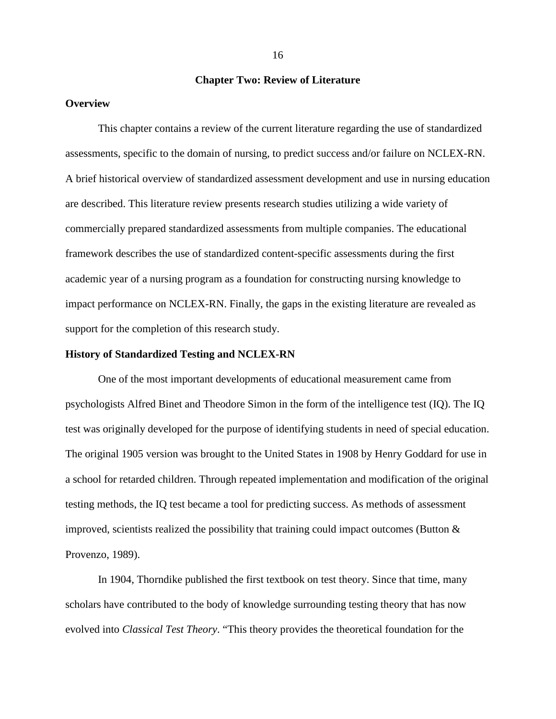## **Chapter Two: Review of Literature**

#### **Overview**

This chapter contains a review of the current literature regarding the use of standardized assessments, specific to the domain of nursing, to predict success and/or failure on NCLEX-RN. A brief historical overview of standardized assessment development and use in nursing education are described. This literature review presents research studies utilizing a wide variety of commercially prepared standardized assessments from multiple companies. The educational framework describes the use of standardized content-specific assessments during the first academic year of a nursing program as a foundation for constructing nursing knowledge to impact performance on NCLEX-RN. Finally, the gaps in the existing literature are revealed as support for the completion of this research study.

#### **History of Standardized Testing and NCLEX-RN**

 One of the most important developments of educational measurement came from psychologists Alfred Binet and Theodore Simon in the form of the intelligence test (IQ). The IQ test was originally developed for the purpose of identifying students in need of special education. The original 1905 version was brought to the United States in 1908 by Henry Goddard for use in a school for retarded children. Through repeated implementation and modification of the original testing methods, the IQ test became a tool for predicting success. As methods of assessment improved, scientists realized the possibility that training could impact outcomes (Button  $\&$ Provenzo, 1989).

 In 1904, Thorndike published the first textbook on test theory. Since that time, many scholars have contributed to the body of knowledge surrounding testing theory that has now evolved into *Classical Test Theory*. "This theory provides the theoretical foundation for the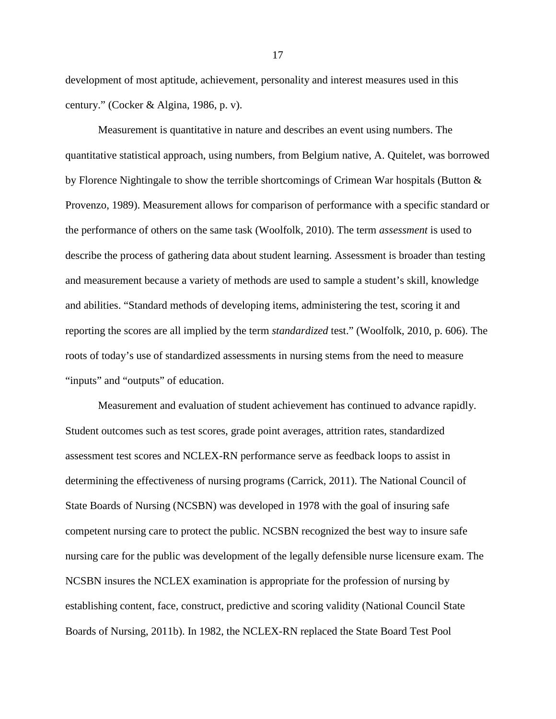development of most aptitude, achievement, personality and interest measures used in this century." (Cocker & Algina, 1986, p. v).

 Measurement is quantitative in nature and describes an event using numbers. The quantitative statistical approach, using numbers, from Belgium native, A. Quitelet, was borrowed by Florence Nightingale to show the terrible shortcomings of Crimean War hospitals (Button & Provenzo, 1989). Measurement allows for comparison of performance with a specific standard or the performance of others on the same task (Woolfolk, 2010). The term *assessment* is used to describe the process of gathering data about student learning. Assessment is broader than testing and measurement because a variety of methods are used to sample a student's skill, knowledge and abilities. "Standard methods of developing items, administering the test, scoring it and reporting the scores are all implied by the term *standardized* test." (Woolfolk, 2010, p. 606). The roots of today's use of standardized assessments in nursing stems from the need to measure "inputs" and "outputs" of education.

 Measurement and evaluation of student achievement has continued to advance rapidly. Student outcomes such as test scores, grade point averages, attrition rates, standardized assessment test scores and NCLEX-RN performance serve as feedback loops to assist in determining the effectiveness of nursing programs (Carrick, 2011). The National Council of State Boards of Nursing (NCSBN) was developed in 1978 with the goal of insuring safe competent nursing care to protect the public. NCSBN recognized the best way to insure safe nursing care for the public was development of the legally defensible nurse licensure exam. The NCSBN insures the NCLEX examination is appropriate for the profession of nursing by establishing content, face, construct, predictive and scoring validity (National Council State Boards of Nursing, 2011b). In 1982, the NCLEX-RN replaced the State Board Test Pool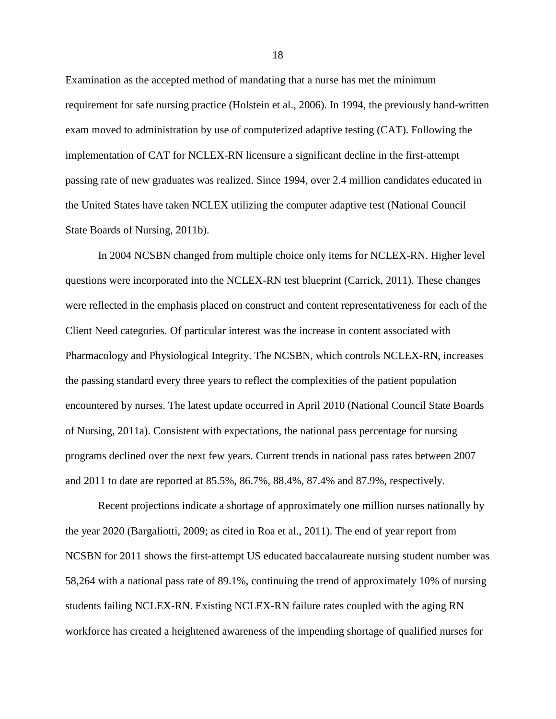Examination as the accepted method of mandating that a nurse has met the minimum requirement for safe nursing practice (Holstein et al., 2006). In 1994, the previously hand-written exam moved to administration by use of computerized adaptive testing (CAT). Following the implementation of CAT for NCLEX-RN licensure a significant decline in the first-attempt passing rate of new graduates was realized. Since 1994, over 2.4 million candidates educated in the United States have taken NCLEX utilizing the computer adaptive test (National Council State Boards of Nursing, 2011b).

 In 2004 NCSBN changed from multiple choice only items for NCLEX-RN. Higher level questions were incorporated into the NCLEX-RN test blueprint (Carrick, 2011). These changes were reflected in the emphasis placed on construct and content representativeness for each of the Client Need categories. Of particular interest was the increase in content associated with Pharmacology and Physiological Integrity. The NCSBN, which controls NCLEX-RN, increases the passing standard every three years to reflect the complexities of the patient population encountered by nurses. The latest update occurred in April 2010 (National Council State Boards of Nursing, 2011a). Consistent with expectations, the national pass percentage for nursing programs declined over the next few years. Current trends in national pass rates between 2007 and 2011 to date are reported at 85.5%, 86.7%, 88.4%, 87.4% and 87.9%, respectively.

 Recent projections indicate a shortage of approximately one million nurses nationally by the year 2020 (Bargaliotti, 2009; as cited in Roa et al., 2011). The end of year report from NCSBN for 2011 shows the first-attempt US educated baccalaureate nursing student number was 58,264 with a national pass rate of 89.1%, continuing the trend of approximately 10% of nursing students failing NCLEX-RN. Existing NCLEX-RN failure rates coupled with the aging RN workforce has created a heightened awareness of the impending shortage of qualified nurses for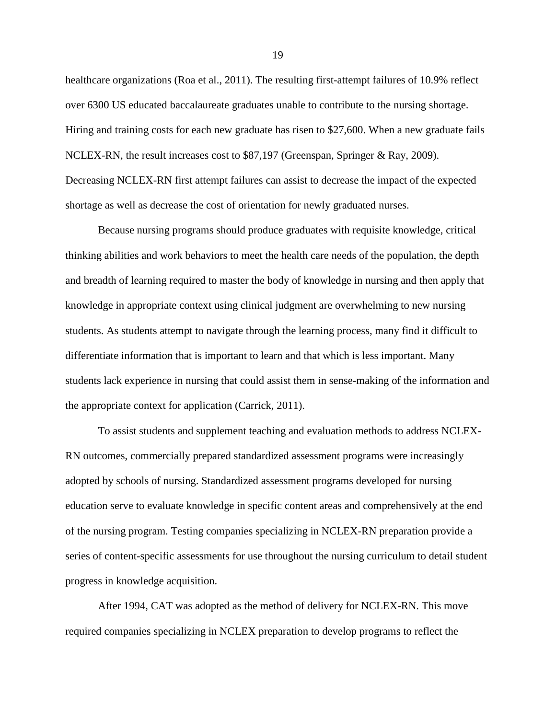healthcare organizations (Roa et al., 2011). The resulting first-attempt failures of 10.9% reflect over 6300 US educated baccalaureate graduates unable to contribute to the nursing shortage. Hiring and training costs for each new graduate has risen to \$27,600. When a new graduate fails NCLEX-RN, the result increases cost to \$87,197 (Greenspan, Springer & Ray, 2009). Decreasing NCLEX-RN first attempt failures can assist to decrease the impact of the expected shortage as well as decrease the cost of orientation for newly graduated nurses.

 Because nursing programs should produce graduates with requisite knowledge, critical thinking abilities and work behaviors to meet the health care needs of the population, the depth and breadth of learning required to master the body of knowledge in nursing and then apply that knowledge in appropriate context using clinical judgment are overwhelming to new nursing students. As students attempt to navigate through the learning process, many find it difficult to differentiate information that is important to learn and that which is less important. Many students lack experience in nursing that could assist them in sense-making of the information and the appropriate context for application (Carrick, 2011).

 To assist students and supplement teaching and evaluation methods to address NCLEX-RN outcomes, commercially prepared standardized assessment programs were increasingly adopted by schools of nursing. Standardized assessment programs developed for nursing education serve to evaluate knowledge in specific content areas and comprehensively at the end of the nursing program. Testing companies specializing in NCLEX-RN preparation provide a series of content-specific assessments for use throughout the nursing curriculum to detail student progress in knowledge acquisition.

 After 1994, CAT was adopted as the method of delivery for NCLEX-RN. This move required companies specializing in NCLEX preparation to develop programs to reflect the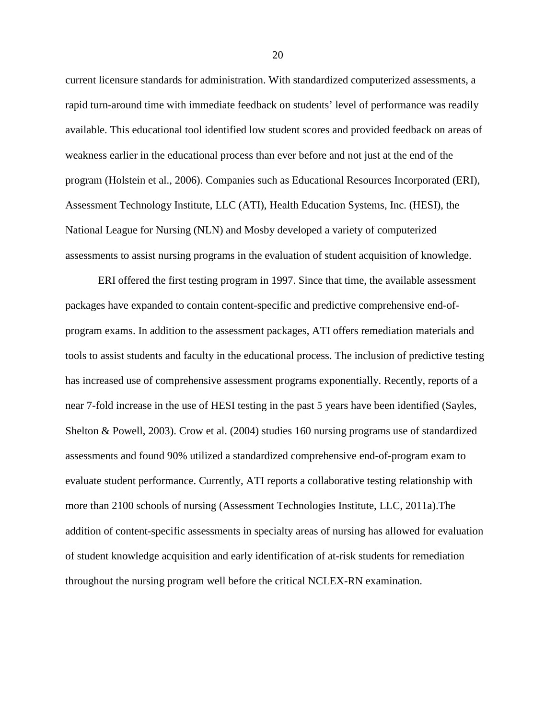current licensure standards for administration. With standardized computerized assessments, a rapid turn-around time with immediate feedback on students' level of performance was readily available. This educational tool identified low student scores and provided feedback on areas of weakness earlier in the educational process than ever before and not just at the end of the program (Holstein et al., 2006). Companies such as Educational Resources Incorporated (ERI), Assessment Technology Institute, LLC (ATI), Health Education Systems, Inc. (HESI), the National League for Nursing (NLN) and Mosby developed a variety of computerized assessments to assist nursing programs in the evaluation of student acquisition of knowledge.

 ERI offered the first testing program in 1997. Since that time, the available assessment packages have expanded to contain content-specific and predictive comprehensive end-ofprogram exams. In addition to the assessment packages, ATI offers remediation materials and tools to assist students and faculty in the educational process. The inclusion of predictive testing has increased use of comprehensive assessment programs exponentially. Recently, reports of a near 7-fold increase in the use of HESI testing in the past 5 years have been identified (Sayles, Shelton & Powell, 2003). Crow et al. (2004) studies 160 nursing programs use of standardized assessments and found 90% utilized a standardized comprehensive end-of-program exam to evaluate student performance. Currently, ATI reports a collaborative testing relationship with more than 2100 schools of nursing (Assessment Technologies Institute, LLC, 2011a).The addition of content-specific assessments in specialty areas of nursing has allowed for evaluation of student knowledge acquisition and early identification of at-risk students for remediation throughout the nursing program well before the critical NCLEX-RN examination.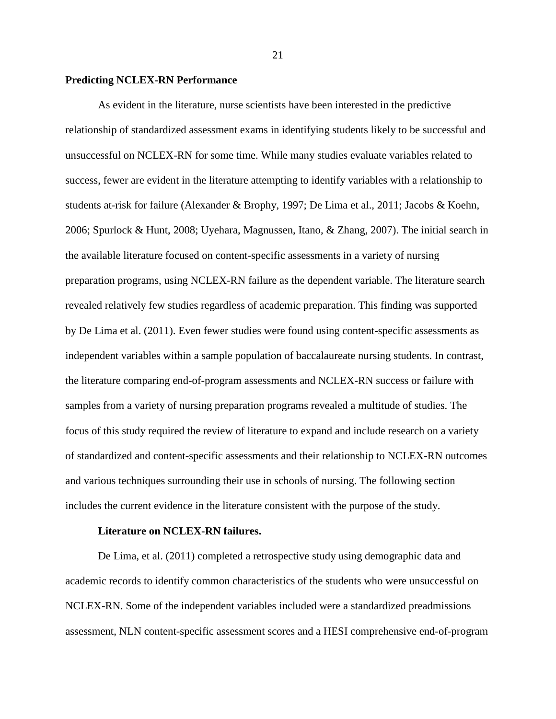#### **Predicting NCLEX-RN Performance**

 As evident in the literature, nurse scientists have been interested in the predictive relationship of standardized assessment exams in identifying students likely to be successful and unsuccessful on NCLEX-RN for some time. While many studies evaluate variables related to success, fewer are evident in the literature attempting to identify variables with a relationship to students at-risk for failure (Alexander & Brophy, 1997; De Lima et al., 2011; Jacobs & Koehn, 2006; Spurlock & Hunt, 2008; Uyehara, Magnussen, Itano, & Zhang, 2007). The initial search in the available literature focused on content-specific assessments in a variety of nursing preparation programs, using NCLEX-RN failure as the dependent variable. The literature search revealed relatively few studies regardless of academic preparation. This finding was supported by De Lima et al. (2011). Even fewer studies were found using content-specific assessments as independent variables within a sample population of baccalaureate nursing students. In contrast, the literature comparing end-of-program assessments and NCLEX-RN success or failure with samples from a variety of nursing preparation programs revealed a multitude of studies. The focus of this study required the review of literature to expand and include research on a variety of standardized and content-specific assessments and their relationship to NCLEX-RN outcomes and various techniques surrounding their use in schools of nursing. The following section includes the current evidence in the literature consistent with the purpose of the study.

# **Literature on NCLEX-RN failures.**

 De Lima, et al. (2011) completed a retrospective study using demographic data and academic records to identify common characteristics of the students who were unsuccessful on NCLEX-RN. Some of the independent variables included were a standardized preadmissions assessment, NLN content-specific assessment scores and a HESI comprehensive end-of-program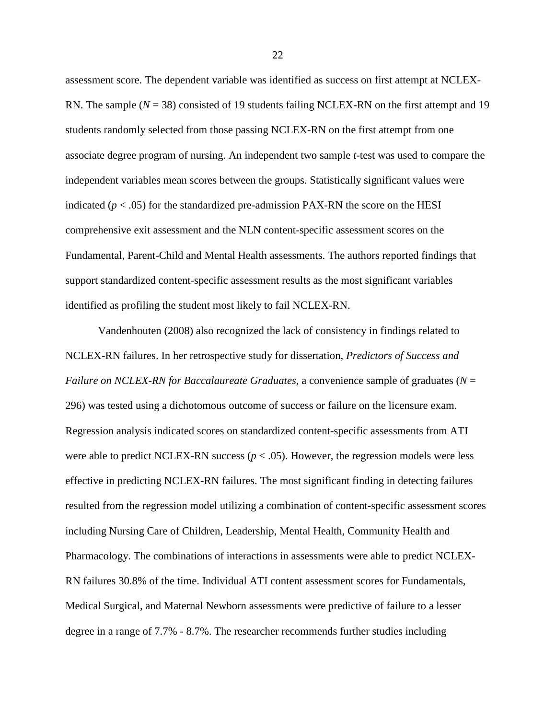assessment score. The dependent variable was identified as success on first attempt at NCLEX-RN. The sample  $(N = 38)$  consisted of 19 students failing NCLEX-RN on the first attempt and 19 students randomly selected from those passing NCLEX-RN on the first attempt from one associate degree program of nursing. An independent two sample *t*-test was used to compare the independent variables mean scores between the groups. Statistically significant values were indicated  $(p < .05)$  for the standardized pre-admission PAX-RN the score on the HESI comprehensive exit assessment and the NLN content-specific assessment scores on the Fundamental, Parent-Child and Mental Health assessments. The authors reported findings that support standardized content-specific assessment results as the most significant variables identified as profiling the student most likely to fail NCLEX-RN.

 Vandenhouten (2008) also recognized the lack of consistency in findings related to NCLEX-RN failures. In her retrospective study for dissertation, *Predictors of Success and Failure on NCLEX-RN for Baccalaureate Graduates,* a convenience sample of graduates (*N* = 296) was tested using a dichotomous outcome of success or failure on the licensure exam. Regression analysis indicated scores on standardized content-specific assessments from ATI were able to predict NCLEX-RN success  $(p < .05)$ . However, the regression models were less effective in predicting NCLEX-RN failures. The most significant finding in detecting failures resulted from the regression model utilizing a combination of content-specific assessment scores including Nursing Care of Children, Leadership, Mental Health, Community Health and Pharmacology. The combinations of interactions in assessments were able to predict NCLEX-RN failures 30.8% of the time. Individual ATI content assessment scores for Fundamentals, Medical Surgical, and Maternal Newborn assessments were predictive of failure to a lesser degree in a range of 7.7% - 8.7%. The researcher recommends further studies including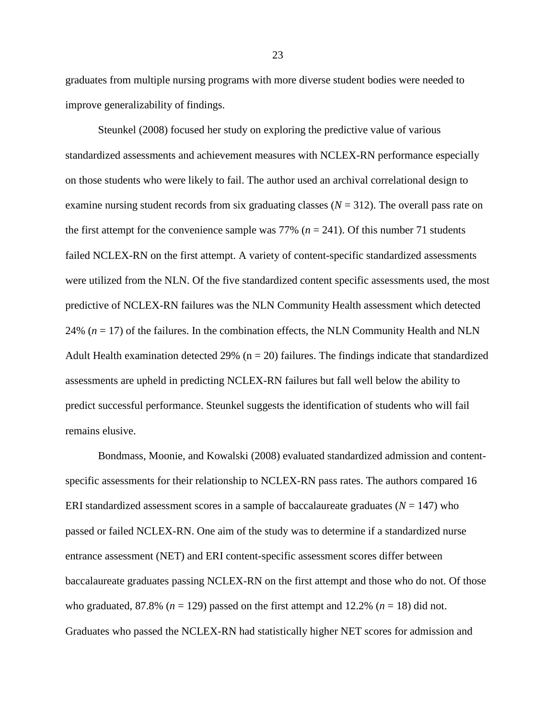graduates from multiple nursing programs with more diverse student bodies were needed to improve generalizability of findings.

 Steunkel (2008) focused her study on exploring the predictive value of various standardized assessments and achievement measures with NCLEX-RN performance especially on those students who were likely to fail. The author used an archival correlational design to examine nursing student records from six graduating classes  $(N = 312)$ . The overall pass rate on the first attempt for the convenience sample was  $77\%$  ( $n = 241$ ). Of this number 71 students failed NCLEX-RN on the first attempt. A variety of content-specific standardized assessments were utilized from the NLN. Of the five standardized content specific assessments used, the most predictive of NCLEX-RN failures was the NLN Community Health assessment which detected 24%  $(n = 17)$  of the failures. In the combination effects, the NLN Community Health and NLN Adult Health examination detected 29% ( $n = 20$ ) failures. The findings indicate that standardized assessments are upheld in predicting NCLEX-RN failures but fall well below the ability to predict successful performance. Steunkel suggests the identification of students who will fail remains elusive.

 Bondmass, Moonie, and Kowalski (2008) evaluated standardized admission and contentspecific assessments for their relationship to NCLEX-RN pass rates. The authors compared 16 ERI standardized assessment scores in a sample of baccalaureate graduates  $(N = 147)$  who passed or failed NCLEX-RN. One aim of the study was to determine if a standardized nurse entrance assessment (NET) and ERI content-specific assessment scores differ between baccalaureate graduates passing NCLEX-RN on the first attempt and those who do not. Of those who graduated, 87.8% ( $n = 129$ ) passed on the first attempt and 12.2% ( $n = 18$ ) did not. Graduates who passed the NCLEX-RN had statistically higher NET scores for admission and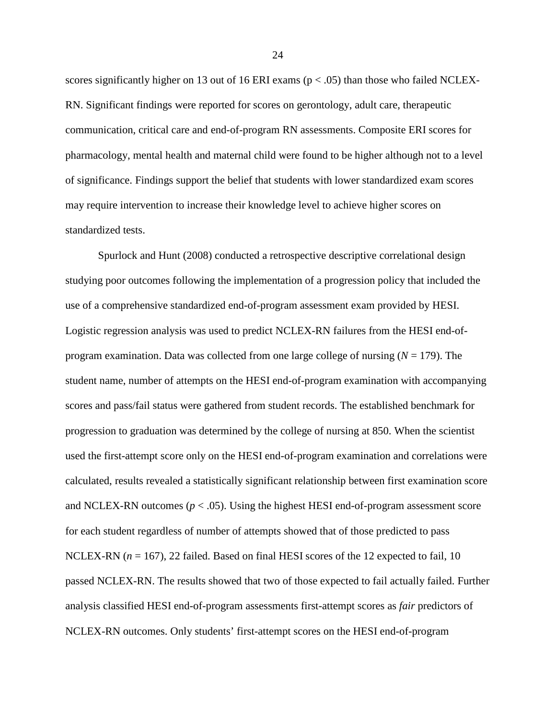scores significantly higher on 13 out of 16 ERI exams ( $p < .05$ ) than those who failed NCLEX-RN. Significant findings were reported for scores on gerontology, adult care, therapeutic communication, critical care and end-of-program RN assessments. Composite ERI scores for pharmacology, mental health and maternal child were found to be higher although not to a level of significance. Findings support the belief that students with lower standardized exam scores may require intervention to increase their knowledge level to achieve higher scores on standardized tests.

 Spurlock and Hunt (2008) conducted a retrospective descriptive correlational design studying poor outcomes following the implementation of a progression policy that included the use of a comprehensive standardized end-of-program assessment exam provided by HESI. Logistic regression analysis was used to predict NCLEX-RN failures from the HESI end-ofprogram examination. Data was collected from one large college of nursing  $(N = 179)$ . The student name, number of attempts on the HESI end-of-program examination with accompanying scores and pass/fail status were gathered from student records. The established benchmark for progression to graduation was determined by the college of nursing at 850. When the scientist used the first-attempt score only on the HESI end-of-program examination and correlations were calculated, results revealed a statistically significant relationship between first examination score and NCLEX-RN outcomes ( $p < .05$ ). Using the highest HESI end-of-program assessment score for each student regardless of number of attempts showed that of those predicted to pass NCLEX-RN ( $n = 167$ ), 22 failed. Based on final HESI scores of the 12 expected to fail, 10 passed NCLEX-RN. The results showed that two of those expected to fail actually failed. Further analysis classified HESI end-of-program assessments first-attempt scores as *fair* predictors of NCLEX-RN outcomes. Only students' first-attempt scores on the HESI end-of-program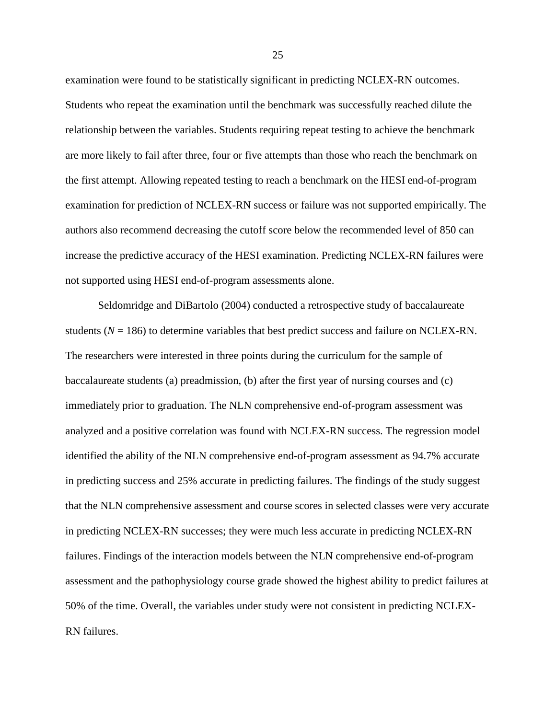examination were found to be statistically significant in predicting NCLEX-RN outcomes. Students who repeat the examination until the benchmark was successfully reached dilute the relationship between the variables. Students requiring repeat testing to achieve the benchmark are more likely to fail after three, four or five attempts than those who reach the benchmark on the first attempt. Allowing repeated testing to reach a benchmark on the HESI end-of-program examination for prediction of NCLEX-RN success or failure was not supported empirically. The authors also recommend decreasing the cutoff score below the recommended level of 850 can increase the predictive accuracy of the HESI examination. Predicting NCLEX-RN failures were not supported using HESI end-of-program assessments alone.

 Seldomridge and DiBartolo (2004) conducted a retrospective study of baccalaureate students  $(N = 186)$  to determine variables that best predict success and failure on NCLEX-RN. The researchers were interested in three points during the curriculum for the sample of baccalaureate students (a) preadmission, (b) after the first year of nursing courses and (c) immediately prior to graduation. The NLN comprehensive end-of-program assessment was analyzed and a positive correlation was found with NCLEX-RN success. The regression model identified the ability of the NLN comprehensive end-of-program assessment as 94.7% accurate in predicting success and 25% accurate in predicting failures. The findings of the study suggest that the NLN comprehensive assessment and course scores in selected classes were very accurate in predicting NCLEX-RN successes; they were much less accurate in predicting NCLEX-RN failures. Findings of the interaction models between the NLN comprehensive end-of-program assessment and the pathophysiology course grade showed the highest ability to predict failures at 50% of the time. Overall, the variables under study were not consistent in predicting NCLEX-RN failures.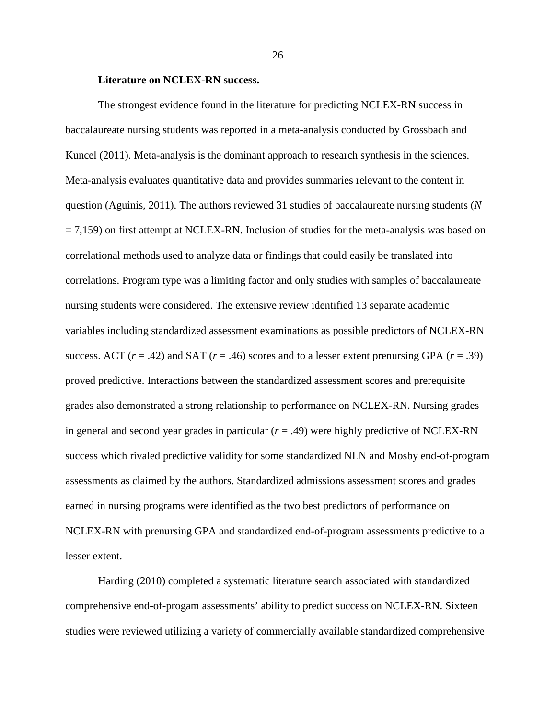#### **Literature on NCLEX-RN success.**

 The strongest evidence found in the literature for predicting NCLEX-RN success in baccalaureate nursing students was reported in a meta-analysis conducted by Grossbach and Kuncel (2011). Meta-analysis is the dominant approach to research synthesis in the sciences. Meta-analysis evaluates quantitative data and provides summaries relevant to the content in question (Aguinis, 2011). The authors reviewed 31 studies of baccalaureate nursing students (*N*  $= 7,159$ ) on first attempt at NCLEX-RN. Inclusion of studies for the meta-analysis was based on correlational methods used to analyze data or findings that could easily be translated into correlations. Program type was a limiting factor and only studies with samples of baccalaureate nursing students were considered. The extensive review identified 13 separate academic variables including standardized assessment examinations as possible predictors of NCLEX-RN success. ACT  $(r = .42)$  and SAT  $(r = .46)$  scores and to a lesser extent prenursing GPA  $(r = .39)$ proved predictive. Interactions between the standardized assessment scores and prerequisite grades also demonstrated a strong relationship to performance on NCLEX-RN. Nursing grades in general and second year grades in particular  $(r = .49)$  were highly predictive of NCLEX-RN success which rivaled predictive validity for some standardized NLN and Mosby end-of-program assessments as claimed by the authors. Standardized admissions assessment scores and grades earned in nursing programs were identified as the two best predictors of performance on NCLEX-RN with prenursing GPA and standardized end-of-program assessments predictive to a lesser extent.

 Harding (2010) completed a systematic literature search associated with standardized comprehensive end-of-progam assessments' ability to predict success on NCLEX-RN. Sixteen studies were reviewed utilizing a variety of commercially available standardized comprehensive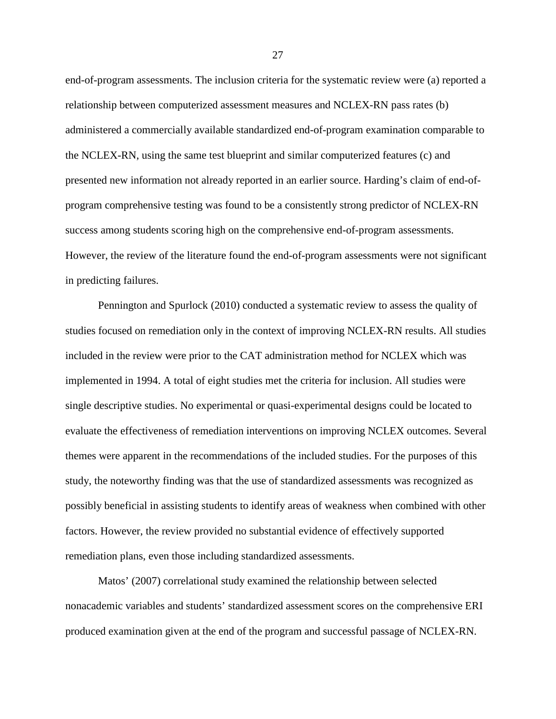end-of-program assessments. The inclusion criteria for the systematic review were (a) reported a relationship between computerized assessment measures and NCLEX-RN pass rates (b) administered a commercially available standardized end-of-program examination comparable to the NCLEX-RN, using the same test blueprint and similar computerized features (c) and presented new information not already reported in an earlier source. Harding's claim of end-ofprogram comprehensive testing was found to be a consistently strong predictor of NCLEX-RN success among students scoring high on the comprehensive end-of-program assessments. However, the review of the literature found the end-of-program assessments were not significant in predicting failures.

 Pennington and Spurlock (2010) conducted a systematic review to assess the quality of studies focused on remediation only in the context of improving NCLEX-RN results. All studies included in the review were prior to the CAT administration method for NCLEX which was implemented in 1994. A total of eight studies met the criteria for inclusion. All studies were single descriptive studies. No experimental or quasi-experimental designs could be located to evaluate the effectiveness of remediation interventions on improving NCLEX outcomes. Several themes were apparent in the recommendations of the included studies. For the purposes of this study, the noteworthy finding was that the use of standardized assessments was recognized as possibly beneficial in assisting students to identify areas of weakness when combined with other factors. However, the review provided no substantial evidence of effectively supported remediation plans, even those including standardized assessments.

 Matos' (2007) correlational study examined the relationship between selected nonacademic variables and students' standardized assessment scores on the comprehensive ERI produced examination given at the end of the program and successful passage of NCLEX-RN.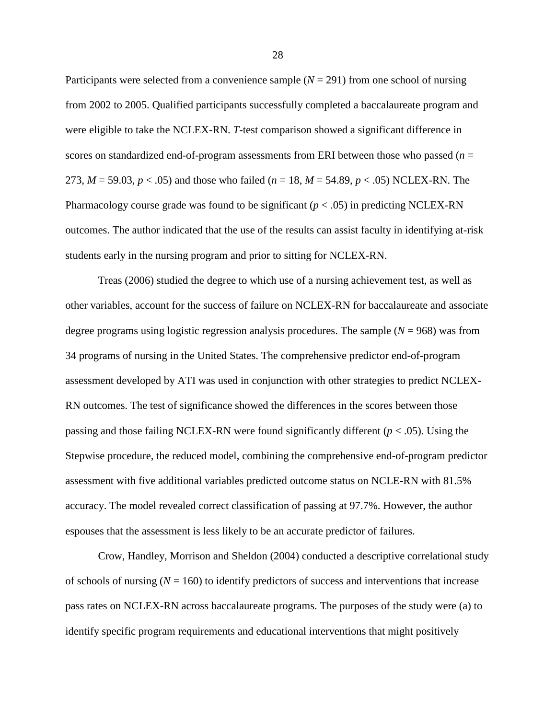Participants were selected from a convenience sample  $(N = 291)$  from one school of nursing from 2002 to 2005. Qualified participants successfully completed a baccalaureate program and were eligible to take the NCLEX-RN. *T*-test comparison showed a significant difference in scores on standardized end-of-program assessments from ERI between those who passed (*n* = 273, *M* = 59.03, *p* < .05) and those who failed (*n* = 18, *M* = 54.89, *p* < .05) NCLEX-RN. The Pharmacology course grade was found to be significant  $(p < .05)$  in predicting NCLEX-RN outcomes. The author indicated that the use of the results can assist faculty in identifying at-risk students early in the nursing program and prior to sitting for NCLEX-RN.

 Treas (2006) studied the degree to which use of a nursing achievement test, as well as other variables, account for the success of failure on NCLEX-RN for baccalaureate and associate degree programs using logistic regression analysis procedures. The sample  $(N = 968)$  was from 34 programs of nursing in the United States. The comprehensive predictor end-of-program assessment developed by ATI was used in conjunction with other strategies to predict NCLEX-RN outcomes. The test of significance showed the differences in the scores between those passing and those failing NCLEX-RN were found significantly different (*p* < .05). Using the Stepwise procedure, the reduced model, combining the comprehensive end-of-program predictor assessment with five additional variables predicted outcome status on NCLE-RN with 81.5% accuracy. The model revealed correct classification of passing at 97.7%. However, the author espouses that the assessment is less likely to be an accurate predictor of failures.

 Crow, Handley, Morrison and Sheldon (2004) conducted a descriptive correlational study of schools of nursing  $(N = 160)$  to identify predictors of success and interventions that increase pass rates on NCLEX-RN across baccalaureate programs. The purposes of the study were (a) to identify specific program requirements and educational interventions that might positively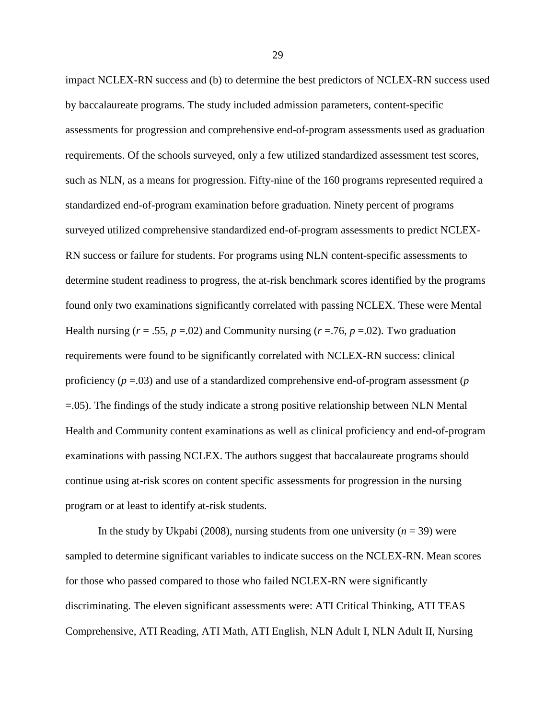impact NCLEX-RN success and (b) to determine the best predictors of NCLEX-RN success used by baccalaureate programs. The study included admission parameters, content-specific assessments for progression and comprehensive end-of-program assessments used as graduation requirements. Of the schools surveyed, only a few utilized standardized assessment test scores, such as NLN, as a means for progression. Fifty-nine of the 160 programs represented required a standardized end-of-program examination before graduation. Ninety percent of programs surveyed utilized comprehensive standardized end-of-program assessments to predict NCLEX-RN success or failure for students. For programs using NLN content-specific assessments to determine student readiness to progress, the at-risk benchmark scores identified by the programs found only two examinations significantly correlated with passing NCLEX. These were Mental Health nursing ( $r = .55$ ,  $p = .02$ ) and Community nursing ( $r = .76$ ,  $p = .02$ ). Two graduation requirements were found to be significantly correlated with NCLEX-RN success: clinical proficiency (*p* =.03) and use of a standardized comprehensive end-of-program assessment (*p* =.05). The findings of the study indicate a strong positive relationship between NLN Mental Health and Community content examinations as well as clinical proficiency and end-of-program examinations with passing NCLEX. The authors suggest that baccalaureate programs should continue using at-risk scores on content specific assessments for progression in the nursing program or at least to identify at-risk students.

In the study by Ukpabi (2008), nursing students from one university  $(n = 39)$  were sampled to determine significant variables to indicate success on the NCLEX-RN. Mean scores for those who passed compared to those who failed NCLEX-RN were significantly discriminating. The eleven significant assessments were: ATI Critical Thinking, ATI TEAS Comprehensive, ATI Reading, ATI Math, ATI English, NLN Adult I, NLN Adult II, Nursing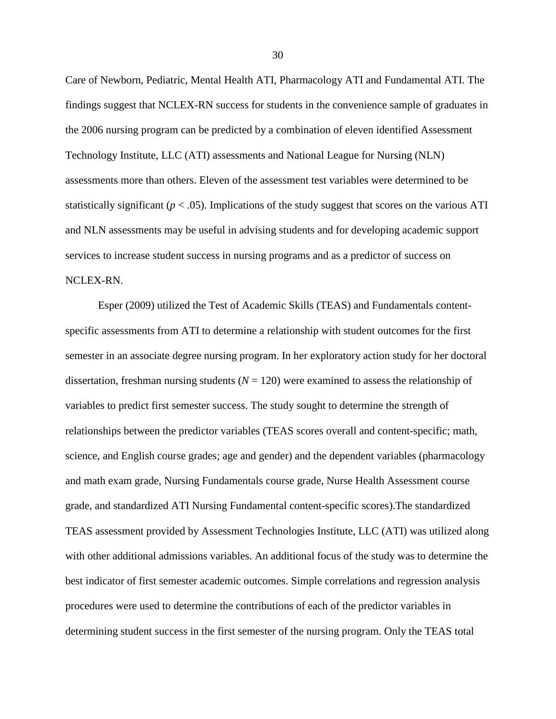Care of Newborn, Pediatric, Mental Health ATI, Pharmacology ATI and Fundamental ATI. The findings suggest that NCLEX-RN success for students in the convenience sample of graduates in the 2006 nursing program can be predicted by a combination of eleven identified Assessment Technology Institute, LLC (ATI) assessments and National League for Nursing (NLN) assessments more than others. Eleven of the assessment test variables were determined to be statistically significant ( $p < .05$ ). Implications of the study suggest that scores on the various ATI and NLN assessments may be useful in advising students and for developing academic support services to increase student success in nursing programs and as a predictor of success on NCLEX-RN.

 Esper (2009) utilized the Test of Academic Skills (TEAS) and Fundamentals contentspecific assessments from ATI to determine a relationship with student outcomes for the first semester in an associate degree nursing program. In her exploratory action study for her doctoral dissertation, freshman nursing students  $(N = 120)$  were examined to assess the relationship of variables to predict first semester success. The study sought to determine the strength of relationships between the predictor variables (TEAS scores overall and content-specific; math, science, and English course grades; age and gender) and the dependent variables (pharmacology and math exam grade, Nursing Fundamentals course grade, Nurse Health Assessment course grade, and standardized ATI Nursing Fundamental content-specific scores).The standardized TEAS assessment provided by Assessment Technologies Institute, LLC (ATI) was utilized along with other additional admissions variables. An additional focus of the study was to determine the best indicator of first semester academic outcomes. Simple correlations and regression analysis procedures were used to determine the contributions of each of the predictor variables in determining student success in the first semester of the nursing program. Only the TEAS total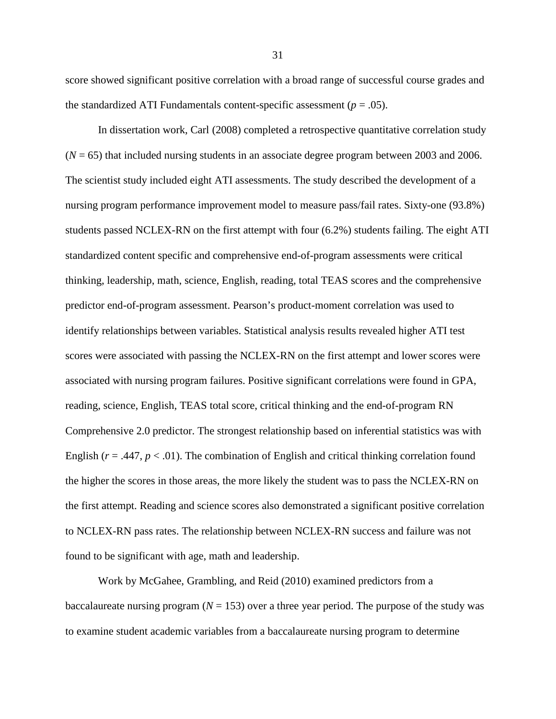score showed significant positive correlation with a broad range of successful course grades and the standardized ATI Fundamentals content-specific assessment  $(p = .05)$ .

 In dissertation work, Carl (2008) completed a retrospective quantitative correlation study (*N* = 65) that included nursing students in an associate degree program between 2003 and 2006. The scientist study included eight ATI assessments. The study described the development of a nursing program performance improvement model to measure pass/fail rates. Sixty-one (93.8%) students passed NCLEX-RN on the first attempt with four (6.2%) students failing. The eight ATI standardized content specific and comprehensive end-of-program assessments were critical thinking, leadership, math, science, English, reading, total TEAS scores and the comprehensive predictor end-of-program assessment. Pearson's product-moment correlation was used to identify relationships between variables. Statistical analysis results revealed higher ATI test scores were associated with passing the NCLEX-RN on the first attempt and lower scores were associated with nursing program failures. Positive significant correlations were found in GPA, reading, science, English, TEAS total score, critical thinking and the end-of-program RN Comprehensive 2.0 predictor. The strongest relationship based on inferential statistics was with English ( $r = .447$ ,  $p < .01$ ). The combination of English and critical thinking correlation found the higher the scores in those areas, the more likely the student was to pass the NCLEX-RN on the first attempt. Reading and science scores also demonstrated a significant positive correlation to NCLEX-RN pass rates. The relationship between NCLEX-RN success and failure was not found to be significant with age, math and leadership.

 Work by McGahee, Grambling, and Reid (2010) examined predictors from a baccalaureate nursing program  $(N = 153)$  over a three year period. The purpose of the study was to examine student academic variables from a baccalaureate nursing program to determine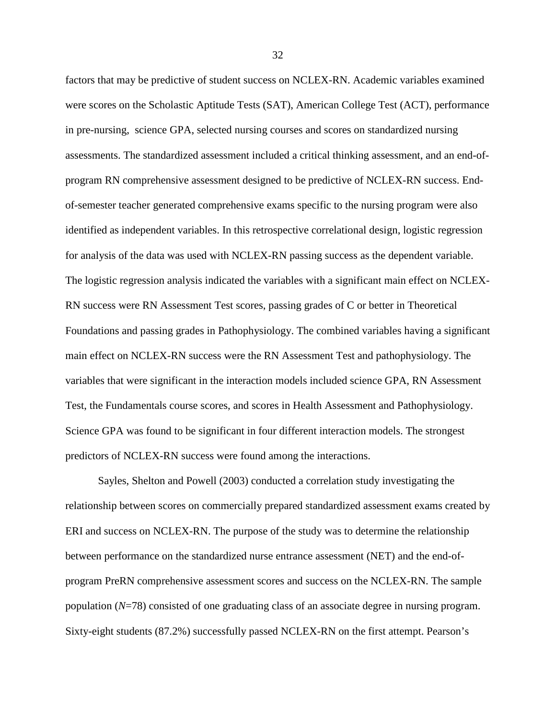factors that may be predictive of student success on NCLEX-RN. Academic variables examined were scores on the Scholastic Aptitude Tests (SAT), American College Test (ACT), performance in pre-nursing, science GPA, selected nursing courses and scores on standardized nursing assessments. The standardized assessment included a critical thinking assessment, and an end-ofprogram RN comprehensive assessment designed to be predictive of NCLEX-RN success. Endof-semester teacher generated comprehensive exams specific to the nursing program were also identified as independent variables. In this retrospective correlational design, logistic regression for analysis of the data was used with NCLEX-RN passing success as the dependent variable. The logistic regression analysis indicated the variables with a significant main effect on NCLEX-RN success were RN Assessment Test scores, passing grades of C or better in Theoretical Foundations and passing grades in Pathophysiology. The combined variables having a significant main effect on NCLEX-RN success were the RN Assessment Test and pathophysiology. The variables that were significant in the interaction models included science GPA, RN Assessment Test, the Fundamentals course scores, and scores in Health Assessment and Pathophysiology. Science GPA was found to be significant in four different interaction models. The strongest predictors of NCLEX-RN success were found among the interactions.

 Sayles, Shelton and Powell (2003) conducted a correlation study investigating the relationship between scores on commercially prepared standardized assessment exams created by ERI and success on NCLEX-RN. The purpose of the study was to determine the relationship between performance on the standardized nurse entrance assessment (NET) and the end-ofprogram PreRN comprehensive assessment scores and success on the NCLEX-RN. The sample population (*N*=78) consisted of one graduating class of an associate degree in nursing program. Sixty-eight students (87.2%) successfully passed NCLEX-RN on the first attempt. Pearson's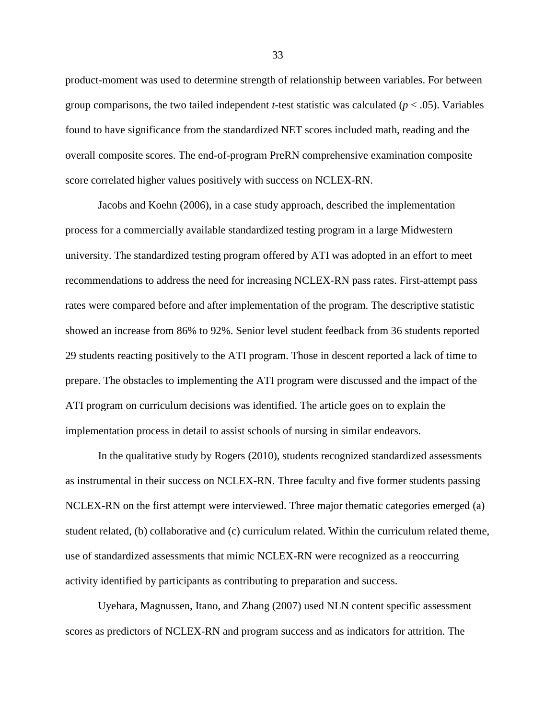product-moment was used to determine strength of relationship between variables. For between group comparisons, the two tailed independent *t*-test statistic was calculated ( $p < .05$ ). Variables found to have significance from the standardized NET scores included math, reading and the overall composite scores. The end-of-program PreRN comprehensive examination composite score correlated higher values positively with success on NCLEX-RN.

 Jacobs and Koehn (2006), in a case study approach, described the implementation process for a commercially available standardized testing program in a large Midwestern university. The standardized testing program offered by ATI was adopted in an effort to meet recommendations to address the need for increasing NCLEX-RN pass rates. First-attempt pass rates were compared before and after implementation of the program. The descriptive statistic showed an increase from 86% to 92%. Senior level student feedback from 36 students reported 29 students reacting positively to the ATI program. Those in descent reported a lack of time to prepare. The obstacles to implementing the ATI program were discussed and the impact of the ATI program on curriculum decisions was identified. The article goes on to explain the implementation process in detail to assist schools of nursing in similar endeavors.

 In the qualitative study by Rogers (2010), students recognized standardized assessments as instrumental in their success on NCLEX-RN. Three faculty and five former students passing NCLEX-RN on the first attempt were interviewed. Three major thematic categories emerged (a) student related, (b) collaborative and (c) curriculum related. Within the curriculum related theme, use of standardized assessments that mimic NCLEX-RN were recognized as a reoccurring activity identified by participants as contributing to preparation and success.

 Uyehara, Magnussen, Itano, and Zhang (2007) used NLN content specific assessment scores as predictors of NCLEX-RN and program success and as indicators for attrition. The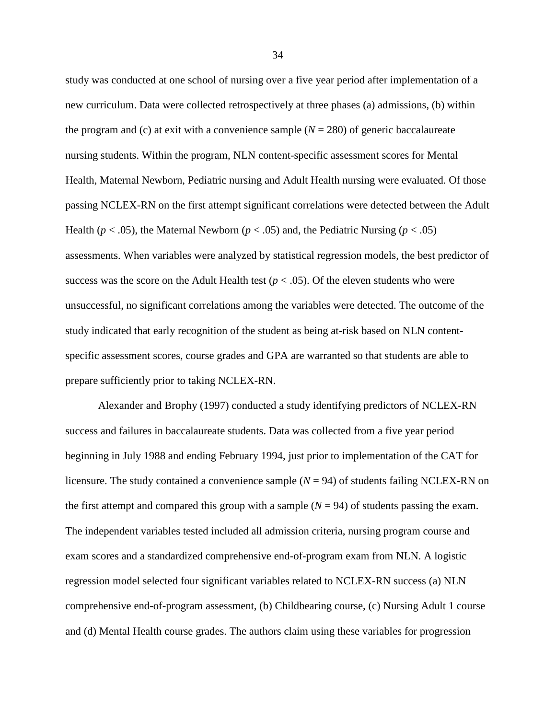study was conducted at one school of nursing over a five year period after implementation of a new curriculum. Data were collected retrospectively at three phases (a) admissions, (b) within the program and (c) at exit with a convenience sample  $(N = 280)$  of generic baccalaureate nursing students. Within the program, NLN content-specific assessment scores for Mental Health, Maternal Newborn, Pediatric nursing and Adult Health nursing were evaluated. Of those passing NCLEX-RN on the first attempt significant correlations were detected between the Adult Health ( $p < .05$ ), the Maternal Newborn ( $p < .05$ ) and, the Pediatric Nursing ( $p < .05$ ) assessments. When variables were analyzed by statistical regression models, the best predictor of success was the score on the Adult Health test  $(p < .05)$ . Of the eleven students who were unsuccessful, no significant correlations among the variables were detected. The outcome of the study indicated that early recognition of the student as being at-risk based on NLN contentspecific assessment scores, course grades and GPA are warranted so that students are able to prepare sufficiently prior to taking NCLEX-RN.

 Alexander and Brophy (1997) conducted a study identifying predictors of NCLEX-RN success and failures in baccalaureate students. Data was collected from a five year period beginning in July 1988 and ending February 1994, just prior to implementation of the CAT for licensure. The study contained a convenience sample  $(N = 94)$  of students failing NCLEX-RN on the first attempt and compared this group with a sample  $(N = 94)$  of students passing the exam. The independent variables tested included all admission criteria, nursing program course and exam scores and a standardized comprehensive end-of-program exam from NLN. A logistic regression model selected four significant variables related to NCLEX-RN success (a) NLN comprehensive end-of-program assessment, (b) Childbearing course, (c) Nursing Adult 1 course and (d) Mental Health course grades. The authors claim using these variables for progression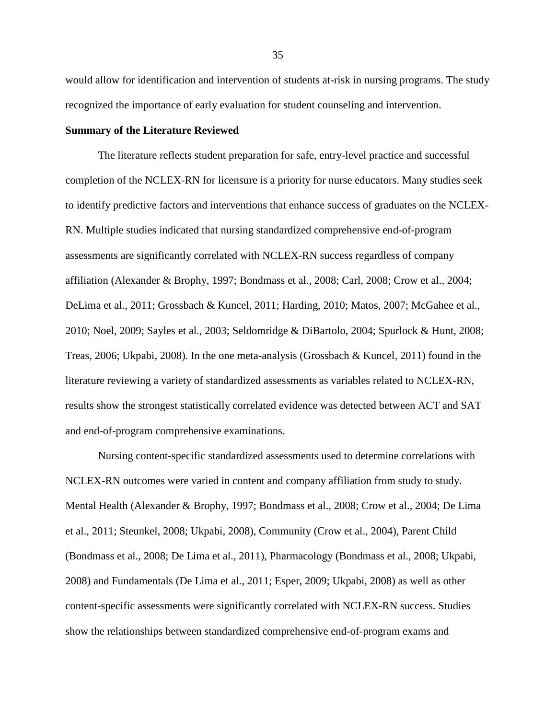would allow for identification and intervention of students at-risk in nursing programs. The study recognized the importance of early evaluation for student counseling and intervention.

## **Summary of the Literature Reviewed**

 The literature reflects student preparation for safe, entry-level practice and successful completion of the NCLEX-RN for licensure is a priority for nurse educators. Many studies seek to identify predictive factors and interventions that enhance success of graduates on the NCLEX-RN. Multiple studies indicated that nursing standardized comprehensive end-of-program assessments are significantly correlated with NCLEX-RN success regardless of company affiliation (Alexander & Brophy, 1997; Bondmass et al., 2008; Carl, 2008; Crow et al., 2004; DeLima et al., 2011; Grossbach & Kuncel, 2011; Harding, 2010; Matos, 2007; McGahee et al., 2010; Noel, 2009; Sayles et al., 2003; Seldomridge & DiBartolo, 2004; Spurlock & Hunt, 2008; Treas, 2006; Ukpabi, 2008). In the one meta-analysis (Grossbach & Kuncel, 2011) found in the literature reviewing a variety of standardized assessments as variables related to NCLEX-RN, results show the strongest statistically correlated evidence was detected between ACT and SAT and end-of-program comprehensive examinations.

 Nursing content-specific standardized assessments used to determine correlations with NCLEX-RN outcomes were varied in content and company affiliation from study to study. Mental Health (Alexander & Brophy, 1997; Bondmass et al., 2008; Crow et al., 2004; De Lima et al., 2011; Steunkel, 2008; Ukpabi, 2008), Community (Crow et al., 2004), Parent Child (Bondmass et al., 2008; De Lima et al., 2011), Pharmacology (Bondmass et al., 2008; Ukpabi, 2008) and Fundamentals (De Lima et al., 2011; Esper, 2009; Ukpabi, 2008) as well as other content-specific assessments were significantly correlated with NCLEX-RN success. Studies show the relationships between standardized comprehensive end-of-program exams and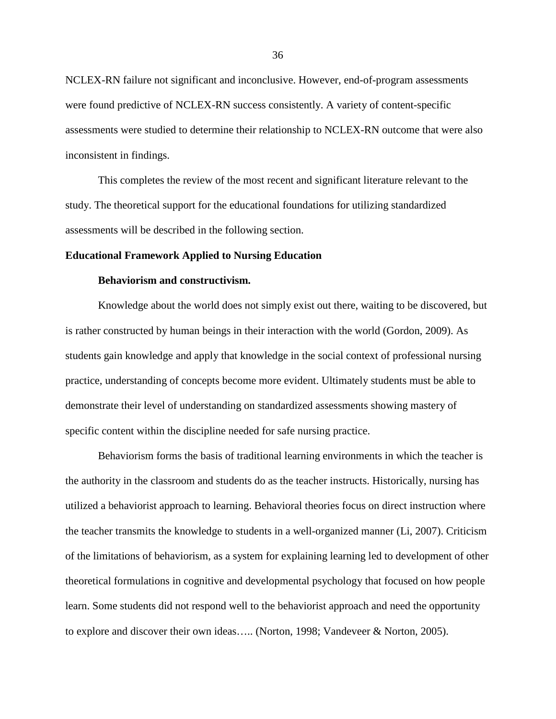NCLEX-RN failure not significant and inconclusive. However, end-of-program assessments were found predictive of NCLEX-RN success consistently. A variety of content-specific assessments were studied to determine their relationship to NCLEX-RN outcome that were also inconsistent in findings.

 This completes the review of the most recent and significant literature relevant to the study. The theoretical support for the educational foundations for utilizing standardized assessments will be described in the following section.

#### **Educational Framework Applied to Nursing Education**

## **Behaviorism and constructivism.**

Knowledge about the world does not simply exist out there, waiting to be discovered, but is rather constructed by human beings in their interaction with the world (Gordon, 2009). As students gain knowledge and apply that knowledge in the social context of professional nursing practice, understanding of concepts become more evident. Ultimately students must be able to demonstrate their level of understanding on standardized assessments showing mastery of specific content within the discipline needed for safe nursing practice.

 Behaviorism forms the basis of traditional learning environments in which the teacher is the authority in the classroom and students do as the teacher instructs. Historically, nursing has utilized a behaviorist approach to learning. Behavioral theories focus on direct instruction where the teacher transmits the knowledge to students in a well-organized manner (Li, 2007). Criticism of the limitations of behaviorism, as a system for explaining learning led to development of other theoretical formulations in cognitive and developmental psychology that focused on how people learn. Some students did not respond well to the behaviorist approach and need the opportunity to explore and discover their own ideas….. (Norton, 1998; Vandeveer & Norton, 2005).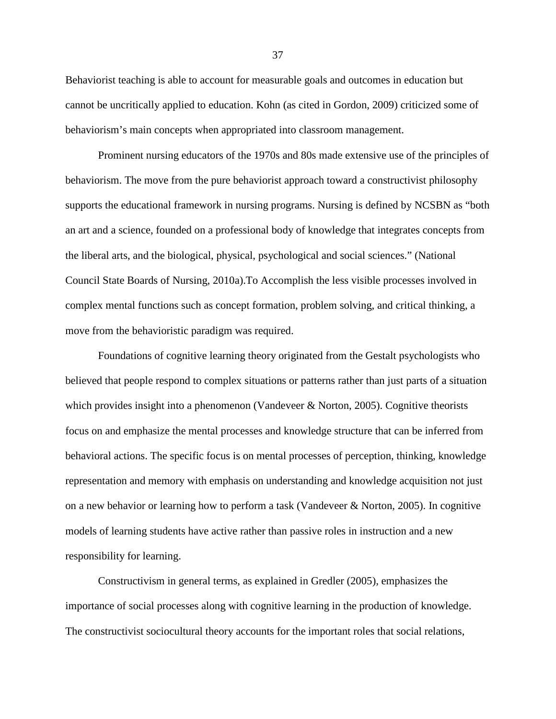Behaviorist teaching is able to account for measurable goals and outcomes in education but cannot be uncritically applied to education. Kohn (as cited in Gordon, 2009) criticized some of behaviorism's main concepts when appropriated into classroom management.

 Prominent nursing educators of the 1970s and 80s made extensive use of the principles of behaviorism. The move from the pure behaviorist approach toward a constructivist philosophy supports the educational framework in nursing programs. Nursing is defined by NCSBN as "both an art and a science, founded on a professional body of knowledge that integrates concepts from the liberal arts, and the biological, physical, psychological and social sciences." (National Council State Boards of Nursing, 2010a).To Accomplish the less visible processes involved in complex mental functions such as concept formation, problem solving, and critical thinking, a move from the behavioristic paradigm was required.

Foundations of cognitive learning theory originated from the Gestalt psychologists who believed that people respond to complex situations or patterns rather than just parts of a situation which provides insight into a phenomenon (Vandeveer & Norton, 2005). Cognitive theorists focus on and emphasize the mental processes and knowledge structure that can be inferred from behavioral actions. The specific focus is on mental processes of perception, thinking, knowledge representation and memory with emphasis on understanding and knowledge acquisition not just on a new behavior or learning how to perform a task (Vandeveer & Norton, 2005). In cognitive models of learning students have active rather than passive roles in instruction and a new responsibility for learning.

Constructivism in general terms, as explained in Gredler (2005), emphasizes the importance of social processes along with cognitive learning in the production of knowledge. The constructivist sociocultural theory accounts for the important roles that social relations,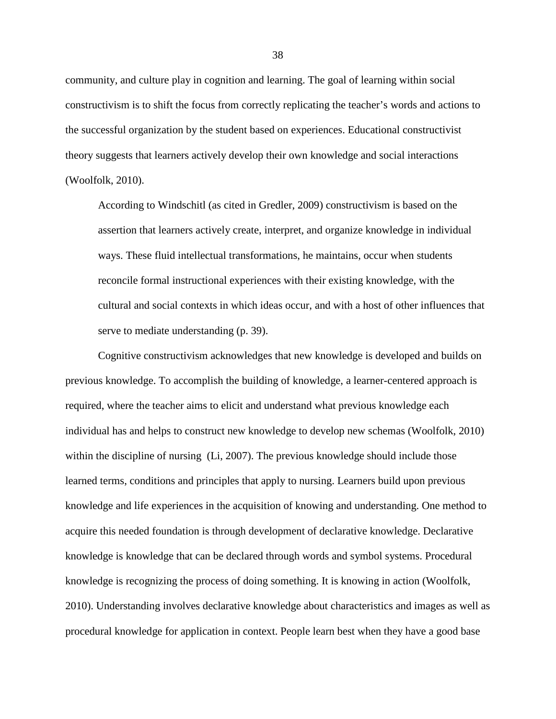community, and culture play in cognition and learning. The goal of learning within social constructivism is to shift the focus from correctly replicating the teacher's words and actions to the successful organization by the student based on experiences. Educational constructivist theory suggests that learners actively develop their own knowledge and social interactions (Woolfolk, 2010).

According to Windschitl (as cited in Gredler, 2009) constructivism is based on the assertion that learners actively create, interpret, and organize knowledge in individual ways. These fluid intellectual transformations, he maintains, occur when students reconcile formal instructional experiences with their existing knowledge, with the cultural and social contexts in which ideas occur, and with a host of other influences that serve to mediate understanding (p. 39).

 Cognitive constructivism acknowledges that new knowledge is developed and builds on previous knowledge. To accomplish the building of knowledge, a learner-centered approach is required, where the teacher aims to elicit and understand what previous knowledge each individual has and helps to construct new knowledge to develop new schemas (Woolfolk, 2010) within the discipline of nursing (Li, 2007). The previous knowledge should include those learned terms, conditions and principles that apply to nursing. Learners build upon previous knowledge and life experiences in the acquisition of knowing and understanding. One method to acquire this needed foundation is through development of declarative knowledge. Declarative knowledge is knowledge that can be declared through words and symbol systems. Procedural knowledge is recognizing the process of doing something. It is knowing in action (Woolfolk, 2010). Understanding involves declarative knowledge about characteristics and images as well as procedural knowledge for application in context. People learn best when they have a good base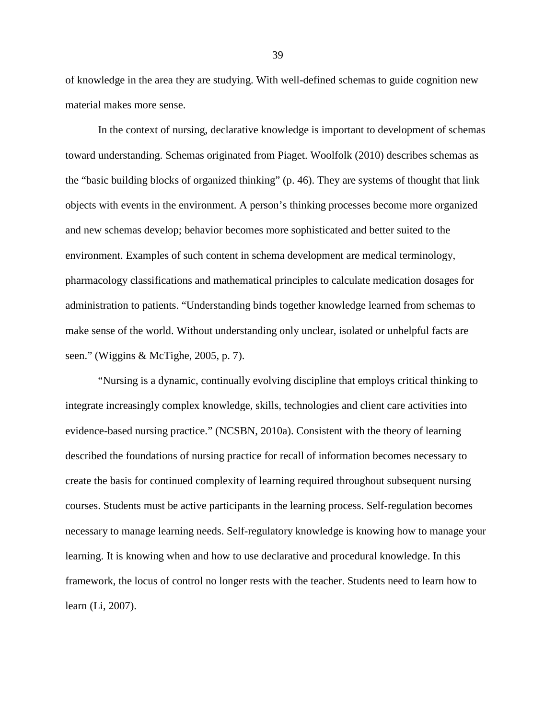of knowledge in the area they are studying. With well-defined schemas to guide cognition new material makes more sense.

 In the context of nursing, declarative knowledge is important to development of schemas toward understanding. Schemas originated from Piaget. Woolfolk (2010) describes schemas as the "basic building blocks of organized thinking" (p. 46). They are systems of thought that link objects with events in the environment. A person's thinking processes become more organized and new schemas develop; behavior becomes more sophisticated and better suited to the environment. Examples of such content in schema development are medical terminology, pharmacology classifications and mathematical principles to calculate medication dosages for administration to patients. "Understanding binds together knowledge learned from schemas to make sense of the world. Without understanding only unclear, isolated or unhelpful facts are seen." (Wiggins & McTighe, 2005, p. 7).

 "Nursing is a dynamic, continually evolving discipline that employs critical thinking to integrate increasingly complex knowledge, skills, technologies and client care activities into evidence-based nursing practice." (NCSBN, 2010a). Consistent with the theory of learning described the foundations of nursing practice for recall of information becomes necessary to create the basis for continued complexity of learning required throughout subsequent nursing courses. Students must be active participants in the learning process. Self-regulation becomes necessary to manage learning needs. Self-regulatory knowledge is knowing how to manage your learning. It is knowing when and how to use declarative and procedural knowledge. In this framework, the locus of control no longer rests with the teacher. Students need to learn how to learn (Li, 2007).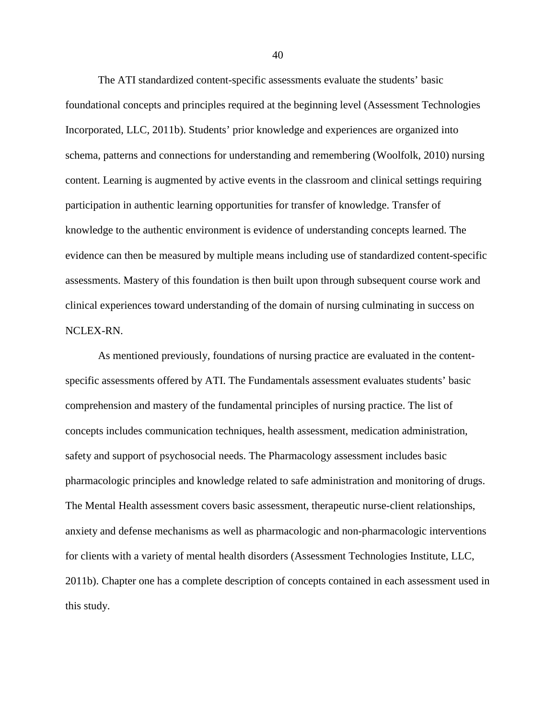The ATI standardized content-specific assessments evaluate the students' basic foundational concepts and principles required at the beginning level (Assessment Technologies Incorporated, LLC, 2011b). Students' prior knowledge and experiences are organized into schema, patterns and connections for understanding and remembering (Woolfolk, 2010) nursing content. Learning is augmented by active events in the classroom and clinical settings requiring participation in authentic learning opportunities for transfer of knowledge. Transfer of knowledge to the authentic environment is evidence of understanding concepts learned. The evidence can then be measured by multiple means including use of standardized content-specific assessments. Mastery of this foundation is then built upon through subsequent course work and clinical experiences toward understanding of the domain of nursing culminating in success on NCLEX-RN.

As mentioned previously, foundations of nursing practice are evaluated in the contentspecific assessments offered by ATI. The Fundamentals assessment evaluates students' basic comprehension and mastery of the fundamental principles of nursing practice. The list of concepts includes communication techniques, health assessment, medication administration, safety and support of psychosocial needs. The Pharmacology assessment includes basic pharmacologic principles and knowledge related to safe administration and monitoring of drugs. The Mental Health assessment covers basic assessment, therapeutic nurse-client relationships, anxiety and defense mechanisms as well as pharmacologic and non-pharmacologic interventions for clients with a variety of mental health disorders (Assessment Technologies Institute, LLC, 2011b). Chapter one has a complete description of concepts contained in each assessment used in this study.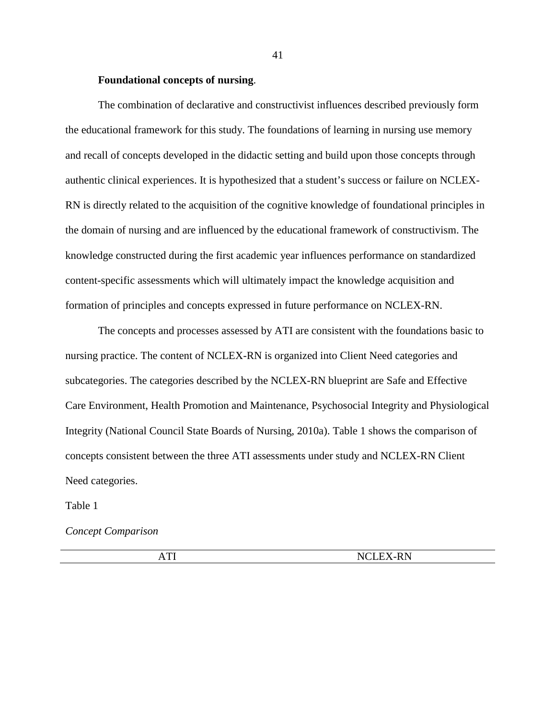## **Foundational concepts of nursing**.

The combination of declarative and constructivist influences described previously form the educational framework for this study. The foundations of learning in nursing use memory and recall of concepts developed in the didactic setting and build upon those concepts through authentic clinical experiences. It is hypothesized that a student's success or failure on NCLEX-RN is directly related to the acquisition of the cognitive knowledge of foundational principles in the domain of nursing and are influenced by the educational framework of constructivism. The knowledge constructed during the first academic year influences performance on standardized content-specific assessments which will ultimately impact the knowledge acquisition and formation of principles and concepts expressed in future performance on NCLEX-RN.

The concepts and processes assessed by ATI are consistent with the foundations basic to nursing practice. The content of NCLEX-RN is organized into Client Need categories and subcategories. The categories described by the NCLEX-RN blueprint are Safe and Effective Care Environment, Health Promotion and Maintenance, Psychosocial Integrity and Physiological Integrity (National Council State Boards of Nursing, 2010a). Table 1 shows the comparison of concepts consistent between the three ATI assessments under study and NCLEX-RN Client Need categories.

Table 1

*Concept Comparison* 

| <b>NCLEX-RN</b> |
|-----------------|
|                 |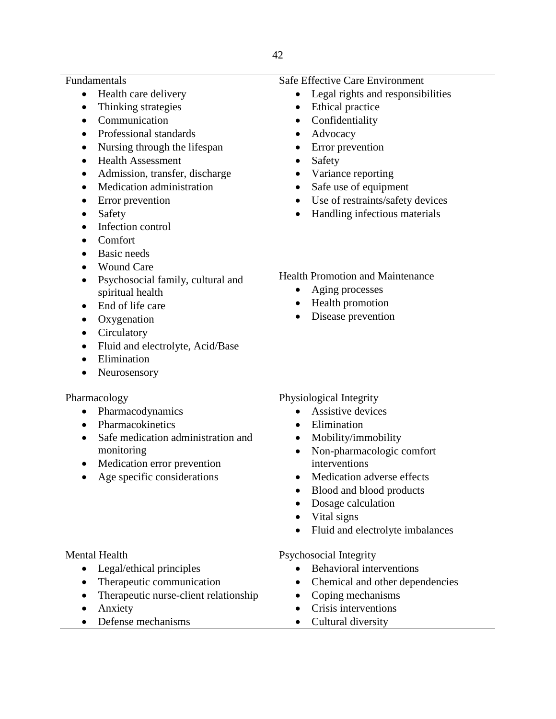# Fundamentals

- Health care delivery
- Thinking strategies
- Communication
- Professional standards
- Nursing through the lifespan
- Health Assessment
- Admission, transfer, discharge
- Medication administration
- Error prevention
- Safety
- Infection control
- Comfort
- Basic needs
- Wound Care
- Psychosocial family, cultural and spiritual health
- End of life care
- Oxygenation
- Circulatory
- Fluid and electrolyte, Acid/Base
- Elimination
- Neurosensory

# Pharmacology

- Pharmacodynamics
- Pharmacokinetics
- Safe medication administration and monitoring
- Medication error prevention
- Age specific considerations

# Mental Health

- Legal/ethical principles
- Therapeutic communication
- Therapeutic nurse-client relationship
- Anxiety
- Defense mechanisms

# Safe Effective Care Environment

- Legal rights and responsibilities
- Ethical practice
- Confidentiality
- Advocacy
- Error prevention
- Safety
- Variance reporting
- Safe use of equipment
- Use of restraints/safety devices
- Handling infectious materials

# Health Promotion and Maintenance

- Aging processes
- Health promotion
- Disease prevention

# Physiological Integrity

- Assistive devices
- Elimination
- Mobility/immobility
- Non-pharmacologic comfort interventions
- Medication adverse effects
- Blood and blood products
- Dosage calculation
- Vital signs
- Fluid and electrolyte imbalances

# Psychosocial Integrity

- Behavioral interventions
- Chemical and other dependencies
- Coping mechanisms
- Crisis interventions
- Cultural diversity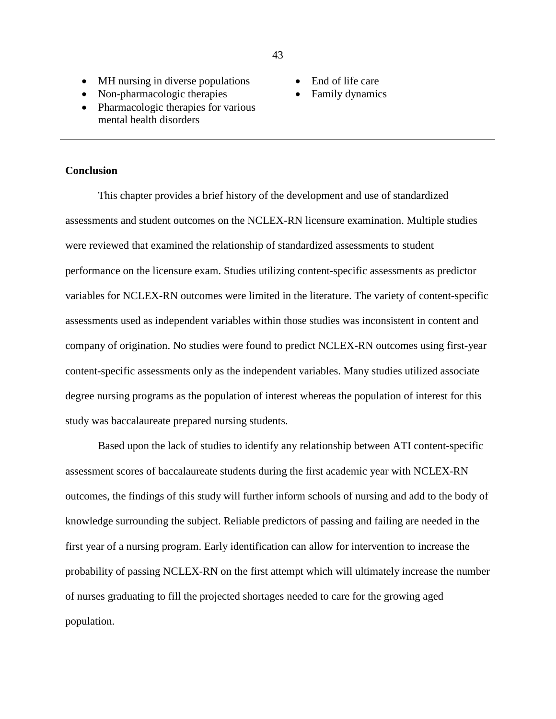• End of life care Family dynamics

- MH nursing in diverse populations
- Non-pharmacologic therapies
- Pharmacologic therapies for various mental health disorders

## **Conclusion**

 This chapter provides a brief history of the development and use of standardized assessments and student outcomes on the NCLEX-RN licensure examination. Multiple studies were reviewed that examined the relationship of standardized assessments to student performance on the licensure exam. Studies utilizing content-specific assessments as predictor variables for NCLEX-RN outcomes were limited in the literature. The variety of content-specific assessments used as independent variables within those studies was inconsistent in content and company of origination. No studies were found to predict NCLEX-RN outcomes using first-year content-specific assessments only as the independent variables. Many studies utilized associate degree nursing programs as the population of interest whereas the population of interest for this study was baccalaureate prepared nursing students.

 Based upon the lack of studies to identify any relationship between ATI content-specific assessment scores of baccalaureate students during the first academic year with NCLEX-RN outcomes, the findings of this study will further inform schools of nursing and add to the body of knowledge surrounding the subject. Reliable predictors of passing and failing are needed in the first year of a nursing program. Early identification can allow for intervention to increase the probability of passing NCLEX-RN on the first attempt which will ultimately increase the number of nurses graduating to fill the projected shortages needed to care for the growing aged population.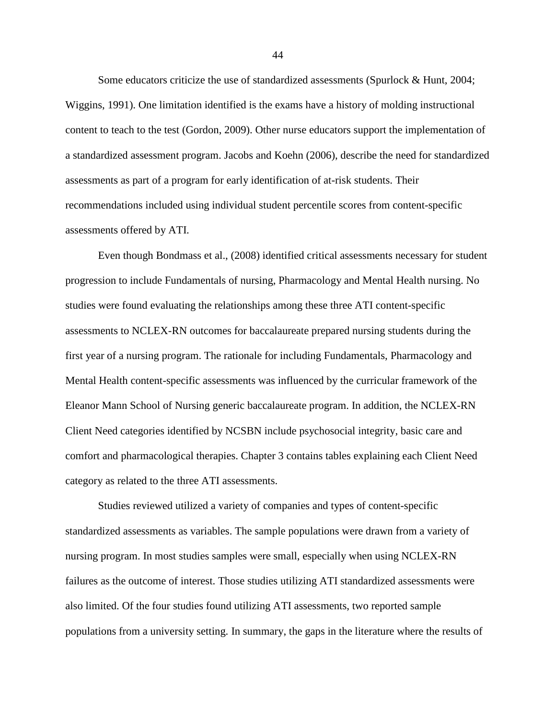Some educators criticize the use of standardized assessments (Spurlock & Hunt, 2004; Wiggins, 1991). One limitation identified is the exams have a history of molding instructional content to teach to the test (Gordon, 2009). Other nurse educators support the implementation of a standardized assessment program. Jacobs and Koehn (2006), describe the need for standardized assessments as part of a program for early identification of at-risk students. Their recommendations included using individual student percentile scores from content-specific assessments offered by ATI.

 Even though Bondmass et al., (2008) identified critical assessments necessary for student progression to include Fundamentals of nursing, Pharmacology and Mental Health nursing. No studies were found evaluating the relationships among these three ATI content-specific assessments to NCLEX-RN outcomes for baccalaureate prepared nursing students during the first year of a nursing program. The rationale for including Fundamentals, Pharmacology and Mental Health content-specific assessments was influenced by the curricular framework of the Eleanor Mann School of Nursing generic baccalaureate program. In addition, the NCLEX-RN Client Need categories identified by NCSBN include psychosocial integrity, basic care and comfort and pharmacological therapies. Chapter 3 contains tables explaining each Client Need category as related to the three ATI assessments.

 Studies reviewed utilized a variety of companies and types of content-specific standardized assessments as variables. The sample populations were drawn from a variety of nursing program. In most studies samples were small, especially when using NCLEX-RN failures as the outcome of interest. Those studies utilizing ATI standardized assessments were also limited. Of the four studies found utilizing ATI assessments, two reported sample populations from a university setting. In summary, the gaps in the literature where the results of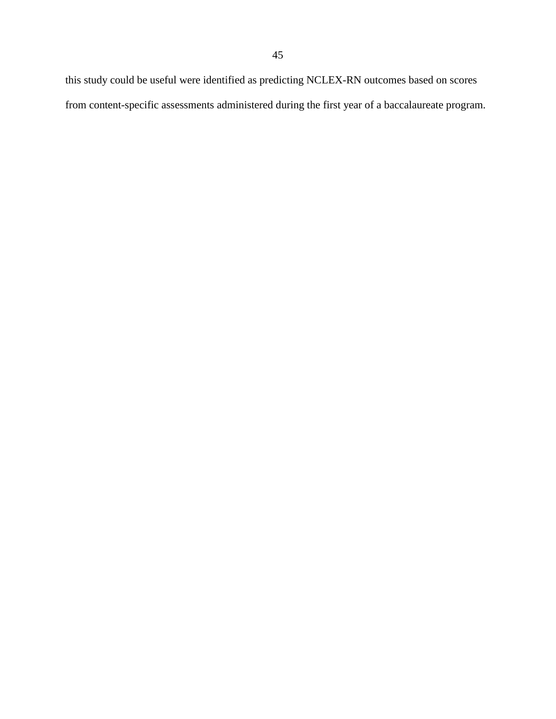this study could be useful were identified as predicting NCLEX-RN outcomes based on scores from content-specific assessments administered during the first year of a baccalaureate program.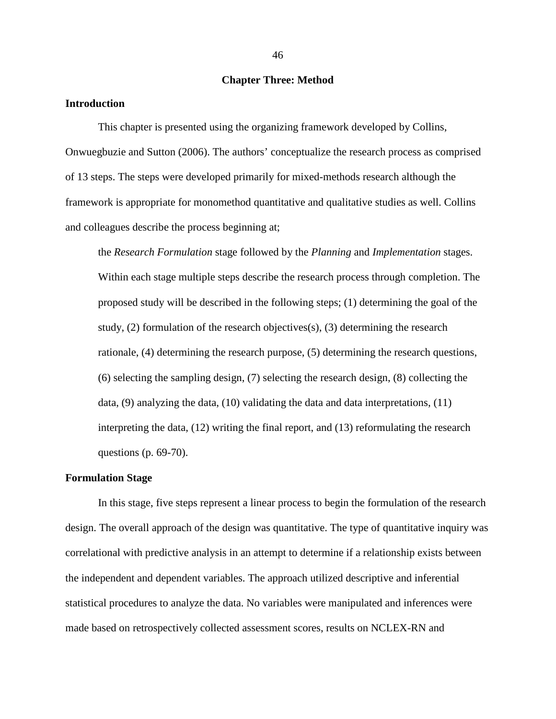## **Chapter Three: Method**

#### **Introduction**

This chapter is presented using the organizing framework developed by Collins, Onwuegbuzie and Sutton (2006). The authors' conceptualize the research process as comprised of 13 steps. The steps were developed primarily for mixed-methods research although the framework is appropriate for monomethod quantitative and qualitative studies as well. Collins and colleagues describe the process beginning at;

 the *Research Formulation* stage followed by the *Planning* and *Implementation* stages. Within each stage multiple steps describe the research process through completion. The proposed study will be described in the following steps; (1) determining the goal of the study, (2) formulation of the research objectives(s), (3) determining the research rationale, (4) determining the research purpose, (5) determining the research questions, (6) selecting the sampling design, (7) selecting the research design, (8) collecting the data,  $(9)$  analyzing the data,  $(10)$  validating the data and data interpretations,  $(11)$  interpreting the data, (12) writing the final report, and (13) reformulating the research questions (p. 69-70).

#### **Formulation Stage**

In this stage, five steps represent a linear process to begin the formulation of the research design. The overall approach of the design was quantitative. The type of quantitative inquiry was correlational with predictive analysis in an attempt to determine if a relationship exists between the independent and dependent variables. The approach utilized descriptive and inferential statistical procedures to analyze the data. No variables were manipulated and inferences were made based on retrospectively collected assessment scores, results on NCLEX-RN and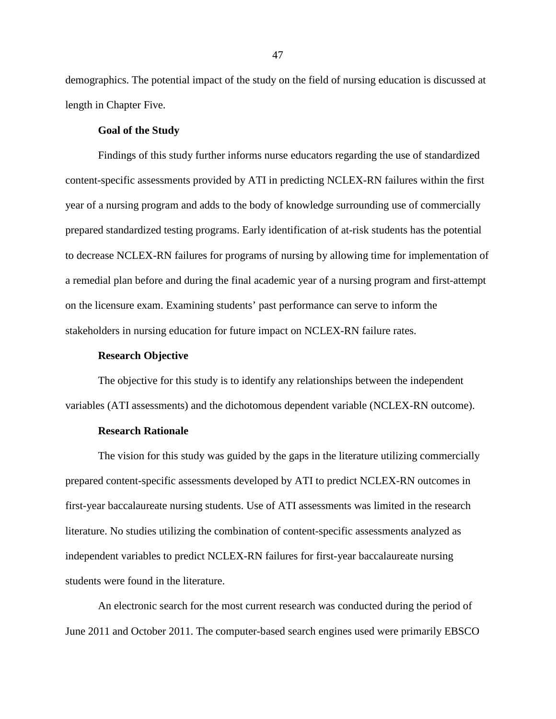demographics. The potential impact of the study on the field of nursing education is discussed at length in Chapter Five.

#### **Goal of the Study**

Findings of this study further informs nurse educators regarding the use of standardized content-specific assessments provided by ATI in predicting NCLEX-RN failures within the first year of a nursing program and adds to the body of knowledge surrounding use of commercially prepared standardized testing programs. Early identification of at-risk students has the potential to decrease NCLEX-RN failures for programs of nursing by allowing time for implementation of a remedial plan before and during the final academic year of a nursing program and first-attempt on the licensure exam. Examining students' past performance can serve to inform the stakeholders in nursing education for future impact on NCLEX-RN failure rates.

## **Research Objective**

 The objective for this study is to identify any relationships between the independent variables (ATI assessments) and the dichotomous dependent variable (NCLEX-RN outcome).

### **Research Rationale**

 The vision for this study was guided by the gaps in the literature utilizing commercially prepared content-specific assessments developed by ATI to predict NCLEX-RN outcomes in first-year baccalaureate nursing students. Use of ATI assessments was limited in the research literature. No studies utilizing the combination of content-specific assessments analyzed as independent variables to predict NCLEX-RN failures for first-year baccalaureate nursing students were found in the literature.

 An electronic search for the most current research was conducted during the period of June 2011 and October 2011. The computer-based search engines used were primarily EBSCO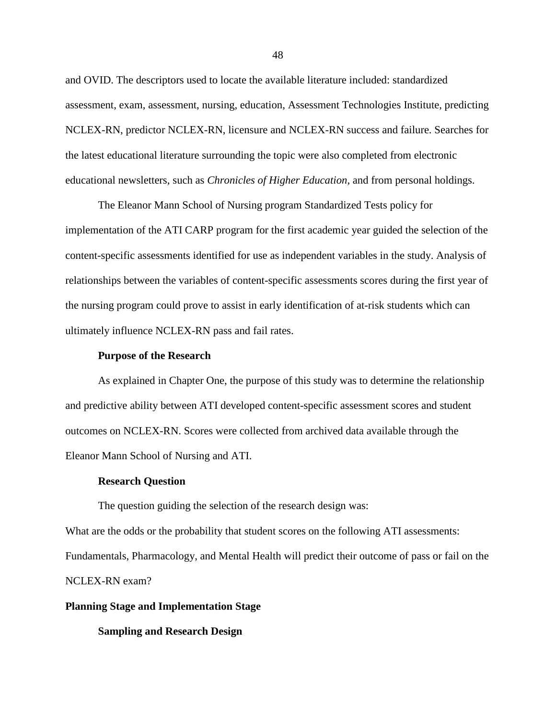and OVID. The descriptors used to locate the available literature included: standardized assessment, exam, assessment, nursing, education, Assessment Technologies Institute, predicting NCLEX-RN, predictor NCLEX-RN, licensure and NCLEX-RN success and failure. Searches for the latest educational literature surrounding the topic were also completed from electronic educational newsletters, such as *Chronicles of Higher Education,* and from personal holdings.

 The Eleanor Mann School of Nursing program Standardized Tests policy for implementation of the ATI CARP program for the first academic year guided the selection of the content-specific assessments identified for use as independent variables in the study. Analysis of relationships between the variables of content-specific assessments scores during the first year of the nursing program could prove to assist in early identification of at-risk students which can ultimately influence NCLEX-RN pass and fail rates.

## **Purpose of the Research**

 As explained in Chapter One, the purpose of this study was to determine the relationship and predictive ability between ATI developed content-specific assessment scores and student outcomes on NCLEX-RN. Scores were collected from archived data available through the Eleanor Mann School of Nursing and ATI.

#### **Research Question**

The question guiding the selection of the research design was:

What are the odds or the probability that student scores on the following ATI assessments: Fundamentals, Pharmacology, and Mental Health will predict their outcome of pass or fail on the NCLEX-RN exam?

## **Planning Stage and Implementation Stage**

 **Sampling and Research Design**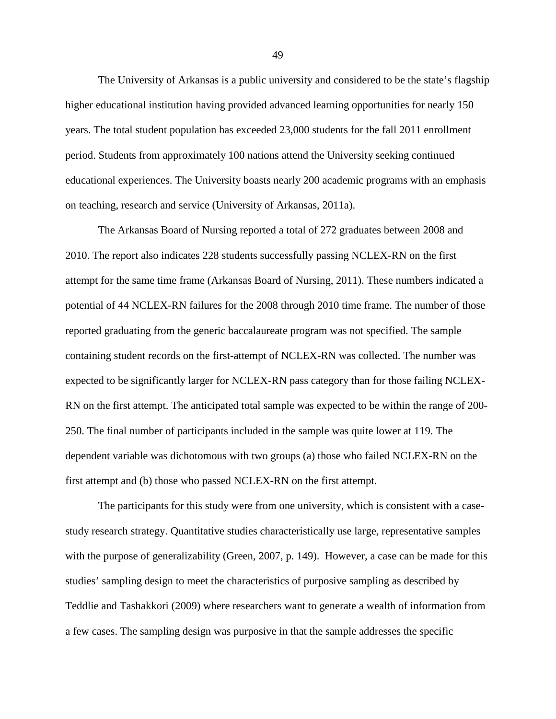The University of Arkansas is a public university and considered to be the state's flagship higher educational institution having provided advanced learning opportunities for nearly 150 years. The total student population has exceeded 23,000 students for the fall 2011 enrollment period. Students from approximately 100 nations attend the University seeking continued educational experiences. The University boasts nearly 200 academic programs with an emphasis on teaching, research and service (University of Arkansas, 2011a).

 The Arkansas Board of Nursing reported a total of 272 graduates between 2008 and 2010. The report also indicates 228 students successfully passing NCLEX-RN on the first attempt for the same time frame (Arkansas Board of Nursing, 2011). These numbers indicated a potential of 44 NCLEX-RN failures for the 2008 through 2010 time frame. The number of those reported graduating from the generic baccalaureate program was not specified. The sample containing student records on the first-attempt of NCLEX-RN was collected. The number was expected to be significantly larger for NCLEX-RN pass category than for those failing NCLEX-RN on the first attempt. The anticipated total sample was expected to be within the range of 200- 250. The final number of participants included in the sample was quite lower at 119. The dependent variable was dichotomous with two groups (a) those who failed NCLEX-RN on the first attempt and (b) those who passed NCLEX-RN on the first attempt.

 The participants for this study were from one university, which is consistent with a casestudy research strategy. Quantitative studies characteristically use large, representative samples with the purpose of generalizability (Green, 2007, p. 149). However, a case can be made for this studies' sampling design to meet the characteristics of purposive sampling as described by Teddlie and Tashakkori (2009) where researchers want to generate a wealth of information from a few cases. The sampling design was purposive in that the sample addresses the specific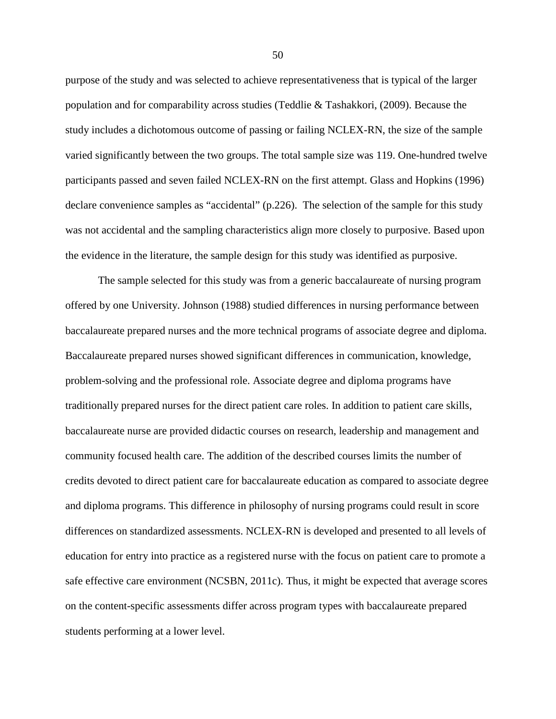purpose of the study and was selected to achieve representativeness that is typical of the larger population and for comparability across studies (Teddlie & Tashakkori, (2009). Because the study includes a dichotomous outcome of passing or failing NCLEX-RN, the size of the sample varied significantly between the two groups. The total sample size was 119. One-hundred twelve participants passed and seven failed NCLEX-RN on the first attempt. Glass and Hopkins (1996) declare convenience samples as "accidental" (p.226). The selection of the sample for this study was not accidental and the sampling characteristics align more closely to purposive. Based upon the evidence in the literature, the sample design for this study was identified as purposive.

 The sample selected for this study was from a generic baccalaureate of nursing program offered by one University. Johnson (1988) studied differences in nursing performance between baccalaureate prepared nurses and the more technical programs of associate degree and diploma. Baccalaureate prepared nurses showed significant differences in communication, knowledge, problem-solving and the professional role. Associate degree and diploma programs have traditionally prepared nurses for the direct patient care roles. In addition to patient care skills, baccalaureate nurse are provided didactic courses on research, leadership and management and community focused health care. The addition of the described courses limits the number of credits devoted to direct patient care for baccalaureate education as compared to associate degree and diploma programs. This difference in philosophy of nursing programs could result in score differences on standardized assessments. NCLEX-RN is developed and presented to all levels of education for entry into practice as a registered nurse with the focus on patient care to promote a safe effective care environment (NCSBN, 2011c). Thus, it might be expected that average scores on the content-specific assessments differ across program types with baccalaureate prepared students performing at a lower level.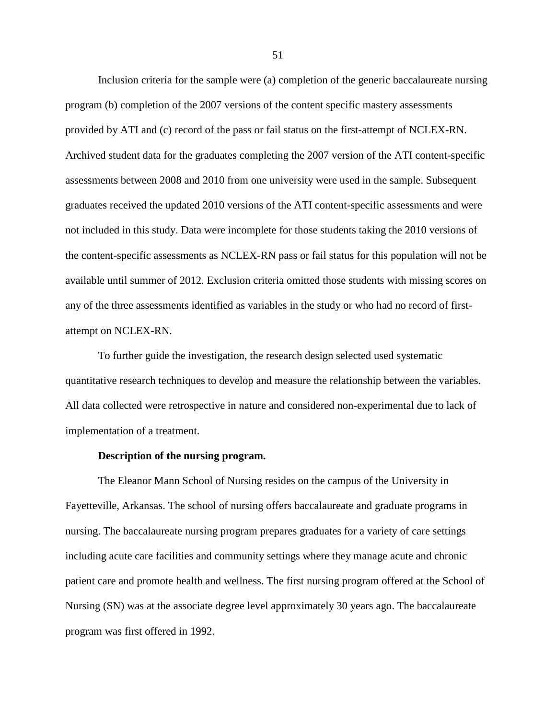Inclusion criteria for the sample were (a) completion of the generic baccalaureate nursing program (b) completion of the 2007 versions of the content specific mastery assessments provided by ATI and (c) record of the pass or fail status on the first-attempt of NCLEX-RN. Archived student data for the graduates completing the 2007 version of the ATI content-specific assessments between 2008 and 2010 from one university were used in the sample. Subsequent graduates received the updated 2010 versions of the ATI content-specific assessments and were not included in this study. Data were incomplete for those students taking the 2010 versions of the content-specific assessments as NCLEX-RN pass or fail status for this population will not be available until summer of 2012. Exclusion criteria omitted those students with missing scores on any of the three assessments identified as variables in the study or who had no record of firstattempt on NCLEX-RN.

 To further guide the investigation, the research design selected used systematic quantitative research techniques to develop and measure the relationship between the variables. All data collected were retrospective in nature and considered non-experimental due to lack of implementation of a treatment.

#### **Description of the nursing program.**

 The Eleanor Mann School of Nursing resides on the campus of the University in Fayetteville, Arkansas. The school of nursing offers baccalaureate and graduate programs in nursing. The baccalaureate nursing program prepares graduates for a variety of care settings including acute care facilities and community settings where they manage acute and chronic patient care and promote health and wellness. The first nursing program offered at the School of Nursing (SN) was at the associate degree level approximately 30 years ago. The baccalaureate program was first offered in 1992.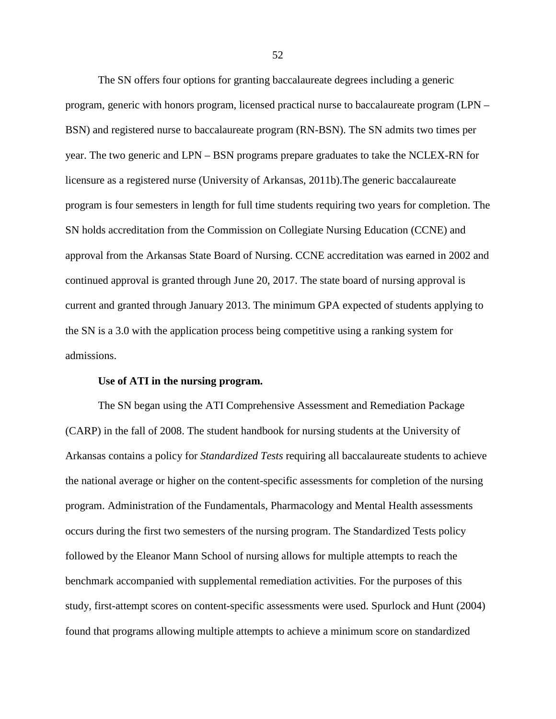The SN offers four options for granting baccalaureate degrees including a generic program, generic with honors program, licensed practical nurse to baccalaureate program (LPN – BSN) and registered nurse to baccalaureate program (RN-BSN). The SN admits two times per year. The two generic and LPN – BSN programs prepare graduates to take the NCLEX-RN for licensure as a registered nurse (University of Arkansas, 2011b).The generic baccalaureate program is four semesters in length for full time students requiring two years for completion. The SN holds accreditation from the Commission on Collegiate Nursing Education (CCNE) and approval from the Arkansas State Board of Nursing. CCNE accreditation was earned in 2002 and continued approval is granted through June 20, 2017. The state board of nursing approval is current and granted through January 2013. The minimum GPA expected of students applying to the SN is a 3.0 with the application process being competitive using a ranking system for admissions.

#### **Use of ATI in the nursing program.**

 The SN began using the ATI Comprehensive Assessment and Remediation Package (CARP) in the fall of 2008. The student handbook for nursing students at the University of Arkansas contains a policy for *Standardized Tests* requiring all baccalaureate students to achieve the national average or higher on the content-specific assessments for completion of the nursing program. Administration of the Fundamentals, Pharmacology and Mental Health assessments occurs during the first two semesters of the nursing program. The Standardized Tests policy followed by the Eleanor Mann School of nursing allows for multiple attempts to reach the benchmark accompanied with supplemental remediation activities. For the purposes of this study, first-attempt scores on content-specific assessments were used. Spurlock and Hunt (2004) found that programs allowing multiple attempts to achieve a minimum score on standardized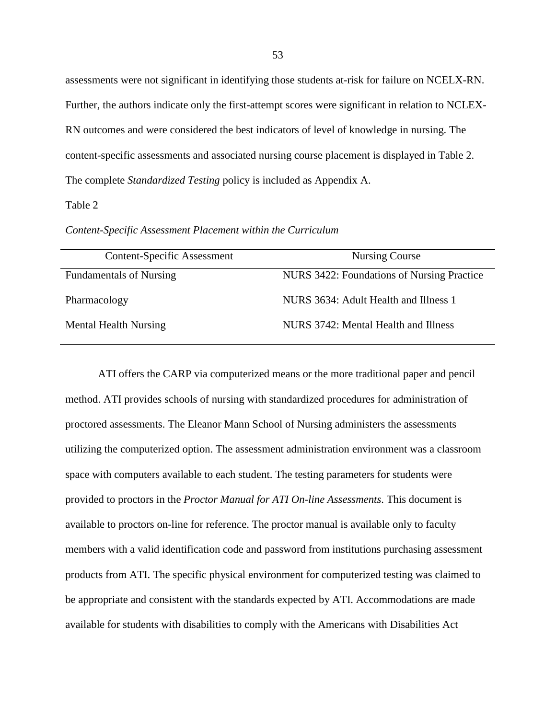assessments were not significant in identifying those students at-risk for failure on NCELX-RN. Further, the authors indicate only the first-attempt scores were significant in relation to NCLEX-RN outcomes and were considered the best indicators of level of knowledge in nursing. The content-specific assessments and associated nursing course placement is displayed in Table 2. The complete *Standardized Testing* policy is included as Appendix A.

### Table 2

*Content-Specific Assessment Placement within the Curriculum* 

| <b>Content-Specific Assessment</b> | Nursing Course                             |
|------------------------------------|--------------------------------------------|
| <b>Fundamentals of Nursing</b>     | NURS 3422: Foundations of Nursing Practice |
| Pharmacology                       | NURS 3634: Adult Health and Illness 1      |
| Mental Health Nursing              | NURS 3742: Mental Health and Illness       |

 ATI offers the CARP via computerized means or the more traditional paper and pencil method. ATI provides schools of nursing with standardized procedures for administration of proctored assessments. The Eleanor Mann School of Nursing administers the assessments utilizing the computerized option. The assessment administration environment was a classroom space with computers available to each student. The testing parameters for students were provided to proctors in the *Proctor Manual for ATI On-line Assessments*. This document is available to proctors on-line for reference. The proctor manual is available only to faculty members with a valid identification code and password from institutions purchasing assessment products from ATI. The specific physical environment for computerized testing was claimed to be appropriate and consistent with the standards expected by ATI. Accommodations are made available for students with disabilities to comply with the Americans with Disabilities Act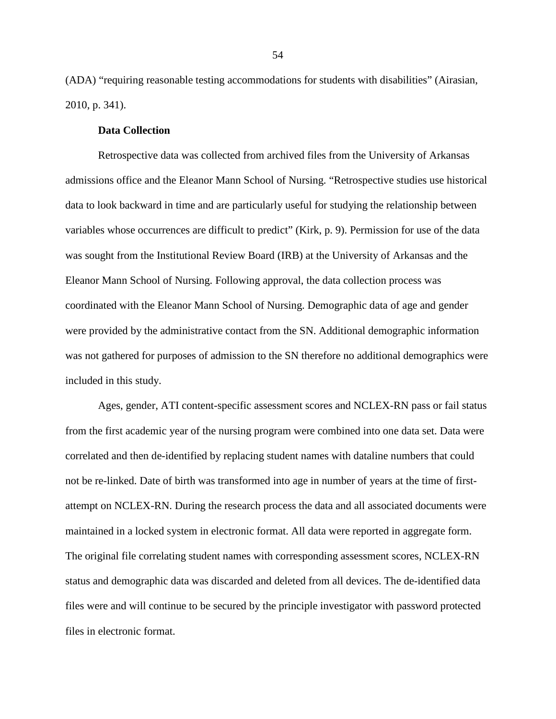(ADA) "requiring reasonable testing accommodations for students with disabilities" (Airasian, 2010, p. 341).

## **Data Collection**

 Retrospective data was collected from archived files from the University of Arkansas admissions office and the Eleanor Mann School of Nursing. "Retrospective studies use historical data to look backward in time and are particularly useful for studying the relationship between variables whose occurrences are difficult to predict" (Kirk, p. 9). Permission for use of the data was sought from the Institutional Review Board (IRB) at the University of Arkansas and the Eleanor Mann School of Nursing. Following approval, the data collection process was coordinated with the Eleanor Mann School of Nursing. Demographic data of age and gender were provided by the administrative contact from the SN. Additional demographic information was not gathered for purposes of admission to the SN therefore no additional demographics were included in this study.

Ages, gender, ATI content-specific assessment scores and NCLEX-RN pass or fail status from the first academic year of the nursing program were combined into one data set. Data were correlated and then de-identified by replacing student names with dataline numbers that could not be re-linked. Date of birth was transformed into age in number of years at the time of firstattempt on NCLEX-RN. During the research process the data and all associated documents were maintained in a locked system in electronic format. All data were reported in aggregate form. The original file correlating student names with corresponding assessment scores, NCLEX-RN status and demographic data was discarded and deleted from all devices. The de-identified data files were and will continue to be secured by the principle investigator with password protected files in electronic format.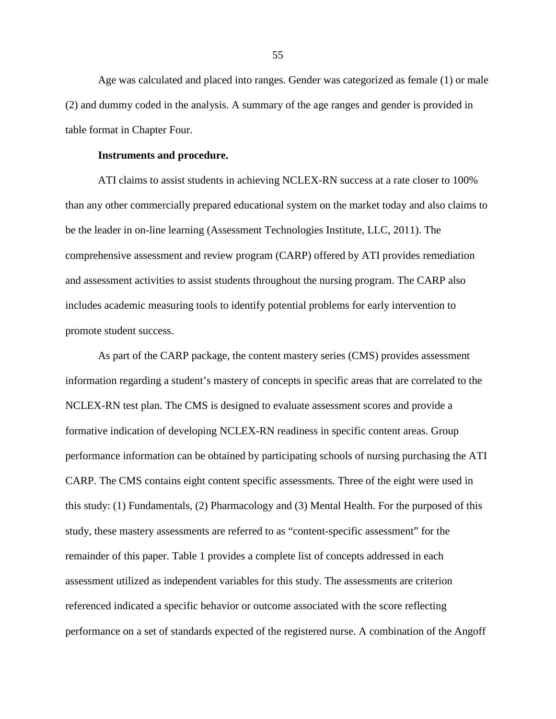Age was calculated and placed into ranges. Gender was categorized as female (1) or male (2) and dummy coded in the analysis. A summary of the age ranges and gender is provided in table format in Chapter Four.

#### **Instruments and procedure.**

ATI claims to assist students in achieving NCLEX-RN success at a rate closer to 100% than any other commercially prepared educational system on the market today and also claims to be the leader in on-line learning (Assessment Technologies Institute, LLC, 2011). The comprehensive assessment and review program (CARP) offered by ATI provides remediation and assessment activities to assist students throughout the nursing program. The CARP also includes academic measuring tools to identify potential problems for early intervention to promote student success.

 As part of the CARP package, the content mastery series (CMS) provides assessment information regarding a student's mastery of concepts in specific areas that are correlated to the NCLEX-RN test plan. The CMS is designed to evaluate assessment scores and provide a formative indication of developing NCLEX-RN readiness in specific content areas. Group performance information can be obtained by participating schools of nursing purchasing the ATI CARP. The CMS contains eight content specific assessments. Three of the eight were used in this study: (1) Fundamentals, (2) Pharmacology and (3) Mental Health. For the purposed of this study, these mastery assessments are referred to as "content-specific assessment" for the remainder of this paper. Table 1 provides a complete list of concepts addressed in each assessment utilized as independent variables for this study. The assessments are criterion referenced indicated a specific behavior or outcome associated with the score reflecting performance on a set of standards expected of the registered nurse. A combination of the Angoff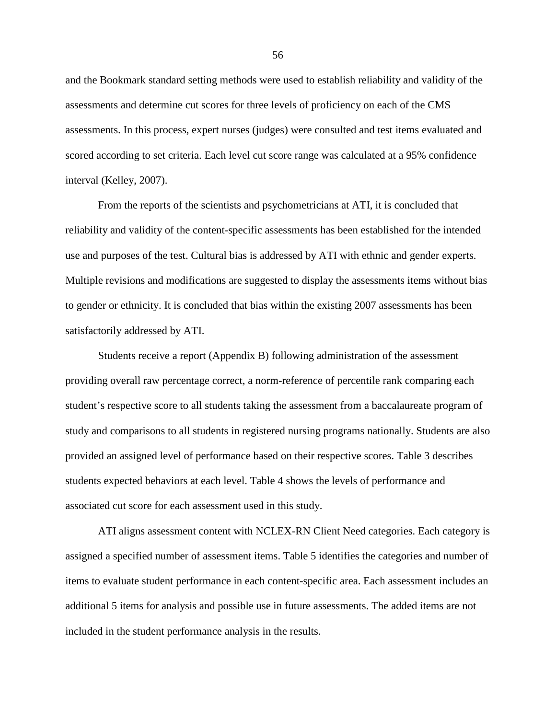and the Bookmark standard setting methods were used to establish reliability and validity of the assessments and determine cut scores for three levels of proficiency on each of the CMS assessments. In this process, expert nurses (judges) were consulted and test items evaluated and scored according to set criteria. Each level cut score range was calculated at a 95% confidence interval (Kelley, 2007).

 From the reports of the scientists and psychometricians at ATI, it is concluded that reliability and validity of the content-specific assessments has been established for the intended use and purposes of the test. Cultural bias is addressed by ATI with ethnic and gender experts. Multiple revisions and modifications are suggested to display the assessments items without bias to gender or ethnicity. It is concluded that bias within the existing 2007 assessments has been satisfactorily addressed by ATI.

 Students receive a report (Appendix B) following administration of the assessment providing overall raw percentage correct, a norm-reference of percentile rank comparing each student's respective score to all students taking the assessment from a baccalaureate program of study and comparisons to all students in registered nursing programs nationally. Students are also provided an assigned level of performance based on their respective scores. Table 3 describes students expected behaviors at each level. Table 4 shows the levels of performance and associated cut score for each assessment used in this study.

ATI aligns assessment content with NCLEX-RN Client Need categories. Each category is assigned a specified number of assessment items. Table 5 identifies the categories and number of items to evaluate student performance in each content-specific area. Each assessment includes an additional 5 items for analysis and possible use in future assessments. The added items are not included in the student performance analysis in the results.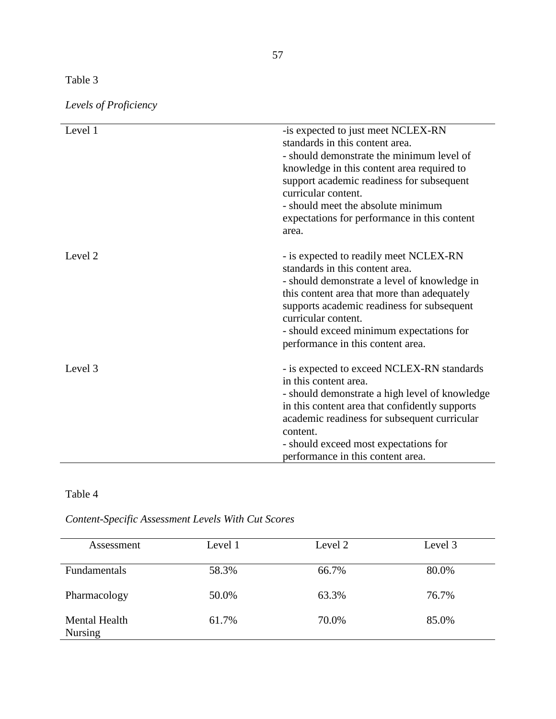# Table 3

| Levels of Proficiency |  |  |
|-----------------------|--|--|
|                       |  |  |

| Level 1 | -is expected to just meet NCLEX-RN<br>standards in this content area.<br>- should demonstrate the minimum level of<br>knowledge in this content area required to<br>support academic readiness for subsequent<br>curricular content.<br>- should meet the absolute minimum<br>expectations for performance in this content<br>area. |
|---------|-------------------------------------------------------------------------------------------------------------------------------------------------------------------------------------------------------------------------------------------------------------------------------------------------------------------------------------|
| Level 2 | - is expected to readily meet NCLEX-RN<br>standards in this content area.<br>- should demonstrate a level of knowledge in<br>this content area that more than adequately<br>supports academic readiness for subsequent<br>curricular content.<br>- should exceed minimum expectations for<br>performance in this content area.      |
| Level 3 | - is expected to exceed NCLEX-RN standards<br>in this content area.<br>- should demonstrate a high level of knowledge<br>in this content area that confidently supports<br>academic readiness for subsequent curricular<br>content.<br>- should exceed most expectations for<br>performance in this content area.                   |

# Table 4

# *Content-Specific Assessment Levels With Cut Scores*

| Assessment                             | Level 1 | Level 2 | Level 3 |
|----------------------------------------|---------|---------|---------|
| Fundamentals                           | 58.3%   | 66.7%   | 80.0%   |
| Pharmacology                           | 50.0%   | 63.3%   | 76.7%   |
| <b>Mental Health</b><br><b>Nursing</b> | 61.7%   | 70.0%   | 85.0%   |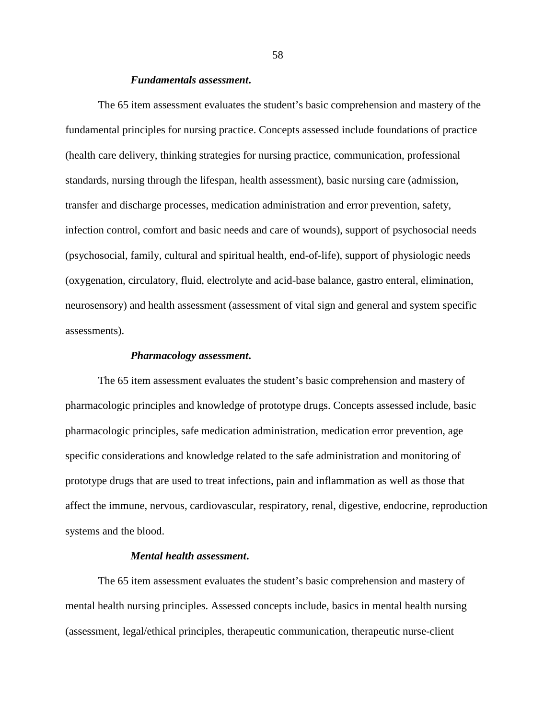## *Fundamentals assessment***.**

 The 65 item assessment evaluates the student's basic comprehension and mastery of the fundamental principles for nursing practice. Concepts assessed include foundations of practice (health care delivery, thinking strategies for nursing practice, communication, professional standards, nursing through the lifespan, health assessment), basic nursing care (admission, transfer and discharge processes, medication administration and error prevention, safety, infection control, comfort and basic needs and care of wounds), support of psychosocial needs (psychosocial, family, cultural and spiritual health, end-of-life), support of physiologic needs (oxygenation, circulatory, fluid, electrolyte and acid-base balance, gastro enteral, elimination, neurosensory) and health assessment (assessment of vital sign and general and system specific assessments).

#### *Pharmacology assessment***.**

 The 65 item assessment evaluates the student's basic comprehension and mastery of pharmacologic principles and knowledge of prototype drugs. Concepts assessed include, basic pharmacologic principles, safe medication administration, medication error prevention, age specific considerations and knowledge related to the safe administration and monitoring of prototype drugs that are used to treat infections, pain and inflammation as well as those that affect the immune, nervous, cardiovascular, respiratory, renal, digestive, endocrine, reproduction systems and the blood.

## *Mental health assessment***.**

 The 65 item assessment evaluates the student's basic comprehension and mastery of mental health nursing principles. Assessed concepts include, basics in mental health nursing (assessment, legal/ethical principles, therapeutic communication, therapeutic nurse-client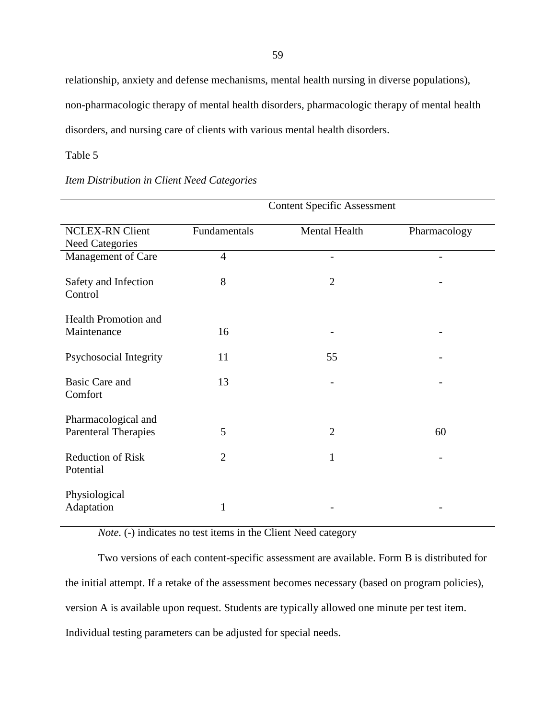relationship, anxiety and defense mechanisms, mental health nursing in diverse populations), non-pharmacologic therapy of mental health disorders, pharmacologic therapy of mental health disorders, and nursing care of clients with various mental health disorders.

Table 5

# *Item Distribution in Client Need Categories*

|                                                    | <b>Content Specific Assessment</b> |                |              |  |
|----------------------------------------------------|------------------------------------|----------------|--------------|--|
| <b>NCLEX-RN Client</b><br><b>Need Categories</b>   | Fundamentals                       | Mental Health  | Pharmacology |  |
| Management of Care                                 | $\overline{4}$                     |                |              |  |
| Safety and Infection<br>Control                    | 8                                  | $\overline{2}$ |              |  |
| <b>Health Promotion and</b><br>Maintenance         | 16                                 |                |              |  |
| Psychosocial Integrity                             | 11                                 | 55             |              |  |
| <b>Basic Care and</b><br>Comfort                   | 13                                 |                |              |  |
| Pharmacological and<br><b>Parenteral Therapies</b> | 5                                  | $\overline{2}$ | 60           |  |
| <b>Reduction of Risk</b><br>Potential              | $\overline{2}$                     | $\mathbf{1}$   |              |  |
| Physiological<br>Adaptation                        | 1                                  |                |              |  |

 *Note*. (-) indicates no test items in the Client Need category

 Two versions of each content-specific assessment are available. Form B is distributed for the initial attempt. If a retake of the assessment becomes necessary (based on program policies), version A is available upon request. Students are typically allowed one minute per test item. Individual testing parameters can be adjusted for special needs.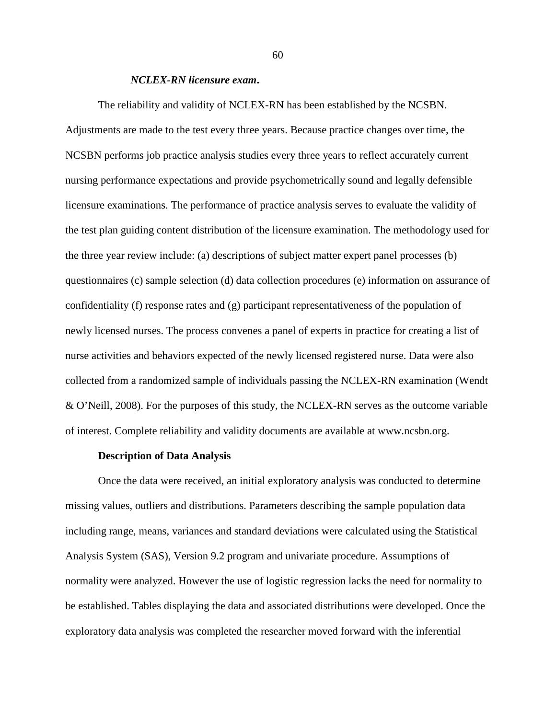## *NCLEX-RN licensure exam***.**

The reliability and validity of NCLEX-RN has been established by the NCSBN. Adjustments are made to the test every three years. Because practice changes over time, the NCSBN performs job practice analysis studies every three years to reflect accurately current nursing performance expectations and provide psychometrically sound and legally defensible licensure examinations. The performance of practice analysis serves to evaluate the validity of the test plan guiding content distribution of the licensure examination. The methodology used for the three year review include: (a) descriptions of subject matter expert panel processes (b) questionnaires (c) sample selection (d) data collection procedures (e) information on assurance of confidentiality (f) response rates and (g) participant representativeness of the population of newly licensed nurses. The process convenes a panel of experts in practice for creating a list of nurse activities and behaviors expected of the newly licensed registered nurse. Data were also collected from a randomized sample of individuals passing the NCLEX-RN examination (Wendt & O'Neill, 2008). For the purposes of this study, the NCLEX-RN serves as the outcome variable of interest. Complete reliability and validity documents are available at www.ncsbn.org.

#### **Description of Data Analysis**

 Once the data were received, an initial exploratory analysis was conducted to determine missing values, outliers and distributions. Parameters describing the sample population data including range, means, variances and standard deviations were calculated using the Statistical Analysis System (SAS), Version 9.2 program and univariate procedure. Assumptions of normality were analyzed. However the use of logistic regression lacks the need for normality to be established. Tables displaying the data and associated distributions were developed. Once the exploratory data analysis was completed the researcher moved forward with the inferential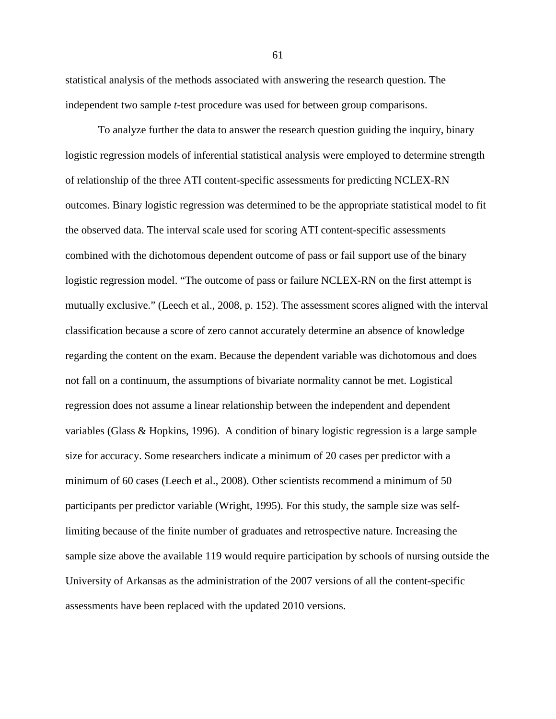statistical analysis of the methods associated with answering the research question. The independent two sample *t*-test procedure was used for between group comparisons.

 To analyze further the data to answer the research question guiding the inquiry, binary logistic regression models of inferential statistical analysis were employed to determine strength of relationship of the three ATI content-specific assessments for predicting NCLEX-RN outcomes. Binary logistic regression was determined to be the appropriate statistical model to fit the observed data. The interval scale used for scoring ATI content-specific assessments combined with the dichotomous dependent outcome of pass or fail support use of the binary logistic regression model. "The outcome of pass or failure NCLEX-RN on the first attempt is mutually exclusive." (Leech et al., 2008, p. 152). The assessment scores aligned with the interval classification because a score of zero cannot accurately determine an absence of knowledge regarding the content on the exam. Because the dependent variable was dichotomous and does not fall on a continuum, the assumptions of bivariate normality cannot be met. Logistical regression does not assume a linear relationship between the independent and dependent variables (Glass & Hopkins, 1996). A condition of binary logistic regression is a large sample size for accuracy. Some researchers indicate a minimum of 20 cases per predictor with a minimum of 60 cases (Leech et al., 2008). Other scientists recommend a minimum of 50 participants per predictor variable (Wright, 1995). For this study, the sample size was selflimiting because of the finite number of graduates and retrospective nature. Increasing the sample size above the available 119 would require participation by schools of nursing outside the University of Arkansas as the administration of the 2007 versions of all the content-specific assessments have been replaced with the updated 2010 versions.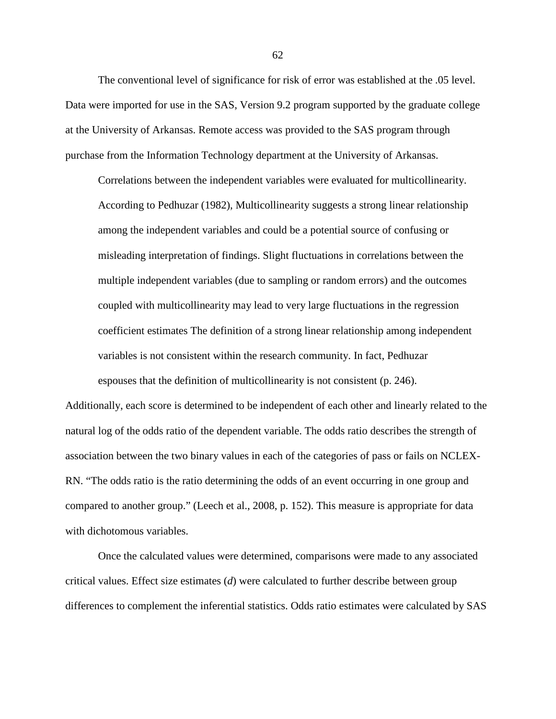The conventional level of significance for risk of error was established at the .05 level. Data were imported for use in the SAS, Version 9.2 program supported by the graduate college at the University of Arkansas. Remote access was provided to the SAS program through purchase from the Information Technology department at the University of Arkansas.

 Correlations between the independent variables were evaluated for multicollinearity. According to Pedhuzar (1982), Multicollinearity suggests a strong linear relationship among the independent variables and could be a potential source of confusing or misleading interpretation of findings. Slight fluctuations in correlations between the multiple independent variables (due to sampling or random errors) and the outcomes coupled with multicollinearity may lead to very large fluctuations in the regression coefficient estimates The definition of a strong linear relationship among independent variables is not consistent within the research community. In fact, Pedhuzar espouses that the definition of multicollinearity is not consistent (p. 246).

Additionally, each score is determined to be independent of each other and linearly related to the natural log of the odds ratio of the dependent variable. The odds ratio describes the strength of association between the two binary values in each of the categories of pass or fails on NCLEX-RN. "The odds ratio is the ratio determining the odds of an event occurring in one group and compared to another group." (Leech et al., 2008, p. 152). This measure is appropriate for data with dichotomous variables.

 Once the calculated values were determined, comparisons were made to any associated critical values. Effect size estimates (*d*) were calculated to further describe between group differences to complement the inferential statistics. Odds ratio estimates were calculated by SAS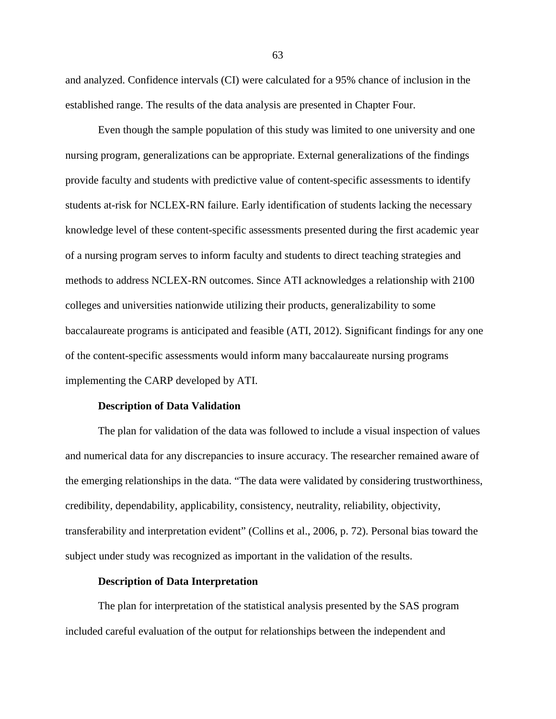and analyzed. Confidence intervals (CI) were calculated for a 95% chance of inclusion in the established range. The results of the data analysis are presented in Chapter Four.

 Even though the sample population of this study was limited to one university and one nursing program, generalizations can be appropriate. External generalizations of the findings provide faculty and students with predictive value of content-specific assessments to identify students at-risk for NCLEX-RN failure. Early identification of students lacking the necessary knowledge level of these content-specific assessments presented during the first academic year of a nursing program serves to inform faculty and students to direct teaching strategies and methods to address NCLEX-RN outcomes. Since ATI acknowledges a relationship with 2100 colleges and universities nationwide utilizing their products, generalizability to some baccalaureate programs is anticipated and feasible (ATI, 2012). Significant findings for any one of the content-specific assessments would inform many baccalaureate nursing programs implementing the CARP developed by ATI.

#### **Description of Data Validation**

The plan for validation of the data was followed to include a visual inspection of values and numerical data for any discrepancies to insure accuracy. The researcher remained aware of the emerging relationships in the data. "The data were validated by considering trustworthiness, credibility, dependability, applicability, consistency, neutrality, reliability, objectivity, transferability and interpretation evident" (Collins et al., 2006, p. 72). Personal bias toward the subject under study was recognized as important in the validation of the results.

# **Description of Data Interpretation**

The plan for interpretation of the statistical analysis presented by the SAS program included careful evaluation of the output for relationships between the independent and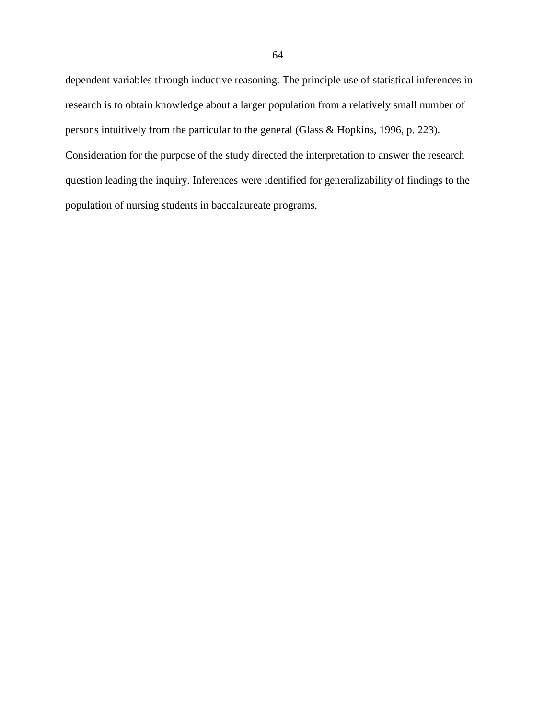dependent variables through inductive reasoning. The principle use of statistical inferences in research is to obtain knowledge about a larger population from a relatively small number of persons intuitively from the particular to the general (Glass & Hopkins, 1996, p. 223). Consideration for the purpose of the study directed the interpretation to answer the research question leading the inquiry. Inferences were identified for generalizability of findings to the population of nursing students in baccalaureate programs.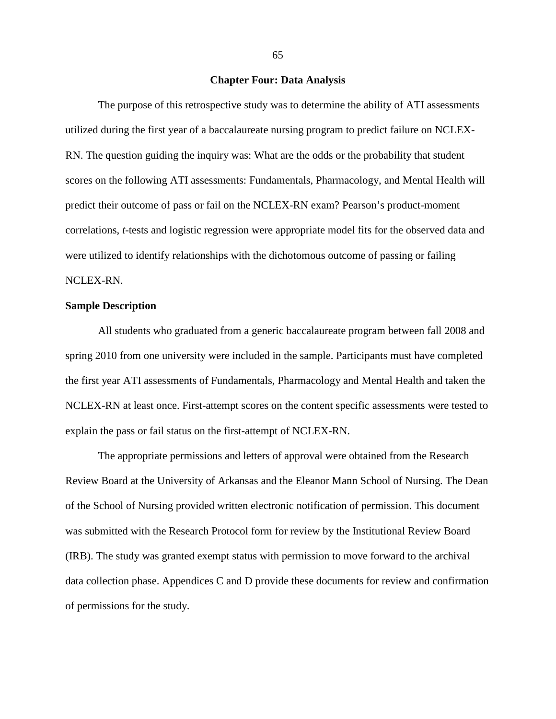# **Chapter Four: Data Analysis**

 The purpose of this retrospective study was to determine the ability of ATI assessments utilized during the first year of a baccalaureate nursing program to predict failure on NCLEX-RN. The question guiding the inquiry was: What are the odds or the probability that student scores on the following ATI assessments: Fundamentals, Pharmacology, and Mental Health will predict their outcome of pass or fail on the NCLEX-RN exam? Pearson's product-moment correlations, *t*-tests and logistic regression were appropriate model fits for the observed data and were utilized to identify relationships with the dichotomous outcome of passing or failing NCLEX-RN.

#### **Sample Description**

 All students who graduated from a generic baccalaureate program between fall 2008 and spring 2010 from one university were included in the sample. Participants must have completed the first year ATI assessments of Fundamentals, Pharmacology and Mental Health and taken the NCLEX-RN at least once. First-attempt scores on the content specific assessments were tested to explain the pass or fail status on the first-attempt of NCLEX-RN.

 The appropriate permissions and letters of approval were obtained from the Research Review Board at the University of Arkansas and the Eleanor Mann School of Nursing. The Dean of the School of Nursing provided written electronic notification of permission. This document was submitted with the Research Protocol form for review by the Institutional Review Board (IRB). The study was granted exempt status with permission to move forward to the archival data collection phase. Appendices C and D provide these documents for review and confirmation of permissions for the study.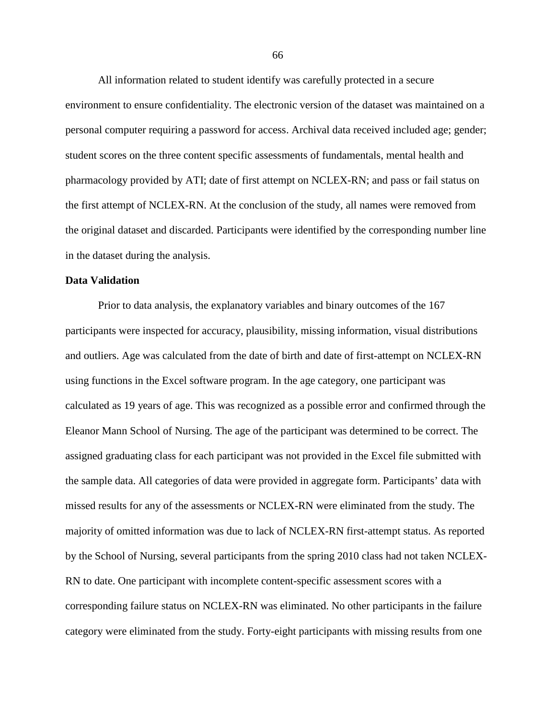All information related to student identify was carefully protected in a secure environment to ensure confidentiality. The electronic version of the dataset was maintained on a personal computer requiring a password for access. Archival data received included age; gender; student scores on the three content specific assessments of fundamentals, mental health and pharmacology provided by ATI; date of first attempt on NCLEX-RN; and pass or fail status on the first attempt of NCLEX-RN. At the conclusion of the study, all names were removed from the original dataset and discarded. Participants were identified by the corresponding number line in the dataset during the analysis.

#### **Data Validation**

 Prior to data analysis, the explanatory variables and binary outcomes of the 167 participants were inspected for accuracy, plausibility, missing information, visual distributions and outliers. Age was calculated from the date of birth and date of first-attempt on NCLEX-RN using functions in the Excel software program. In the age category, one participant was calculated as 19 years of age. This was recognized as a possible error and confirmed through the Eleanor Mann School of Nursing. The age of the participant was determined to be correct. The assigned graduating class for each participant was not provided in the Excel file submitted with the sample data. All categories of data were provided in aggregate form. Participants' data with missed results for any of the assessments or NCLEX-RN were eliminated from the study. The majority of omitted information was due to lack of NCLEX-RN first-attempt status. As reported by the School of Nursing, several participants from the spring 2010 class had not taken NCLEX-RN to date. One participant with incomplete content-specific assessment scores with a corresponding failure status on NCLEX-RN was eliminated. No other participants in the failure category were eliminated from the study. Forty-eight participants with missing results from one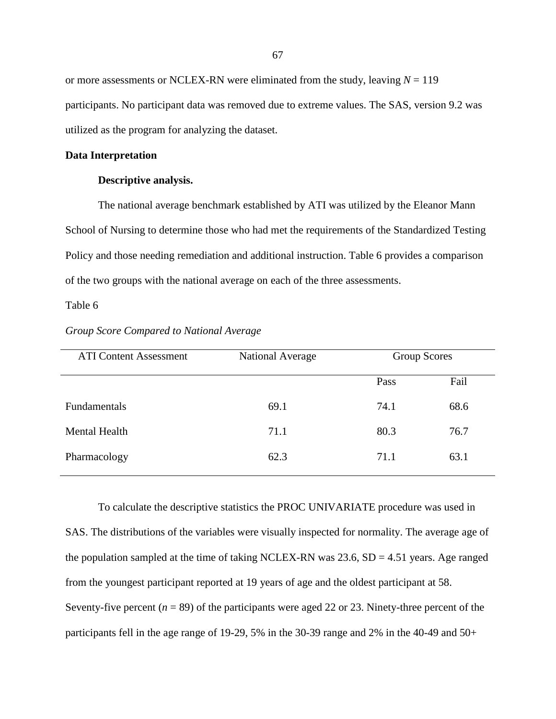or more assessments or NCLEX-RN were eliminated from the study, leaving  $N = 119$ participants. No participant data was removed due to extreme values. The SAS, version 9.2 was utilized as the program for analyzing the dataset.

#### **Data Interpretation**

## **Descriptive analysis.**

 The national average benchmark established by ATI was utilized by the Eleanor Mann School of Nursing to determine those who had met the requirements of the Standardized Testing Policy and those needing remediation and additional instruction. Table 6 provides a comparison of the two groups with the national average on each of the three assessments.

# Table 6

| National Average | <b>Group Scores</b> |  |
|------------------|---------------------|--|
| Pass             | Fail                |  |
| 74.1             | 68.6                |  |
| 80.3             | 76.7                |  |
| 71.1             | 63.1                |  |
| 69.1<br>71.1     | 62.3                |  |

*Group Score Compared to National Average* 

 To calculate the descriptive statistics the PROC UNIVARIATE procedure was used in SAS. The distributions of the variables were visually inspected for normality. The average age of the population sampled at the time of taking NCLEX-RN was  $23.6$ , SD = 4.51 years. Age ranged from the youngest participant reported at 19 years of age and the oldest participant at 58. Seventy-five percent  $(n = 89)$  of the participants were aged 22 or 23. Ninety-three percent of the participants fell in the age range of 19-29, 5% in the 30-39 range and 2% in the 40-49 and 50+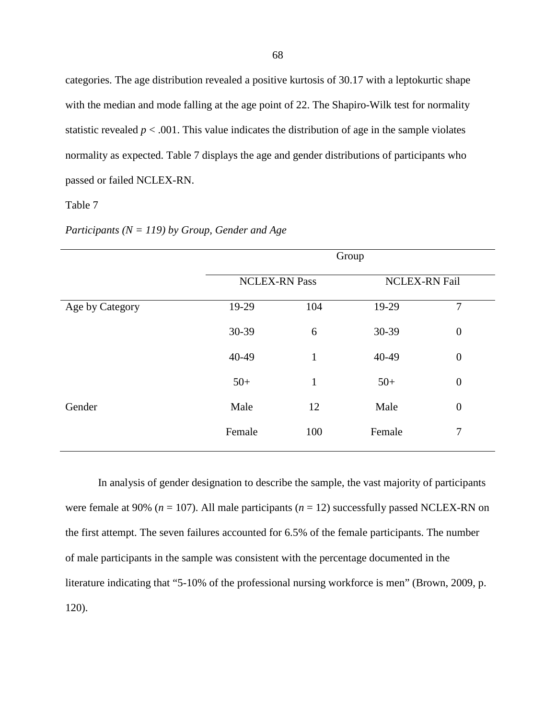categories. The age distribution revealed a positive kurtosis of 30.17 with a leptokurtic shape with the median and mode falling at the age point of 22. The Shapiro-Wilk test for normality statistic revealed  $p < .001$ . This value indicates the distribution of age in the sample violates normality as expected. Table 7 displays the age and gender distributions of participants who passed or failed NCLEX-RN.

# Table 7

|                 | Group  |                      |        |                  |  |
|-----------------|--------|----------------------|--------|------------------|--|
|                 |        | <b>NCLEX-RN Pass</b> |        | NCLEX-RN Fail    |  |
| Age by Category | 19-29  | 104                  | 19-29  | $\overline{7}$   |  |
|                 | 30-39  | 6                    | 30-39  | $\boldsymbol{0}$ |  |
|                 | 40-49  | $\mathbf{1}$         | 40-49  | $\boldsymbol{0}$ |  |
|                 | $50+$  | $\mathbf{1}$         | $50+$  | $\boldsymbol{0}$ |  |
| Gender          | Male   | 12                   | Male   | $\boldsymbol{0}$ |  |
|                 | Female | 100                  | Female | 7                |  |
|                 |        |                      |        |                  |  |

*Participants (N = 119) by Group, Gender and Age* 

 In analysis of gender designation to describe the sample, the vast majority of participants were female at 90% ( $n = 107$ ). All male participants ( $n = 12$ ) successfully passed NCLEX-RN on the first attempt. The seven failures accounted for 6.5% of the female participants. The number of male participants in the sample was consistent with the percentage documented in the literature indicating that "5-10% of the professional nursing workforce is men" (Brown, 2009, p. 120).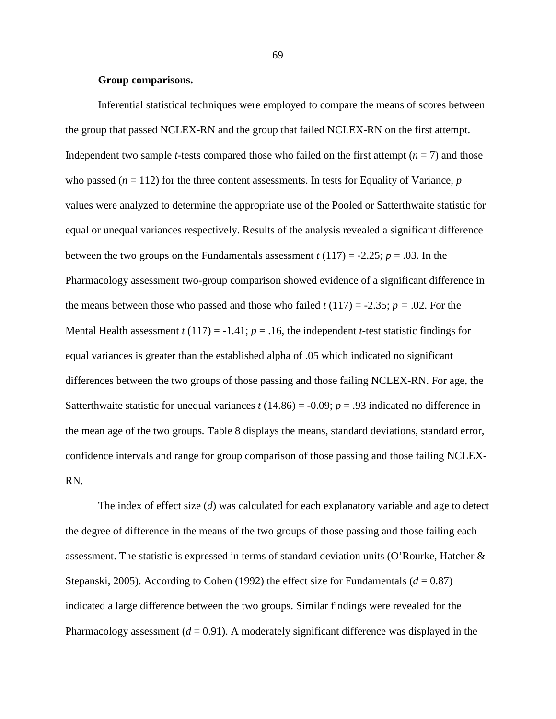# **Group comparisons.**

 Inferential statistical techniques were employed to compare the means of scores between the group that passed NCLEX-RN and the group that failed NCLEX-RN on the first attempt. Independent two sample *t*-tests compared those who failed on the first attempt ( $n = 7$ ) and those who passed  $(n = 112)$  for the three content assessments. In tests for Equality of Variance, *p* values were analyzed to determine the appropriate use of the Pooled or Satterthwaite statistic for equal or unequal variances respectively. Results of the analysis revealed a significant difference between the two groups on the Fundamentals assessment  $t(117) = -2.25$ ;  $p = .03$ . In the Pharmacology assessment two-group comparison showed evidence of a significant difference in the means between those who passed and those who failed  $t(117) = -2.35$ ;  $p = .02$ . For the Mental Health assessment  $t(117) = -1.41$ ;  $p = .16$ , the independent *t*-test statistic findings for equal variances is greater than the established alpha of .05 which indicated no significant differences between the two groups of those passing and those failing NCLEX-RN. For age, the Satterthwaite statistic for unequal variances  $t(14.86) = -0.09$ ;  $p = .93$  indicated no difference in the mean age of the two groups*.* Table 8 displays the means, standard deviations, standard error, confidence intervals and range for group comparison of those passing and those failing NCLEX-RN.

 The index of effect size (*d*) was calculated for each explanatory variable and age to detect the degree of difference in the means of the two groups of those passing and those failing each assessment. The statistic is expressed in terms of standard deviation units (O'Rourke, Hatcher & Stepanski, 2005). According to Cohen (1992) the effect size for Fundamentals  $(d = 0.87)$ indicated a large difference between the two groups. Similar findings were revealed for the Pharmacology assessment  $(d = 0.91)$ . A moderately significant difference was displayed in the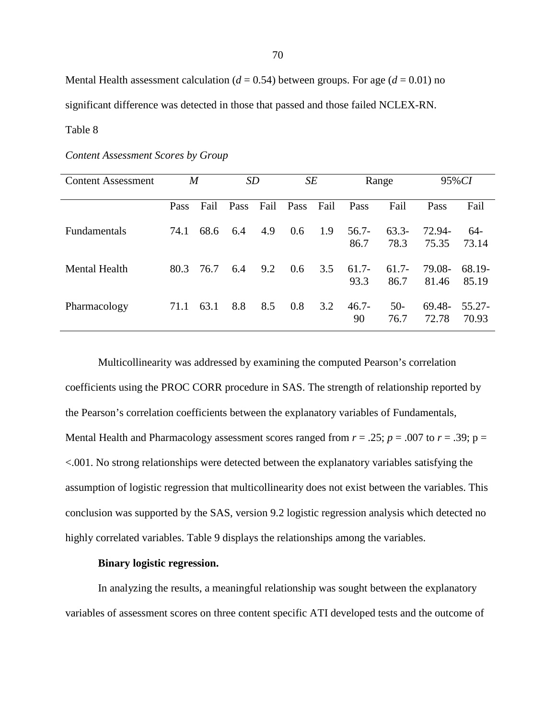Mental Health assessment calculation ( $d = 0.54$ ) between groups. For age ( $d = 0.01$ ) no significant difference was detected in those that passed and those failed NCLEX-RN. Table 8

# *Content Assessment Scores by Group*

| <b>Content Assessment</b> | M    |      | SD   |      | SE   |      | Range           |                  | 95% CI          |                    |
|---------------------------|------|------|------|------|------|------|-----------------|------------------|-----------------|--------------------|
|                           | Pass | Fail | Pass | Fail | Pass | Fail | Pass            | Fail             | Pass            | Fail               |
| <b>Fundamentals</b>       | 74.1 | 68.6 | 6.4  | 4.9  | 0.6  | 1.9  | $56.7-$<br>86.7 | $63.3-$<br>78.3  | 72.94-<br>75.35 | 64-<br>73.14       |
| Mental Health             | 80.3 | 76.7 | 6.4  | 9.2  | 0.6  | 3.5  | $61.7-$<br>93.3 | $61.7 -$<br>86.7 | 79.08-<br>81.46 | 68.19-<br>85.19    |
| Pharmacology              | 71.1 | 63.1 | 8.8  | 8.5  | 0.8  | 3.2  | $46.7 -$<br>90  | $50-$<br>76.7    | 69.48-<br>72.78 | $55.27 -$<br>70.93 |

 Multicollinearity was addressed by examining the computed Pearson's correlation coefficients using the PROC CORR procedure in SAS. The strength of relationship reported by the Pearson's correlation coefficients between the explanatory variables of Fundamentals, Mental Health and Pharmacology assessment scores ranged from  $r = .25$ ;  $p = .007$  to  $r = .39$ ;  $p =$ <.001. No strong relationships were detected between the explanatory variables satisfying the assumption of logistic regression that multicollinearity does not exist between the variables. This conclusion was supported by the SAS, version 9.2 logistic regression analysis which detected no highly correlated variables. Table 9 displays the relationships among the variables.

#### **Binary logistic regression.**

 In analyzing the results, a meaningful relationship was sought between the explanatory variables of assessment scores on three content specific ATI developed tests and the outcome of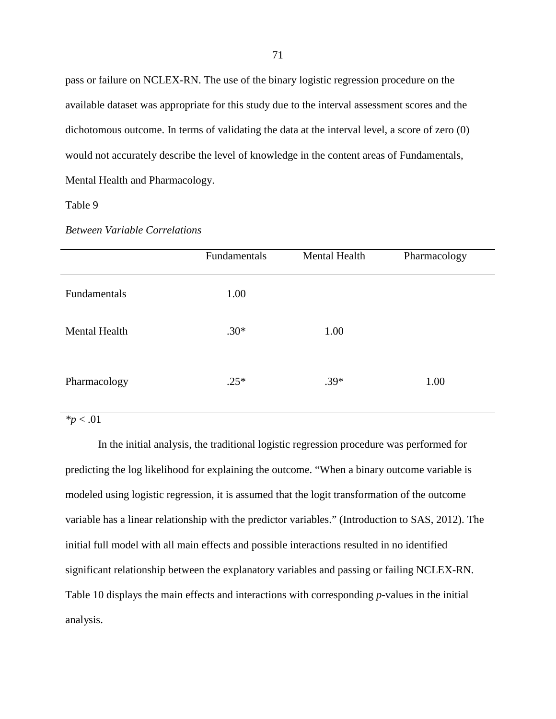pass or failure on NCLEX-RN. The use of the binary logistic regression procedure on the available dataset was appropriate for this study due to the interval assessment scores and the dichotomous outcome. In terms of validating the data at the interval level, a score of zero (0) would not accurately describe the level of knowledge in the content areas of Fundamentals, Mental Health and Pharmacology.

# Table 9

|                      | Fundamentals | Mental Health | Pharmacology |
|----------------------|--------------|---------------|--------------|
| Fundamentals         | 1.00         |               |              |
| <b>Mental Health</b> | $.30*$       | 1.00          |              |
| Pharmacology         | $.25*$       | $.39*$        | 1.00         |

# *Between Variable Correlations*

# *\*p* < .01

 In the initial analysis, the traditional logistic regression procedure was performed for predicting the log likelihood for explaining the outcome. "When a binary outcome variable is modeled using logistic regression, it is assumed that the logit transformation of the outcome variable has a linear relationship with the predictor variables." (Introduction to SAS, 2012). The initial full model with all main effects and possible interactions resulted in no identified significant relationship between the explanatory variables and passing or failing NCLEX-RN. Table 10 displays the main effects and interactions with corresponding *p*-values in the initial analysis.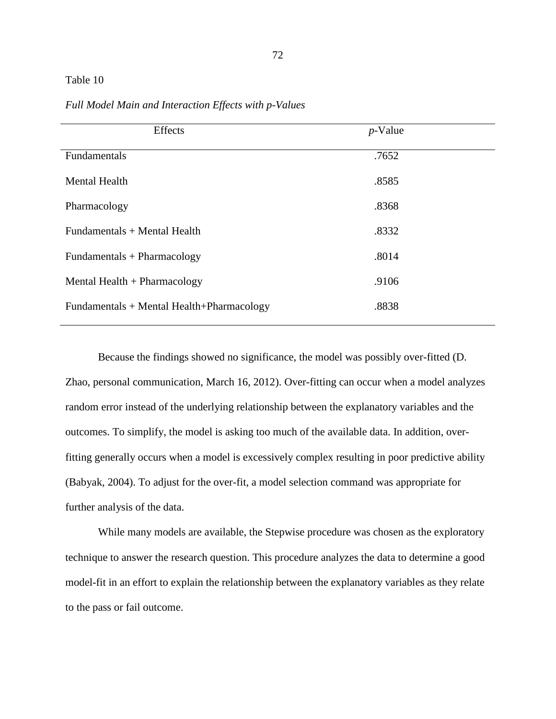# Table 10

| Effects                                   | $p$ -Value |
|-------------------------------------------|------------|
| Fundamentals                              | .7652      |
| <b>Mental Health</b>                      | .8585      |
| Pharmacology                              | .8368      |
| Fundamentals + Mental Health              | .8332      |
| Fundamentals + Pharmacology               | .8014      |
| Mental Health $+$ Pharmacology            | .9106      |
| Fundamentals + Mental Health+Pharmacology | .8838      |

*Full Model Main and Interaction Effects with p-Values* 

 Because the findings showed no significance, the model was possibly over-fitted (D. Zhao, personal communication, March 16, 2012). Over-fitting can occur when a model analyzes random error instead of the underlying relationship between the explanatory variables and the outcomes. To simplify, the model is asking too much of the available data. In addition, overfitting generally occurs when a model is excessively complex resulting in poor predictive ability (Babyak, 2004). To adjust for the over-fit, a model selection command was appropriate for further analysis of the data.

 While many models are available, the Stepwise procedure was chosen as the exploratory technique to answer the research question. This procedure analyzes the data to determine a good model-fit in an effort to explain the relationship between the explanatory variables as they relate to the pass or fail outcome.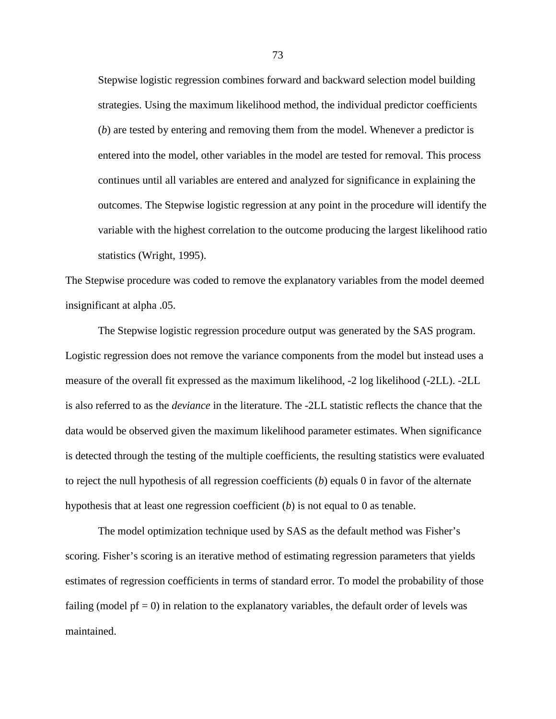Stepwise logistic regression combines forward and backward selection model building strategies. Using the maximum likelihood method, the individual predictor coefficients (*b*) are tested by entering and removing them from the model. Whenever a predictor is entered into the model, other variables in the model are tested for removal. This process continues until all variables are entered and analyzed for significance in explaining the outcomes. The Stepwise logistic regression at any point in the procedure will identify the variable with the highest correlation to the outcome producing the largest likelihood ratio statistics (Wright, 1995).

The Stepwise procedure was coded to remove the explanatory variables from the model deemed insignificant at alpha .05.

 The Stepwise logistic regression procedure output was generated by the SAS program. Logistic regression does not remove the variance components from the model but instead uses a measure of the overall fit expressed as the maximum likelihood, -2 log likelihood (-2LL). -2LL is also referred to as the *deviance* in the literature. The -2LL statistic reflects the chance that the data would be observed given the maximum likelihood parameter estimates. When significance is detected through the testing of the multiple coefficients, the resulting statistics were evaluated to reject the null hypothesis of all regression coefficients (*b*) equals 0 in favor of the alternate hypothesis that at least one regression coefficient (*b*) is not equal to 0 as tenable.

 The model optimization technique used by SAS as the default method was Fisher's scoring. Fisher's scoring is an iterative method of estimating regression parameters that yields estimates of regression coefficients in terms of standard error. To model the probability of those failing (model  $pf = 0$ ) in relation to the explanatory variables, the default order of levels was maintained.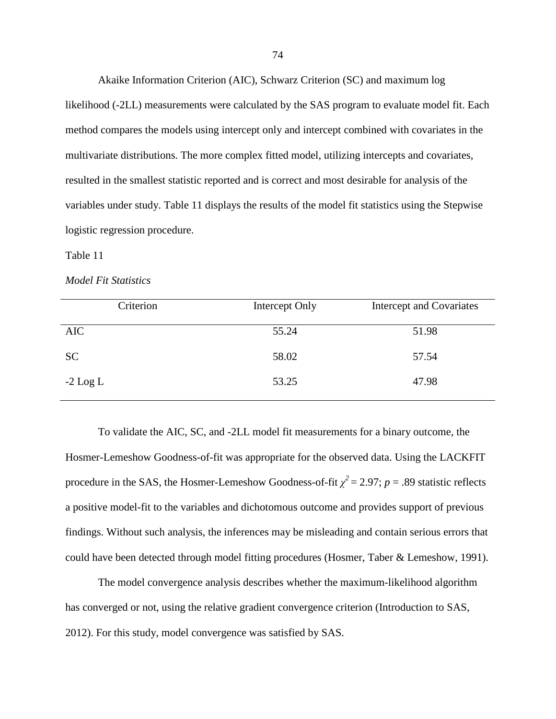Akaike Information Criterion (AIC), Schwarz Criterion (SC) and maximum log likelihood (-2LL) measurements were calculated by the SAS program to evaluate model fit. Each method compares the models using intercept only and intercept combined with covariates in the multivariate distributions. The more complex fitted model, utilizing intercepts and covariates, resulted in the smallest statistic reported and is correct and most desirable for analysis of the variables under study. Table 11 displays the results of the model fit statistics using the Stepwise logistic regression procedure.

# Table 11

#### *Model Fit Statistics*

| Criterion  | Intercept Only | Intercept and Covariates |
|------------|----------------|--------------------------|
| <b>AIC</b> | 55.24          | 51.98                    |
| <b>SC</b>  | 58.02          | 57.54                    |
| $-2$ Log L | 53.25          | 47.98                    |

 To validate the AIC, SC, and -2LL model fit measurements for a binary outcome, the Hosmer-Lemeshow Goodness-of-fit was appropriate for the observed data. Using the LACKFIT procedure in the SAS, the Hosmer-Lemeshow Goodness-of-fit  $\chi^2 = 2.97$ ; *p* = .89 statistic reflects a positive model-fit to the variables and dichotomous outcome and provides support of previous findings. Without such analysis, the inferences may be misleading and contain serious errors that could have been detected through model fitting procedures (Hosmer, Taber & Lemeshow, 1991).

 The model convergence analysis describes whether the maximum-likelihood algorithm has converged or not, using the relative gradient convergence criterion (Introduction to SAS, 2012). For this study, model convergence was satisfied by SAS.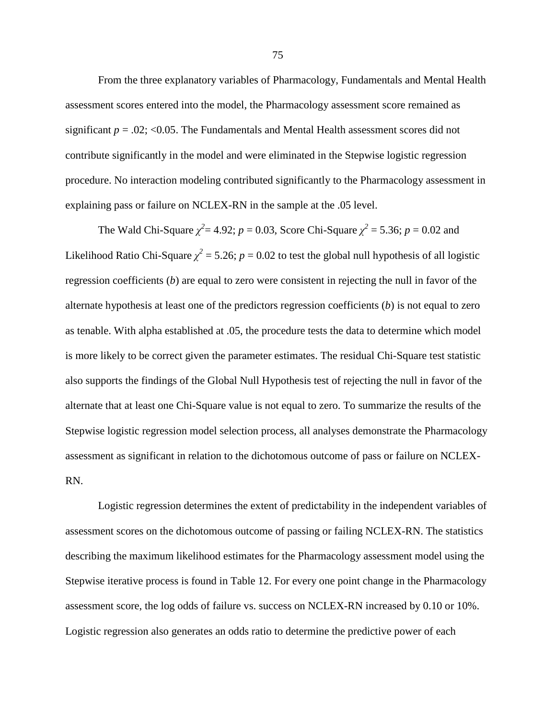From the three explanatory variables of Pharmacology, Fundamentals and Mental Health assessment scores entered into the model, the Pharmacology assessment score remained as significant  $p = .02$ ; <0.05. The Fundamentals and Mental Health assessment scores did not contribute significantly in the model and were eliminated in the Stepwise logistic regression procedure. No interaction modeling contributed significantly to the Pharmacology assessment in explaining pass or failure on NCLEX-RN in the sample at the .05 level.

The Wald Chi-Square  $\chi^2$  = 4.92; *p* = 0.03, Score Chi-Square  $\chi^2$  = 5.36; *p* = 0.02 and Likelihood Ratio Chi-Square  $\chi^2$  = 5.26;  $p$  = 0.02 to test the global null hypothesis of all logistic regression coefficients (*b*) are equal to zero were consistent in rejecting the null in favor of the alternate hypothesis at least one of the predictors regression coefficients (*b*) is not equal to zero as tenable. With alpha established at .05, the procedure tests the data to determine which model is more likely to be correct given the parameter estimates. The residual Chi-Square test statistic also supports the findings of the Global Null Hypothesis test of rejecting the null in favor of the alternate that at least one Chi-Square value is not equal to zero. To summarize the results of the Stepwise logistic regression model selection process, all analyses demonstrate the Pharmacology assessment as significant in relation to the dichotomous outcome of pass or failure on NCLEX-RN.

 Logistic regression determines the extent of predictability in the independent variables of assessment scores on the dichotomous outcome of passing or failing NCLEX-RN. The statistics describing the maximum likelihood estimates for the Pharmacology assessment model using the Stepwise iterative process is found in Table 12. For every one point change in the Pharmacology assessment score, the log odds of failure vs. success on NCLEX-RN increased by 0.10 or 10%. Logistic regression also generates an odds ratio to determine the predictive power of each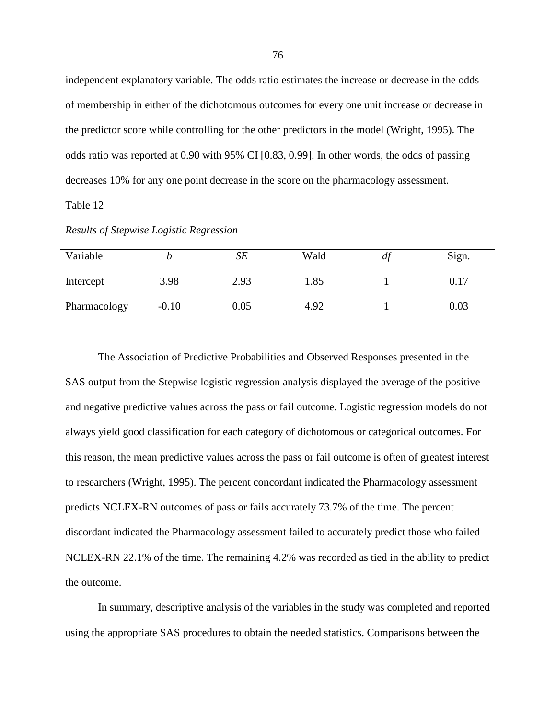independent explanatory variable. The odds ratio estimates the increase or decrease in the odds of membership in either of the dichotomous outcomes for every one unit increase or decrease in the predictor score while controlling for the other predictors in the model (Wright, 1995). The odds ratio was reported at 0.90 with 95% CI [0.83, 0.99]. In other words, the odds of passing decreases 10% for any one point decrease in the score on the pharmacology assessment.

Table 12

| Variable     |         | SE   | Wald | df | Sign. |
|--------------|---------|------|------|----|-------|
| Intercept    | 3.98    | 2.93 | 1.85 |    | 0.17  |
| Pharmacology | $-0.10$ | 0.05 | 4.92 |    | 0.03  |

*Results of Stepwise Logistic Regression* 

 The Association of Predictive Probabilities and Observed Responses presented in the SAS output from the Stepwise logistic regression analysis displayed the average of the positive and negative predictive values across the pass or fail outcome. Logistic regression models do not always yield good classification for each category of dichotomous or categorical outcomes. For this reason, the mean predictive values across the pass or fail outcome is often of greatest interest to researchers (Wright, 1995). The percent concordant indicated the Pharmacology assessment predicts NCLEX-RN outcomes of pass or fails accurately 73.7% of the time. The percent discordant indicated the Pharmacology assessment failed to accurately predict those who failed NCLEX-RN 22.1% of the time. The remaining 4.2% was recorded as tied in the ability to predict the outcome.

 In summary, descriptive analysis of the variables in the study was completed and reported using the appropriate SAS procedures to obtain the needed statistics. Comparisons between the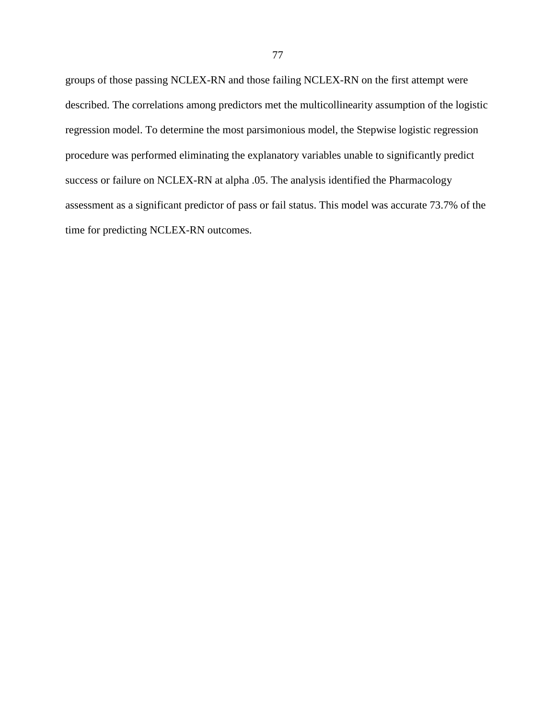groups of those passing NCLEX-RN and those failing NCLEX-RN on the first attempt were described. The correlations among predictors met the multicollinearity assumption of the logistic regression model. To determine the most parsimonious model, the Stepwise logistic regression procedure was performed eliminating the explanatory variables unable to significantly predict success or failure on NCLEX-RN at alpha .05. The analysis identified the Pharmacology assessment as a significant predictor of pass or fail status. This model was accurate 73.7% of the time for predicting NCLEX-RN outcomes.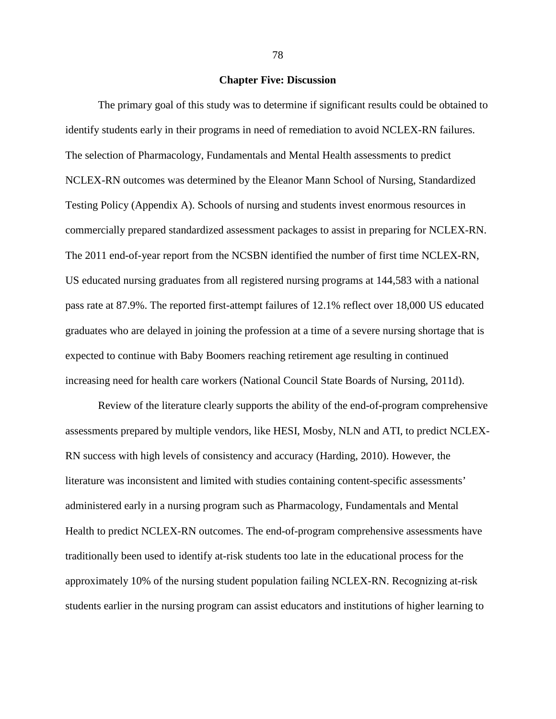# **Chapter Five: Discussion**

 The primary goal of this study was to determine if significant results could be obtained to identify students early in their programs in need of remediation to avoid NCLEX-RN failures. The selection of Pharmacology, Fundamentals and Mental Health assessments to predict NCLEX-RN outcomes was determined by the Eleanor Mann School of Nursing, Standardized Testing Policy (Appendix A). Schools of nursing and students invest enormous resources in commercially prepared standardized assessment packages to assist in preparing for NCLEX-RN. The 2011 end-of-year report from the NCSBN identified the number of first time NCLEX-RN, US educated nursing graduates from all registered nursing programs at 144,583 with a national pass rate at 87.9%. The reported first-attempt failures of 12.1% reflect over 18,000 US educated graduates who are delayed in joining the profession at a time of a severe nursing shortage that is expected to continue with Baby Boomers reaching retirement age resulting in continued increasing need for health care workers (National Council State Boards of Nursing, 2011d).

 Review of the literature clearly supports the ability of the end-of-program comprehensive assessments prepared by multiple vendors, like HESI, Mosby, NLN and ATI, to predict NCLEX-RN success with high levels of consistency and accuracy (Harding, 2010). However, the literature was inconsistent and limited with studies containing content-specific assessments' administered early in a nursing program such as Pharmacology, Fundamentals and Mental Health to predict NCLEX-RN outcomes. The end-of-program comprehensive assessments have traditionally been used to identify at-risk students too late in the educational process for the approximately 10% of the nursing student population failing NCLEX-RN. Recognizing at-risk students earlier in the nursing program can assist educators and institutions of higher learning to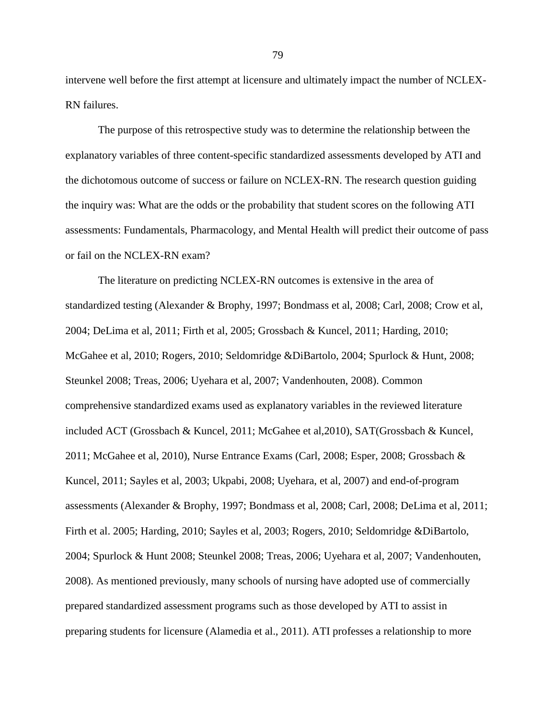intervene well before the first attempt at licensure and ultimately impact the number of NCLEX-RN failures.

The purpose of this retrospective study was to determine the relationship between the explanatory variables of three content-specific standardized assessments developed by ATI and the dichotomous outcome of success or failure on NCLEX-RN. The research question guiding the inquiry was: What are the odds or the probability that student scores on the following ATI assessments: Fundamentals, Pharmacology, and Mental Health will predict their outcome of pass or fail on the NCLEX-RN exam?

The literature on predicting NCLEX-RN outcomes is extensive in the area of standardized testing (Alexander & Brophy, 1997; Bondmass et al, 2008; Carl, 2008; Crow et al, 2004; DeLima et al, 2011; Firth et al, 2005; Grossbach & Kuncel, 2011; Harding, 2010; McGahee et al, 2010; Rogers, 2010; Seldomridge &DiBartolo, 2004; Spurlock & Hunt, 2008; Steunkel 2008; Treas, 2006; Uyehara et al, 2007; Vandenhouten, 2008). Common comprehensive standardized exams used as explanatory variables in the reviewed literature included ACT (Grossbach & Kuncel, 2011; McGahee et al,2010), SAT(Grossbach & Kuncel, 2011; McGahee et al, 2010), Nurse Entrance Exams (Carl, 2008; Esper, 2008; Grossbach & Kuncel, 2011; Sayles et al, 2003; Ukpabi, 2008; Uyehara, et al, 2007) and end-of-program assessments (Alexander & Brophy, 1997; Bondmass et al, 2008; Carl, 2008; DeLima et al, 2011; Firth et al. 2005; Harding, 2010; Sayles et al, 2003; Rogers, 2010; Seldomridge &DiBartolo, 2004; Spurlock & Hunt 2008; Steunkel 2008; Treas, 2006; Uyehara et al, 2007; Vandenhouten, 2008). As mentioned previously, many schools of nursing have adopted use of commercially prepared standardized assessment programs such as those developed by ATI to assist in preparing students for licensure (Alamedia et al., 2011). ATI professes a relationship to more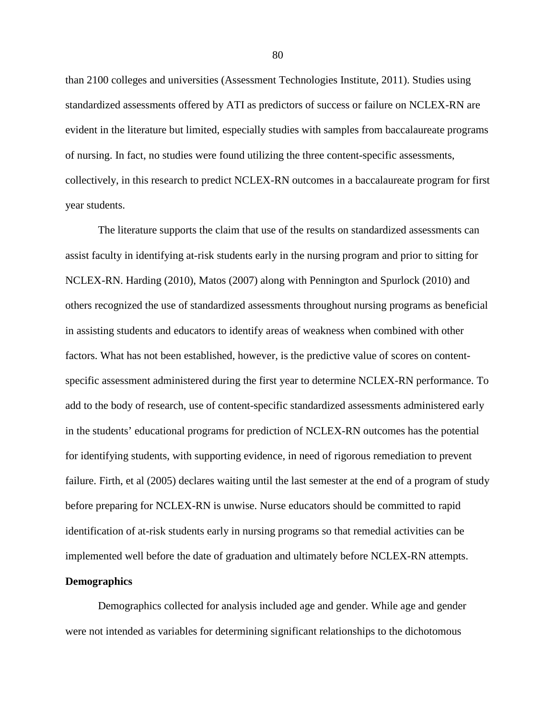than 2100 colleges and universities (Assessment Technologies Institute, 2011). Studies using standardized assessments offered by ATI as predictors of success or failure on NCLEX-RN are evident in the literature but limited, especially studies with samples from baccalaureate programs of nursing. In fact, no studies were found utilizing the three content-specific assessments, collectively, in this research to predict NCLEX-RN outcomes in a baccalaureate program for first year students.

 The literature supports the claim that use of the results on standardized assessments can assist faculty in identifying at-risk students early in the nursing program and prior to sitting for NCLEX-RN. Harding (2010), Matos (2007) along with Pennington and Spurlock (2010) and others recognized the use of standardized assessments throughout nursing programs as beneficial in assisting students and educators to identify areas of weakness when combined with other factors. What has not been established, however, is the predictive value of scores on contentspecific assessment administered during the first year to determine NCLEX-RN performance. To add to the body of research, use of content-specific standardized assessments administered early in the students' educational programs for prediction of NCLEX-RN outcomes has the potential for identifying students, with supporting evidence, in need of rigorous remediation to prevent failure. Firth, et al (2005) declares waiting until the last semester at the end of a program of study before preparing for NCLEX-RN is unwise. Nurse educators should be committed to rapid identification of at-risk students early in nursing programs so that remedial activities can be implemented well before the date of graduation and ultimately before NCLEX-RN attempts.

# **Demographics**

 Demographics collected for analysis included age and gender. While age and gender were not intended as variables for determining significant relationships to the dichotomous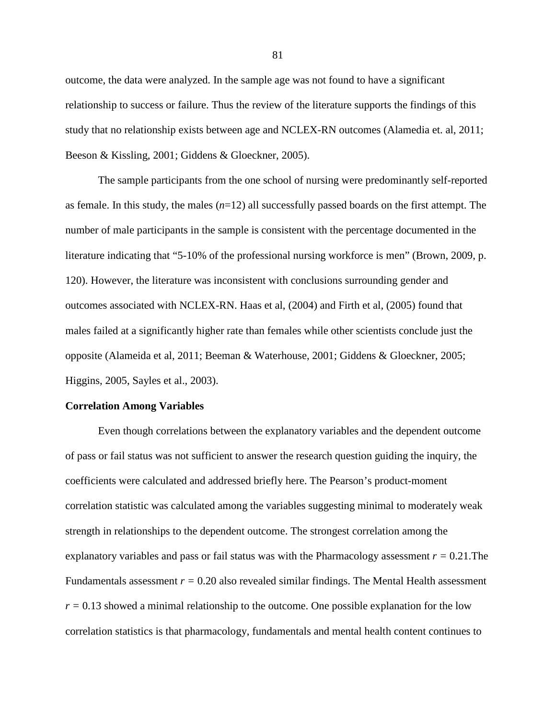outcome, the data were analyzed. In the sample age was not found to have a significant relationship to success or failure. Thus the review of the literature supports the findings of this study that no relationship exists between age and NCLEX-RN outcomes (Alamedia et. al, 2011; Beeson & Kissling, 2001; Giddens & Gloeckner, 2005).

 The sample participants from the one school of nursing were predominantly self-reported as female. In this study, the males (*n*=12) all successfully passed boards on the first attempt. The number of male participants in the sample is consistent with the percentage documented in the literature indicating that "5-10% of the professional nursing workforce is men" (Brown, 2009, p. 120). However, the literature was inconsistent with conclusions surrounding gender and outcomes associated with NCLEX-RN. Haas et al, (2004) and Firth et al, (2005) found that males failed at a significantly higher rate than females while other scientists conclude just the opposite (Alameida et al, 2011; Beeman & Waterhouse, 2001; Giddens & Gloeckner, 2005; Higgins, 2005, Sayles et al., 2003).

#### **Correlation Among Variables**

Even though correlations between the explanatory variables and the dependent outcome of pass or fail status was not sufficient to answer the research question guiding the inquiry, the coefficients were calculated and addressed briefly here. The Pearson's product-moment correlation statistic was calculated among the variables suggesting minimal to moderately weak strength in relationships to the dependent outcome. The strongest correlation among the explanatory variables and pass or fail status was with the Pharmacology assessment *r =* 0.21.The Fundamentals assessment  $r = 0.20$  also revealed similar findings. The Mental Health assessment  $r = 0.13$  showed a minimal relationship to the outcome. One possible explanation for the low correlation statistics is that pharmacology, fundamentals and mental health content continues to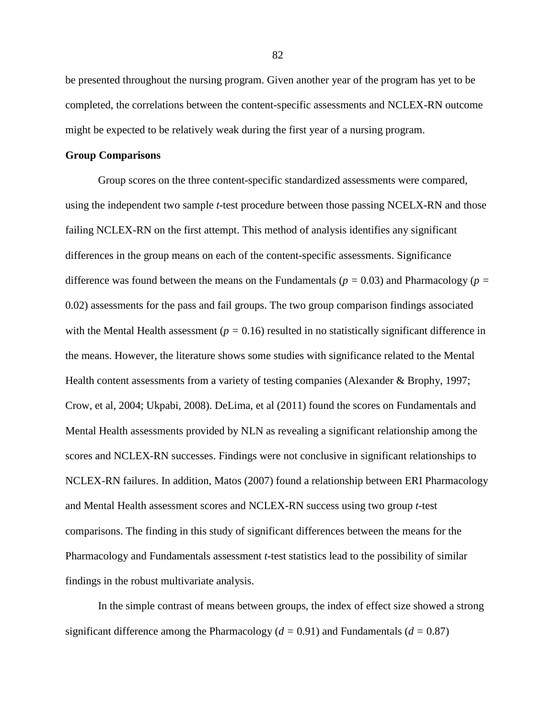be presented throughout the nursing program. Given another year of the program has yet to be completed, the correlations between the content-specific assessments and NCLEX-RN outcome might be expected to be relatively weak during the first year of a nursing program.

#### **Group Comparisons**

 Group scores on the three content-specific standardized assessments were compared, using the independent two sample *t*-test procedure between those passing NCELX-RN and those failing NCLEX-RN on the first attempt. This method of analysis identifies any significant differences in the group means on each of the content-specific assessments. Significance difference was found between the means on the Fundamentals ( $p = 0.03$ ) and Pharmacology ( $p =$ 0.02) assessments for the pass and fail groups. The two group comparison findings associated with the Mental Health assessment  $(p = 0.16)$  resulted in no statistically significant difference in the means. However, the literature shows some studies with significance related to the Mental Health content assessments from a variety of testing companies (Alexander & Brophy, 1997; Crow, et al, 2004; Ukpabi, 2008). DeLima, et al (2011) found the scores on Fundamentals and Mental Health assessments provided by NLN as revealing a significant relationship among the scores and NCLEX-RN successes. Findings were not conclusive in significant relationships to NCLEX-RN failures. In addition, Matos (2007) found a relationship between ERI Pharmacology and Mental Health assessment scores and NCLEX-RN success using two group *t*-test comparisons. The finding in this study of significant differences between the means for the Pharmacology and Fundamentals assessment *t*-test statistics lead to the possibility of similar findings in the robust multivariate analysis.

 In the simple contrast of means between groups, the index of effect size showed a strong significant difference among the Pharmacology (*d =* 0.91) and Fundamentals (*d =* 0.87)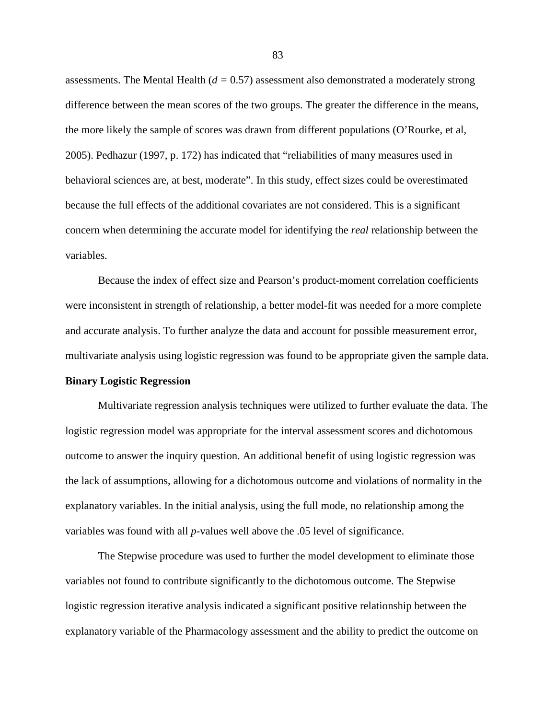assessments. The Mental Health (*d =* 0.57) assessment also demonstrated a moderately strong difference between the mean scores of the two groups. The greater the difference in the means, the more likely the sample of scores was drawn from different populations (O'Rourke, et al, 2005). Pedhazur (1997, p. 172) has indicated that "reliabilities of many measures used in behavioral sciences are, at best, moderate". In this study, effect sizes could be overestimated because the full effects of the additional covariates are not considered. This is a significant concern when determining the accurate model for identifying the *real* relationship between the variables.

 Because the index of effect size and Pearson's product-moment correlation coefficients were inconsistent in strength of relationship, a better model-fit was needed for a more complete and accurate analysis. To further analyze the data and account for possible measurement error, multivariate analysis using logistic regression was found to be appropriate given the sample data.

#### **Binary Logistic Regression**

 Multivariate regression analysis techniques were utilized to further evaluate the data. The logistic regression model was appropriate for the interval assessment scores and dichotomous outcome to answer the inquiry question. An additional benefit of using logistic regression was the lack of assumptions, allowing for a dichotomous outcome and violations of normality in the explanatory variables. In the initial analysis, using the full mode, no relationship among the variables was found with all *p*-values well above the .05 level of significance.

 The Stepwise procedure was used to further the model development to eliminate those variables not found to contribute significantly to the dichotomous outcome. The Stepwise logistic regression iterative analysis indicated a significant positive relationship between the explanatory variable of the Pharmacology assessment and the ability to predict the outcome on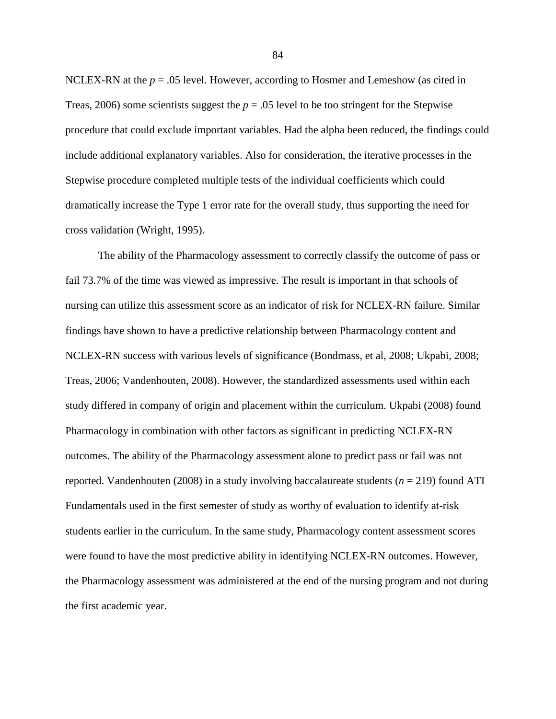NCLEX-RN at the  $p = 0.05$  level. However, according to Hosmer and Lemeshow (as cited in Treas, 2006) some scientists suggest the  $p = 0.05$  level to be too stringent for the Stepwise procedure that could exclude important variables. Had the alpha been reduced, the findings could include additional explanatory variables. Also for consideration, the iterative processes in the Stepwise procedure completed multiple tests of the individual coefficients which could dramatically increase the Type 1 error rate for the overall study, thus supporting the need for cross validation (Wright, 1995).

 The ability of the Pharmacology assessment to correctly classify the outcome of pass or fail 73.7% of the time was viewed as impressive. The result is important in that schools of nursing can utilize this assessment score as an indicator of risk for NCLEX-RN failure. Similar findings have shown to have a predictive relationship between Pharmacology content and NCLEX-RN success with various levels of significance (Bondmass, et al, 2008; Ukpabi, 2008; Treas, 2006; Vandenhouten, 2008). However, the standardized assessments used within each study differed in company of origin and placement within the curriculum. Ukpabi (2008) found Pharmacology in combination with other factors as significant in predicting NCLEX-RN outcomes. The ability of the Pharmacology assessment alone to predict pass or fail was not reported. Vandenhouten (2008) in a study involving baccalaureate students (*n* = 219) found ATI Fundamentals used in the first semester of study as worthy of evaluation to identify at-risk students earlier in the curriculum. In the same study, Pharmacology content assessment scores were found to have the most predictive ability in identifying NCLEX-RN outcomes. However, the Pharmacology assessment was administered at the end of the nursing program and not during the first academic year.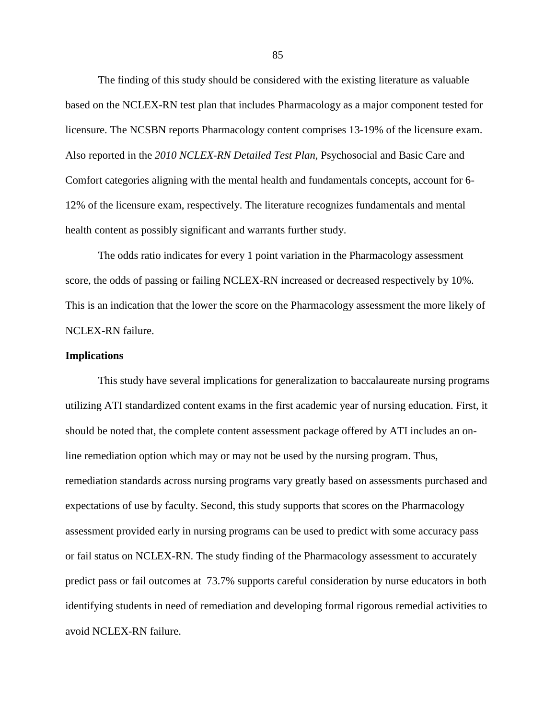The finding of this study should be considered with the existing literature as valuable based on the NCLEX-RN test plan that includes Pharmacology as a major component tested for licensure. The NCSBN reports Pharmacology content comprises 13-19% of the licensure exam. Also reported in the *2010 NCLEX-RN Detailed Test Plan*, Psychosocial and Basic Care and Comfort categories aligning with the mental health and fundamentals concepts, account for 6- 12% of the licensure exam, respectively. The literature recognizes fundamentals and mental health content as possibly significant and warrants further study.

 The odds ratio indicates for every 1 point variation in the Pharmacology assessment score, the odds of passing or failing NCLEX-RN increased or decreased respectively by 10%. This is an indication that the lower the score on the Pharmacology assessment the more likely of NCLEX-RN failure.

#### **Implications**

 This study have several implications for generalization to baccalaureate nursing programs utilizing ATI standardized content exams in the first academic year of nursing education. First, it should be noted that, the complete content assessment package offered by ATI includes an online remediation option which may or may not be used by the nursing program. Thus, remediation standards across nursing programs vary greatly based on assessments purchased and expectations of use by faculty. Second, this study supports that scores on the Pharmacology assessment provided early in nursing programs can be used to predict with some accuracy pass or fail status on NCLEX-RN. The study finding of the Pharmacology assessment to accurately predict pass or fail outcomes at 73.7% supports careful consideration by nurse educators in both identifying students in need of remediation and developing formal rigorous remedial activities to avoid NCLEX-RN failure.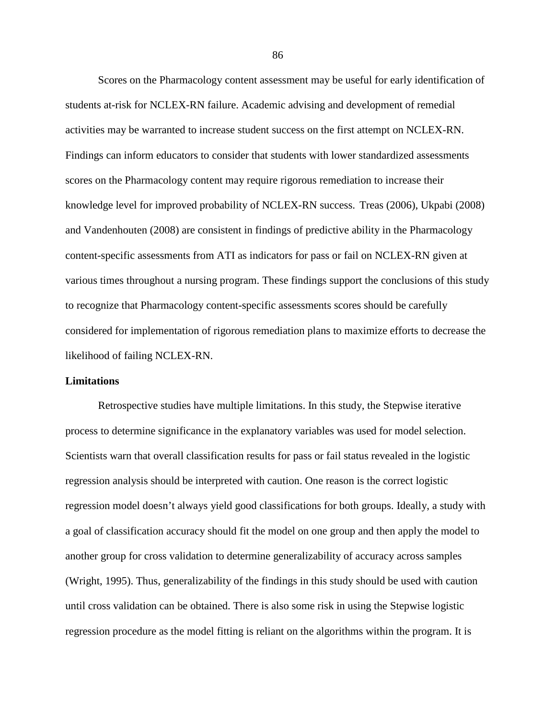Scores on the Pharmacology content assessment may be useful for early identification of students at-risk for NCLEX-RN failure. Academic advising and development of remedial activities may be warranted to increase student success on the first attempt on NCLEX-RN. Findings can inform educators to consider that students with lower standardized assessments scores on the Pharmacology content may require rigorous remediation to increase their knowledge level for improved probability of NCLEX-RN success. Treas (2006), Ukpabi (2008) and Vandenhouten (2008) are consistent in findings of predictive ability in the Pharmacology content-specific assessments from ATI as indicators for pass or fail on NCLEX-RN given at various times throughout a nursing program. These findings support the conclusions of this study to recognize that Pharmacology content-specific assessments scores should be carefully considered for implementation of rigorous remediation plans to maximize efforts to decrease the likelihood of failing NCLEX-RN.

#### **Limitations**

Retrospective studies have multiple limitations. In this study, the Stepwise iterative process to determine significance in the explanatory variables was used for model selection. Scientists warn that overall classification results for pass or fail status revealed in the logistic regression analysis should be interpreted with caution. One reason is the correct logistic regression model doesn't always yield good classifications for both groups. Ideally, a study with a goal of classification accuracy should fit the model on one group and then apply the model to another group for cross validation to determine generalizability of accuracy across samples (Wright, 1995). Thus, generalizability of the findings in this study should be used with caution until cross validation can be obtained. There is also some risk in using the Stepwise logistic regression procedure as the model fitting is reliant on the algorithms within the program. It is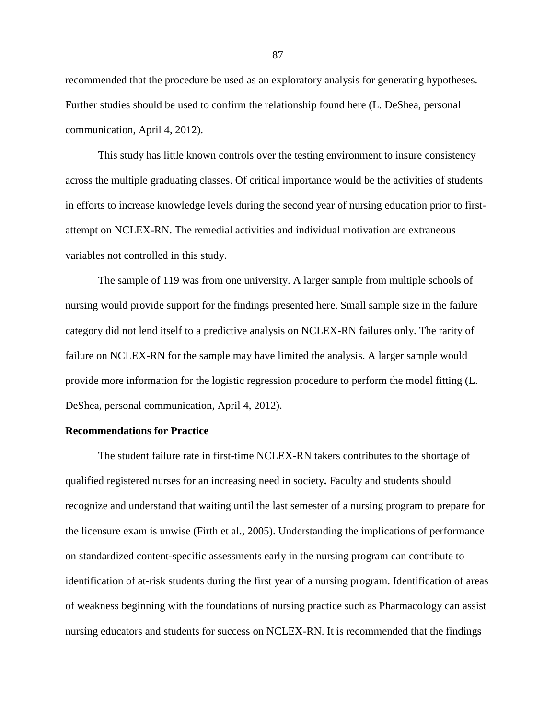recommended that the procedure be used as an exploratory analysis for generating hypotheses. Further studies should be used to confirm the relationship found here (L. DeShea, personal communication, April 4, 2012).

This study has little known controls over the testing environment to insure consistency across the multiple graduating classes. Of critical importance would be the activities of students in efforts to increase knowledge levels during the second year of nursing education prior to firstattempt on NCLEX-RN. The remedial activities and individual motivation are extraneous variables not controlled in this study.

The sample of 119 was from one university. A larger sample from multiple schools of nursing would provide support for the findings presented here. Small sample size in the failure category did not lend itself to a predictive analysis on NCLEX-RN failures only. The rarity of failure on NCLEX-RN for the sample may have limited the analysis. A larger sample would provide more information for the logistic regression procedure to perform the model fitting (L. DeShea, personal communication, April 4, 2012).

# **Recommendations for Practice**

The student failure rate in first-time NCLEX-RN takers contributes to the shortage of qualified registered nurses for an increasing need in society**.** Faculty and students should recognize and understand that waiting until the last semester of a nursing program to prepare for the licensure exam is unwise (Firth et al., 2005). Understanding the implications of performance on standardized content-specific assessments early in the nursing program can contribute to identification of at-risk students during the first year of a nursing program. Identification of areas of weakness beginning with the foundations of nursing practice such as Pharmacology can assist nursing educators and students for success on NCLEX-RN. It is recommended that the findings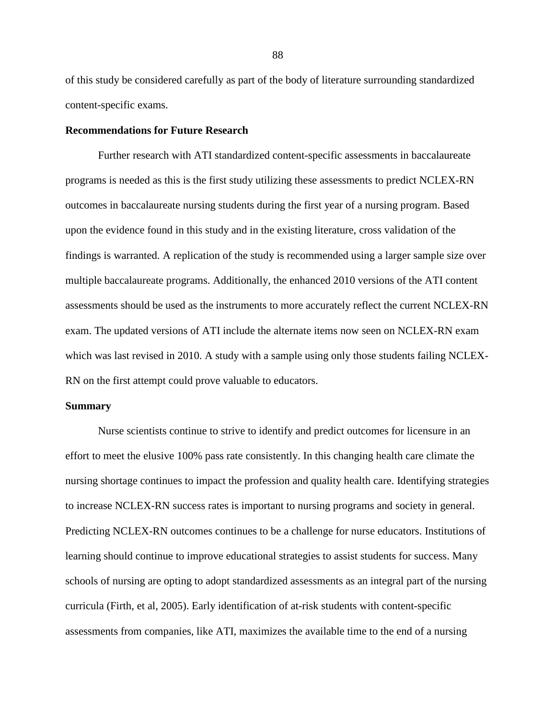of this study be considered carefully as part of the body of literature surrounding standardized content-specific exams.

# **Recommendations for Future Research**

Further research with ATI standardized content-specific assessments in baccalaureate programs is needed as this is the first study utilizing these assessments to predict NCLEX-RN outcomes in baccalaureate nursing students during the first year of a nursing program. Based upon the evidence found in this study and in the existing literature, cross validation of the findings is warranted. A replication of the study is recommended using a larger sample size over multiple baccalaureate programs. Additionally, the enhanced 2010 versions of the ATI content assessments should be used as the instruments to more accurately reflect the current NCLEX-RN exam. The updated versions of ATI include the alternate items now seen on NCLEX-RN exam which was last revised in 2010. A study with a sample using only those students failing NCLEX-RN on the first attempt could prove valuable to educators.

#### **Summary**

Nurse scientists continue to strive to identify and predict outcomes for licensure in an effort to meet the elusive 100% pass rate consistently. In this changing health care climate the nursing shortage continues to impact the profession and quality health care. Identifying strategies to increase NCLEX-RN success rates is important to nursing programs and society in general. Predicting NCLEX-RN outcomes continues to be a challenge for nurse educators. Institutions of learning should continue to improve educational strategies to assist students for success. Many schools of nursing are opting to adopt standardized assessments as an integral part of the nursing curricula (Firth, et al, 2005). Early identification of at-risk students with content-specific assessments from companies, like ATI, maximizes the available time to the end of a nursing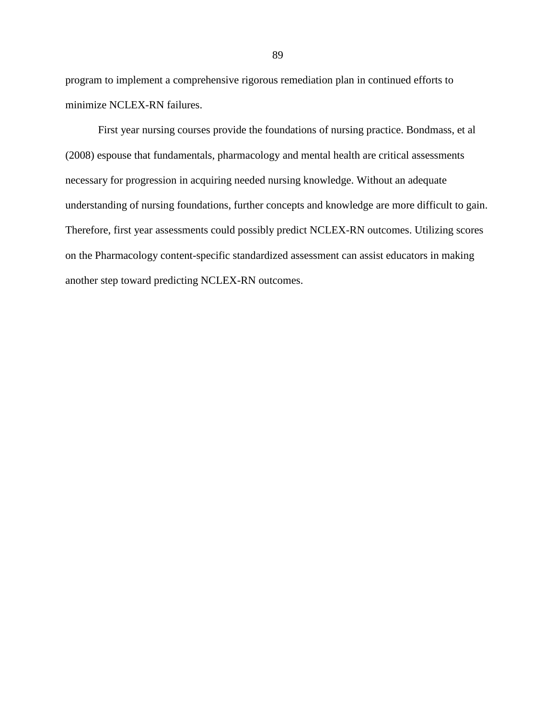program to implement a comprehensive rigorous remediation plan in continued efforts to minimize NCLEX-RN failures.

First year nursing courses provide the foundations of nursing practice. Bondmass, et al (2008) espouse that fundamentals, pharmacology and mental health are critical assessments necessary for progression in acquiring needed nursing knowledge. Without an adequate understanding of nursing foundations, further concepts and knowledge are more difficult to gain. Therefore, first year assessments could possibly predict NCLEX-RN outcomes. Utilizing scores on the Pharmacology content-specific standardized assessment can assist educators in making another step toward predicting NCLEX-RN outcomes.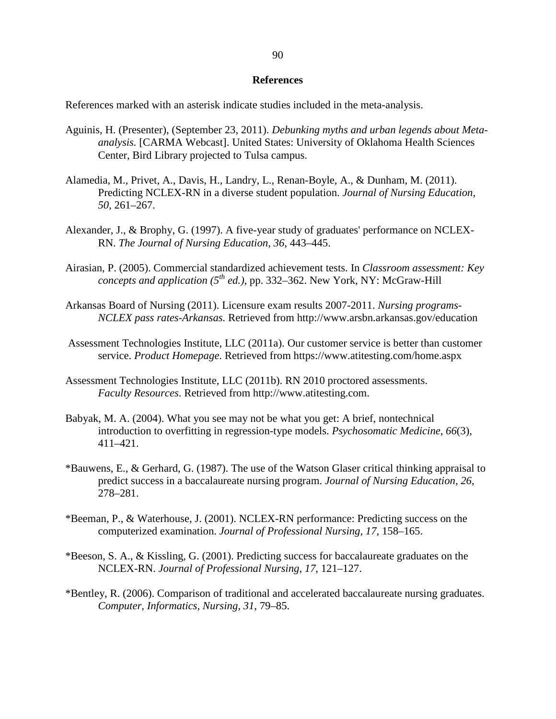# **References**

References marked with an asterisk indicate studies included in the meta-analysis.

- Aguinis, H. (Presenter), (September 23, 2011). *Debunking myths and urban legends about Meta analysis.* [CARMA Webcast]. United States: University of Oklahoma Health Sciences Center, Bird Library projected to Tulsa campus.
- Alamedia, M., Privet, A., Davis, H., Landry, L., Renan-Boyle, A., & Dunham, M. (2011). Predicting NCLEX-RN in a diverse student population. *Journal of Nursing Education*, *50*, 261–267.
- Alexander, J., & Brophy, G. (1997). A five-year study of graduates' performance on NCLEX- RN. *The Journal of Nursing Education*, *36*, 443–445.
- Airasian, P. (2005). Commercial standardized achievement tests. In *Classroom assessment: Key concepts and application (* $5^{th}$  *ed.), pp. 332–362.* New York, NY: McGraw-Hill
- Arkansas Board of Nursing (2011). Licensure exam results 2007-2011. *Nursing programs- NCLEX pass rates-Arkansas.* Retrieved from http://www.arsbn.arkansas.gov/education
- Assessment Technologies Institute, LLC (2011a). Our customer service is better than customer service. *Product Homepage*. Retrieved from https://www.atitesting.com/home.aspx
- Assessment Technologies Institute, LLC (2011b). RN 2010 proctored assessments. *Faculty Resources*. Retrieved from http://www.atitesting.com.
- Babyak, M. A. (2004). What you see may not be what you get: A brief, nontechnical introduction to overfitting in regression-type models. *Psychosomatic Medicine*, *66*(3), 411–421.
- \*Bauwens, E., & Gerhard, G. (1987). The use of the Watson Glaser critical thinking appraisal to predict success in a baccalaureate nursing program. *Journal of Nursing Education, 26*, 278–281.
- \*Beeman, P., & Waterhouse, J. (2001). NCLEX-RN performance: Predicting success on the computerized examination. *Journal of Professional Nursing, 17*, 158–165.
- \*Beeson, S. A., & Kissling, G. (2001). Predicting success for baccalaureate graduates on the NCLEX-RN. *Journal of Professional Nursing, 17*, 121–127.
- \*Bentley, R. (2006). Comparison of traditional and accelerated baccalaureate nursing graduates. *Computer, Informatics, Nursing, 31*, 79–85.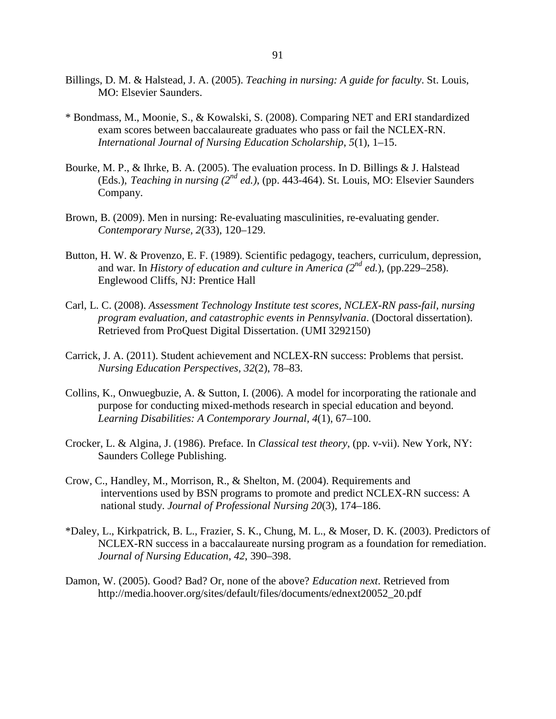- Billings, D. M. & Halstead, J. A. (2005). *Teaching in nursing: A guide for faculty*. St. Louis, MO: Elsevier Saunders.
- \* Bondmass, M., Moonie, S., & Kowalski, S. (2008). Comparing NET and ERI standardized exam scores between baccalaureate graduates who pass or fail the NCLEX-RN. *International Journal of Nursing Education Scholarship*, *5*(1), 1–15.
- Bourke, M. P., & Ihrke, B. A. (2005). The evaluation process. In D. Billings & J. Halstead (Eds.), *Teaching in nursing*  $(2^{nd}$  *ed.*), (pp. 443-464). St. Louis, MO: Elsevier Saunders Company.
- Brown, B. (2009). Men in nursing: Re-evaluating masculinities, re-evaluating gender. *Contemporary Nurse, 2*(33), 120–129.
- Button, H. W. & Provenzo, E. F. (1989). Scientific pedagogy, teachers, curriculum, depression, and war. In *History of education and culture in America* (2<sup>nd</sup> ed.), (pp.229–258). Englewood Cliffs, NJ: Prentice Hall
- Carl, L. C. (2008). *Assessment Technology Institute test scores, NCLEX-RN pass-fail, nursing program evaluation, and catastrophic events in Pennsylvania*. (Doctoral dissertation). Retrieved from ProQuest Digital Dissertation. (UMI 3292150)
- Carrick, J. A. (2011). Student achievement and NCLEX-RN success: Problems that persist. *Nursing Education Perspectives, 32*(2), 78–83.
- Collins, K., Onwuegbuzie, A. & Sutton, I. (2006). A model for incorporating the rationale and purpose for conducting mixed-methods research in special education and beyond. *Learning Disabilities: A Contemporary Journal, 4*(1), 67–100.
- Crocker, L. & Algina, J. (1986). Preface. In *Classical test theory*, (pp. v-vii). New York, NY: Saunders College Publishing.
- Crow, C., Handley, M., Morrison, R., & Shelton, M. (2004). Requirements and interventions used by BSN programs to promote and predict NCLEX-RN success: A national study. *Journal of Professional Nursing 20*(3), 174–186.
- \*Daley, L., Kirkpatrick, B. L., Frazier, S. K., Chung, M. L., & Moser, D. K. (2003). Predictors of NCLEX-RN success in a baccalaureate nursing program as a foundation for remediation. *Journal of Nursing Education, 42*, 390–398.
- Damon, W. (2005). Good? Bad? Or, none of the above? *Education next*. Retrieved from http://media.hoover.org/sites/default/files/documents/ednext20052\_20.pdf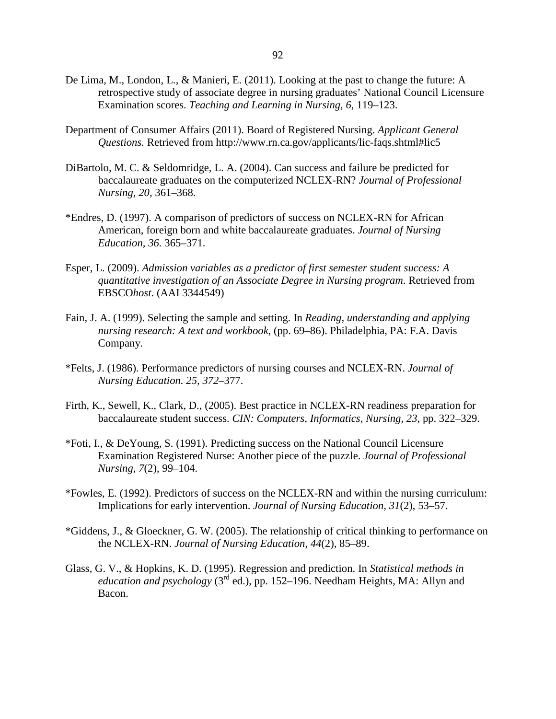- De Lima, M., London, L., & Manieri, E. (2011). Looking at the past to change the future: A retrospective study of associate degree in nursing graduates' National Council Licensure Examination scores. *Teaching and Learning in Nursing, 6*, 119–123.
- Department of Consumer Affairs (2011). Board of Registered Nursing. *Applicant General Questions.* Retrieved from http://www.rn.ca.gov/applicants/lic-faqs.shtml#lic5
- DiBartolo, M. C. & Seldomridge, L. A. (2004). Can success and failure be predicted for baccalaureate graduates on the computerized NCLEX-RN? *Journal of Professional Nursing, 20*, 361–368.
- \*Endres, D. (1997). A comparison of predictors of success on NCLEX-RN for African American, foreign born and white baccalaureate graduates. *Journal of Nursing Education, 36.* 365–371.
- Esper, L. (2009). *Admission variables as a predictor of first semester student success: A quantitative investigation of an Associate Degree in Nursing program*. Retrieved from EBSCO*host*. (AAI 3344549)
- Fain, J. A. (1999). Selecting the sample and setting. In *Reading, understanding and applying nursing research: A text and workbook*, (pp. 69–86). Philadelphia, PA: F.A. Davis Company.
- \*Felts, J. (1986). Performance predictors of nursing courses and NCLEX-RN. *Journal of Nursing Education. 25, 372*–377.
- Firth, K., Sewell, K., Clark, D., (2005). Best practice in NCLEX-RN readiness preparation for baccalaureate student success. *CIN: Computers, Informatics, Nursing, 23*, pp. 322–329.
- \*Foti, I., & DeYoung, S. (1991). Predicting success on the National Council Licensure Examination Registered Nurse: Another piece of the puzzle. *Journal of Professional Nursing, 7*(2), 99–104.
- \*Fowles, E. (1992). Predictors of success on the NCLEX-RN and within the nursing curriculum: Implications for early intervention. *Journal of Nursing Education, 31*(2), 53–57.
- \*Giddens, J., & Gloeckner, G. W. (2005). The relationship of critical thinking to performance on the NCLEX-RN. *Journal of Nursing Education, 44*(2), 85–89.
- Glass, G. V., & Hopkins, K. D. (1995). Regression and prediction. In *Statistical methods in education and psychology* ( $3<sup>rd</sup>$  ed.), pp. 152–196. Needham Heights, MA: Allyn and Bacon.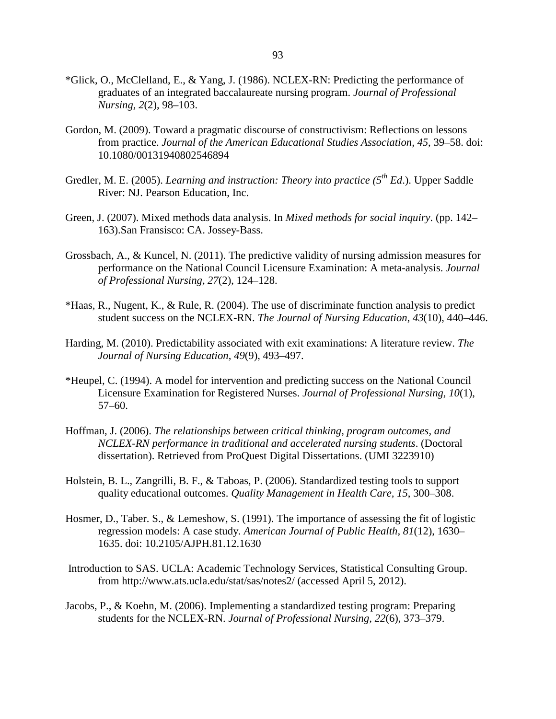- \*Glick, O., McClelland, E., & Yang, J. (1986). NCLEX-RN: Predicting the performance of graduates of an integrated baccalaureate nursing program. *Journal of Professional Nursing, 2*(2), 98–103.
- Gordon, M. (2009). Toward a pragmatic discourse of constructivism: Reflections on lessons from practice. *Journal of the American Educational Studies Association, 45*, 39–58. doi: 10.1080/00131940802546894
- Gredler, M. E. (2005). *Learning and instruction: Theory into practice* (5<sup>th</sup> Ed.). Upper Saddle River: NJ. Pearson Education, Inc.
- Green, J. (2007). Mixed methods data analysis. In *Mixed methods for social inquiry*. (pp. 142– 163).San Fransisco: CA. Jossey-Bass.
- Grossbach, A., & Kuncel, N. (2011). The predictive validity of nursing admission measures for performance on the National Council Licensure Examination: A meta-analysis. *Journal of Professional Nursing, 27*(2), 124–128.
- \*Haas, R., Nugent, K., & Rule, R. (2004). The use of discriminate function analysis to predict student success on the NCLEX-RN. *The Journal of Nursing Education*, *43*(10), 440–446.
- Harding, M. (2010). Predictability associated with exit examinations: A literature review. *The Journal of Nursing Education*, *49*(9), 493–497.
- \*Heupel, C. (1994). A model for intervention and predicting success on the National Council Licensure Examination for Registered Nurses. *Journal of Professional Nursing, 10*(1), 57–60.
- Hoffman, J. (2006). *The relationships between critical thinking, program outcomes, and NCLEX-RN performance in traditional and accelerated nursing students*. (Doctoral dissertation). Retrieved from ProQuest Digital Dissertations. (UMI 3223910)
- Holstein, B. L., Zangrilli, B. F., & Taboas, P. (2006). Standardized testing tools to support quality educational outcomes. *Quality Management in Health Care, 15*, 300–308.
- Hosmer, D., Taber. S., & Lemeshow, S. (1991). The importance of assessing the fit of logistic regression models: A case study*. American Journal of Public Health, 81*(12), 1630– 1635. doi: 10.2105/AJPH.81.12.1630
- Introduction to SAS. UCLA: Academic Technology Services, Statistical Consulting Group. from http://www.ats.ucla.edu/stat/sas/notes2/ (accessed April 5, 2012).
- Jacobs, P., & Koehn, M. (2006). Implementing a standardized testing program: Preparing students for the NCLEX-RN. *Journal of Professional Nursing, 22*(6), 373–379.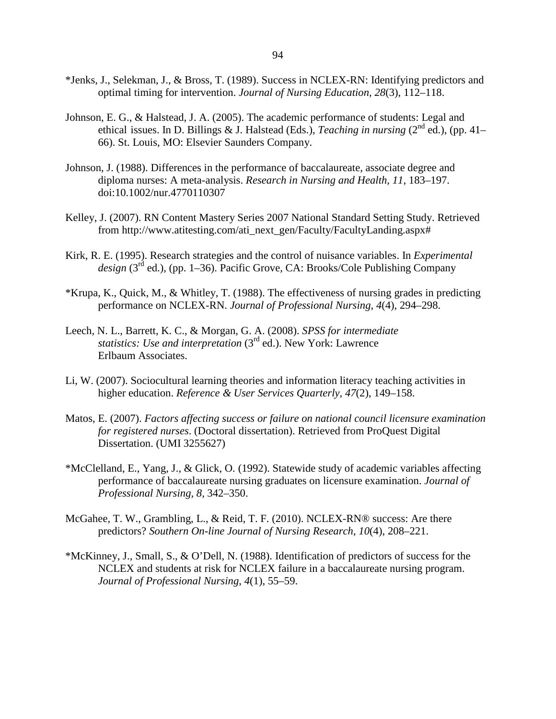- \*Jenks, J., Selekman, J., & Bross, T. (1989). Success in NCLEX-RN: Identifying predictors and optimal timing for intervention. *Journal of Nursing Education, 28*(3), 112–118.
- Johnson, E. G., & Halstead, J. A. (2005). The academic performance of students: Legal and ethical issues. In D. Billings & J. Halstead (Eds.), *Teaching in nursing* (2<sup>nd</sup> ed.), (pp. 41– 66). St. Louis, MO: Elsevier Saunders Company.
- Johnson, J. (1988). Differences in the performance of baccalaureate, associate degree and diploma nurses: A meta-analysis. *Research in Nursing and Health, 11*, 183–197. doi:10.1002/nur.4770110307
- Kelley, J. (2007). RN Content Mastery Series 2007 National Standard Setting Study. Retrieved from http://www.atitesting.com/ati\_next\_gen/Faculty/FacultyLanding.aspx#
- Kirk, R. E. (1995). Research strategies and the control of nuisance variables. In *Experimental*  design (3<sup>rd</sup> ed.), (pp. 1–36). Pacific Grove, CA: Brooks/Cole Publishing Company
- \*Krupa, K., Quick, M., & Whitley, T. (1988). The effectiveness of nursing grades in predicting performance on NCLEX-RN. *Journal of Professional Nursing, 4*(4), 294–298.
- Leech, N. L., Barrett, K. C., & Morgan, G. A. (2008). *SPSS for intermediate statistics: Use and interpretation* (3rd ed.). New York: Lawrence Erlbaum Associates.
- Li, W. (2007). Sociocultural learning theories and information literacy teaching activities in higher education. *Reference & User Services Quarterly, 47*(2), 149–158.
- Matos, E. (2007). *Factors affecting success or failure on national council licensure examination for registered nurses*. (Doctoral dissertation). Retrieved from ProQuest Digital Dissertation. (UMI 3255627)
- \*McClelland, E., Yang, J., & Glick, O. (1992). Statewide study of academic variables affecting performance of baccalaureate nursing graduates on licensure examination. *Journal of Professional Nursing, 8,* 342–350.
- McGahee, T. W., Grambling, L., & Reid, T. F. (2010). NCLEX-RN® success: Are there predictors? *Southern On-line Journal of Nursing Research*, *10*(4), 208–221.
- \*McKinney, J., Small, S., & O'Dell, N. (1988). Identification of predictors of success for the NCLEX and students at risk for NCLEX failure in a baccalaureate nursing program.  *Journal of Professional Nursing*, *4*(1), 55–59.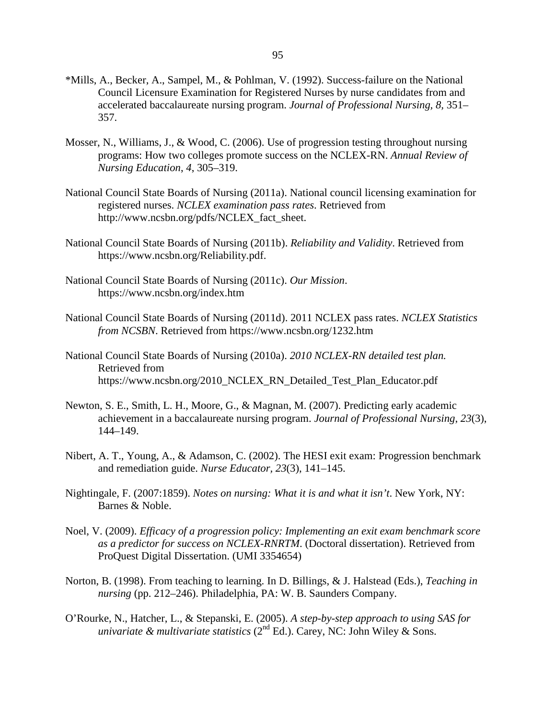- \*Mills, A., Becker, A., Sampel, M., & Pohlman, V. (1992). Success-failure on the National Council Licensure Examination for Registered Nurses by nurse candidates from and accelerated baccalaureate nursing program. *Journal of Professional Nursing, 8,* 351– 357.
- Mosser, N., Williams, J., & Wood, C. (2006). Use of progression testing throughout nursing programs: How two colleges promote success on the NCLEX-RN. *Annual Review of Nursing Education*, *4*, 305–319.
- National Council State Boards of Nursing (2011a). National council licensing examination for registered nurses. *NCLEX examination pass rates*. Retrieved from http://www.ncsbn.org/pdfs/NCLEX\_fact\_sheet.
- National Council State Boards of Nursing (2011b). *Reliability and Validity*. Retrieved from https://www.ncsbn.org/Reliability.pdf.
- National Council State Boards of Nursing (2011c). *Our Mission*. https://www.ncsbn.org/index.htm
- National Council State Boards of Nursing (2011d). 2011 NCLEX pass rates. *NCLEX Statistics from NCSBN*. Retrieved from https://www.ncsbn.org/1232.htm
- National Council State Boards of Nursing (2010a). *2010 NCLEX-RN detailed test plan.* Retrieved from https://www.ncsbn.org/2010\_NCLEX\_RN\_Detailed\_Test\_Plan\_Educator.pdf
- Newton, S. E., Smith, L. H., Moore, G., & Magnan, M. (2007). Predicting early academic achievement in a baccalaureate nursing program. *Journal of Professional Nursing*, *23*(3), 144–149.
- Nibert, A. T., Young, A., & Adamson, C. (2002). The HESI exit exam: Progression benchmark and remediation guide. *Nurse Educator, 23*(3), 141–145.
- Nightingale, F. (2007:1859). *Notes on nursing: What it is and what it isn't*. New York, NY: Barnes & Noble.
- Noel, V. (2009). *Efficacy of a progression policy: Implementing an exit exam benchmark score as a predictor for success on NCLEX-RNRTM*. (Doctoral dissertation). Retrieved from ProQuest Digital Dissertation. (UMI 3354654)
- Norton, B. (1998). From teaching to learning. In D. Billings, & J. Halstead (Eds.), *Teaching in nursing* (pp. 212–246). Philadelphia, PA: W. B. Saunders Company.
- O'Rourke, N., Hatcher, L., & Stepanski, E. (2005). *A step-by-step approach to using SAS for univariate & multivariate statistics* (2<sup>nd</sup> Ed.). Carey, NC: John Wiley & Sons.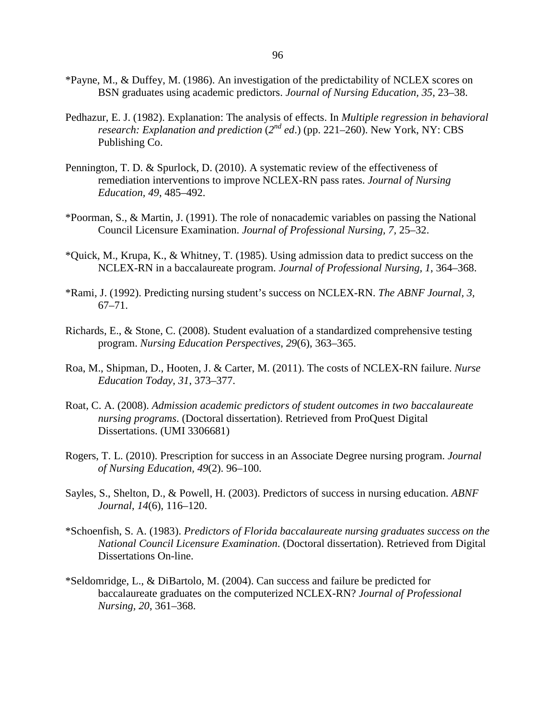- \*Payne, M., & Duffey, M. (1986). An investigation of the predictability of NCLEX scores on BSN graduates using academic predictors. *Journal of Nursing Education, 35*, 23–38.
- Pedhazur, E. J. (1982). Explanation: The analysis of effects. In *Multiple regression in behavioral research: Explanation and prediction*  $(2^{nd}$  *ed.*) (pp. 221–260). New York, NY: CBS Publishing Co.
- Pennington, T. D. & Spurlock, D. (2010). A systematic review of the effectiveness of remediation interventions to improve NCLEX-RN pass rates. *Journal of Nursing Education, 49*, 485–492.
- \*Poorman, S., & Martin, J. (1991). The role of nonacademic variables on passing the National Council Licensure Examination. *Journal of Professional Nursing, 7,* 25–32.
- \*Quick, M., Krupa, K., & Whitney, T. (1985). Using admission data to predict success on the NCLEX-RN in a baccalaureate program. *Journal of Professional Nursing, 1*, 364–368.
- \*Rami, J. (1992). Predicting nursing student's success on NCLEX-RN. *The ABNF Journal, 3,* 67–71.
- Richards, E., & Stone, C. (2008). Student evaluation of a standardized comprehensive testing program. *Nursing Education Perspectives*, *29*(6), 363–365.
- Roa, M., Shipman, D., Hooten, J. & Carter, M. (2011). The costs of NCLEX-RN failure. *Nurse Education Today, 31*, 373–377.
- Roat, C. A. (2008). *Admission academic predictors of student outcomes in two baccalaureate nursing programs*. (Doctoral dissertation). Retrieved from ProQuest Digital Dissertations. (UMI 3306681)
- Rogers, T. L. (2010). Prescription for success in an Associate Degree nursing program. *Journal of Nursing Education, 49*(2). 96–100.
- Sayles, S., Shelton, D., & Powell, H. (2003). Predictors of success in nursing education. *ABNF Journal*, *14*(6), 116–120.
- \*Schoenfish, S. A. (1983). *Predictors of Florida baccalaureate nursing graduates success on the National Council Licensure Examination*. (Doctoral dissertation). Retrieved from Digital Dissertations On-line.
- \*Seldomridge, L., & DiBartolo, M. (2004). Can success and failure be predicted for baccalaureate graduates on the computerized NCLEX-RN? *Journal of Professional Nursing, 20*, 361–368.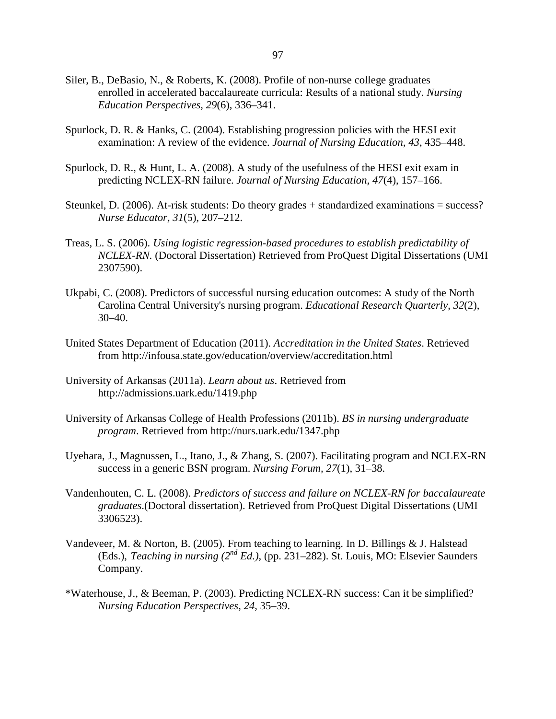- Siler, B., DeBasio, N., & Roberts, K. (2008). Profile of non-nurse college graduates enrolled in accelerated baccalaureate curricula: Results of a national study. *Nursing Education Perspectives*, *29*(6), 336–341.
- Spurlock, D. R. & Hanks, C. (2004). Establishing progression policies with the HESI exit examination: A review of the evidence. *Journal of Nursing Education, 43*, 435–448.
- Spurlock, D. R., & Hunt, L. A. (2008). A study of the usefulness of the HESI exit exam in predicting NCLEX-RN failure. *Journal of Nursing Education, 47*(4), 157–166.
- Steunkel, D. (2006). At-risk students: Do theory grades + standardized examinations = success? *Nurse Educator, 31*(5), 207–212.
- Treas, L. S. (2006). *Using logistic regression-based procedures to establish predictability of NCLEX-RN.* (Doctoral Dissertation) Retrieved from ProQuest Digital Dissertations (UMI 2307590).
- Ukpabi, C. (2008). Predictors of successful nursing education outcomes: A study of the North Carolina Central University's nursing program. *Educational Research Quarterly*, *32*(2), 30–40.
- United States Department of Education (2011). *Accreditation in the United States*. Retrieved from http://infousa.state.gov/education/overview/accreditation.html
- University of Arkansas (2011a). *Learn about us*. Retrieved from http://admissions.uark.edu/1419.php
- University of Arkansas College of Health Professions (2011b). *BS in nursing undergraduate program*. Retrieved from http://nurs.uark.edu/1347.php
- Uyehara, J., Magnussen, L., Itano, J., & Zhang, S. (2007). Facilitating program and NCLEX-RN success in a generic BSN program. *Nursing Forum, 27*(1), 31–38.
- Vandenhouten, C. L. (2008). *Predictors of success and failure on NCLEX-RN for baccalaureate graduates*.(Doctoral dissertation). Retrieved from ProQuest Digital Dissertations (UMI 3306523).
- Vandeveer, M. & Norton, B. (2005). From teaching to learning. In D. Billings & J. Halstead (Eds.), *Teaching in nursing (2nd Ed.)*, (pp. 231–282). St. Louis, MO: Elsevier Saunders Company.
- \*Waterhouse, J., & Beeman, P. (2003). Predicting NCLEX-RN success: Can it be simplified? *Nursing Education Perspectives, 24*, 35–39.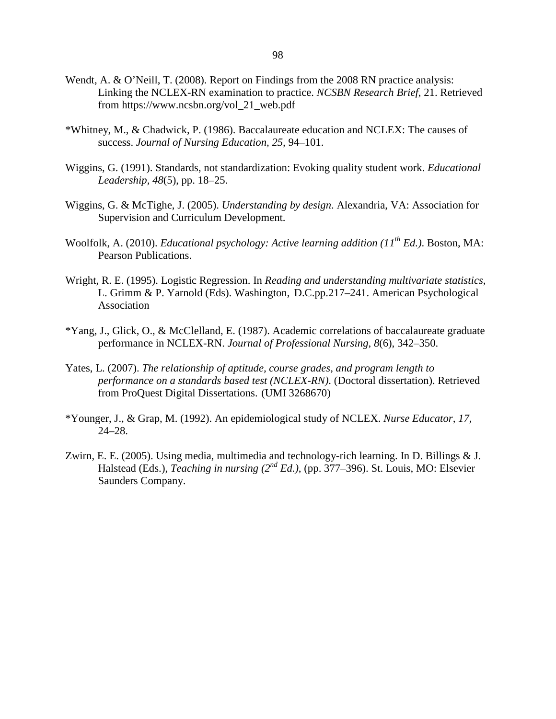- Wendt, A. & O'Neill, T. (2008). Report on Findings from the 2008 RN practice analysis: Linking the NCLEX-RN examination to practice. *NCSBN Research Brief*, 21. Retrieved from https://www.ncsbn.org/vol\_21\_web.pdf
- \*Whitney, M., & Chadwick, P. (1986). Baccalaureate education and NCLEX: The causes of success. *Journal of Nursing Education, 25,* 94–101.
- Wiggins, G. (1991). Standards, not standardization: Evoking quality student work. *Educational Leadership, 48*(5), pp. 18–25.
- Wiggins, G. & McTighe, J. (2005). *Understanding by design*. Alexandria, VA: Association for Supervision and Curriculum Development.
- Woolfolk, A. (2010). *Educational psychology: Active learning addition (11th Ed.)*. Boston, MA: Pearson Publications.
- Wright, R. E. (1995). Logistic Regression. In *Reading and understanding multivariate statistics*, L. Grimm & P. Yarnold (Eds). Washington, D.C.pp.217–241. American Psychological Association
- \*Yang, J., Glick, O., & McClelland, E. (1987). Academic correlations of baccalaureate graduate performance in NCLEX-RN. *Journal of Professional Nursing*, *8*(6), 342–350.
- Yates, L. (2007). *The relationship of aptitude, course grades, and program length to performance on a standards based test (NCLEX-RN)*. (Doctoral dissertation). Retrieved from ProQuest Digital Dissertations. (UMI 3268670)
- \*Younger, J., & Grap, M. (1992). An epidemiological study of NCLEX. *Nurse Educator, 17,* 24–28.
- Zwirn, E. E. (2005). Using media, multimedia and technology-rich learning. In D. Billings & J. Halstead (Eds.), *Teaching in nursing (2nd Ed.)*, (pp. 377–396). St. Louis, MO: Elsevier Saunders Company.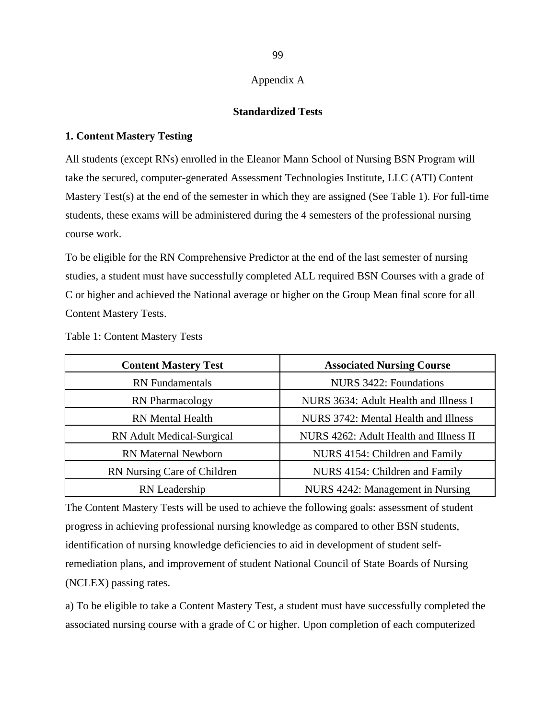## Appendix A

## **Standardized Tests**

## **1. Content Mastery Testing**

All students (except RNs) enrolled in the Eleanor Mann School of Nursing BSN Program will take the secured, computer-generated Assessment Technologies Institute, LLC (ATI) Content Mastery Test(s) at the end of the semester in which they are assigned (See Table 1). For full-time students, these exams will be administered during the 4 semesters of the professional nursing course work.

To be eligible for the RN Comprehensive Predictor at the end of the last semester of nursing studies, a student must have successfully completed ALL required BSN Courses with a grade of C or higher and achieved the National average or higher on the Group Mean final score for all Content Mastery Tests.

| <b>Content Mastery Test</b>      | <b>Associated Nursing Course</b>       |  |  |  |  |  |
|----------------------------------|----------------------------------------|--|--|--|--|--|
| <b>RN</b> Fundamentals           | NURS 3422: Foundations                 |  |  |  |  |  |
| <b>RN</b> Pharmacology           | NURS 3634: Adult Health and Illness I  |  |  |  |  |  |
| <b>RN</b> Mental Health          | NURS 3742: Mental Health and Illness   |  |  |  |  |  |
| <b>RN</b> Adult Medical-Surgical | NURS 4262: Adult Health and Illness II |  |  |  |  |  |
| <b>RN</b> Maternal Newborn       | NURS 4154: Children and Family         |  |  |  |  |  |
| RN Nursing Care of Children      | NURS 4154: Children and Family         |  |  |  |  |  |
| RN Leadership                    | NURS 4242: Management in Nursing       |  |  |  |  |  |

Table 1: Content Mastery Tests

The Content Mastery Tests will be used to achieve the following goals: assessment of student progress in achieving professional nursing knowledge as compared to other BSN students, identification of nursing knowledge deficiencies to aid in development of student selfremediation plans, and improvement of student National Council of State Boards of Nursing (NCLEX) passing rates.

a) To be eligible to take a Content Mastery Test, a student must have successfully completed the associated nursing course with a grade of C or higher. Upon completion of each computerized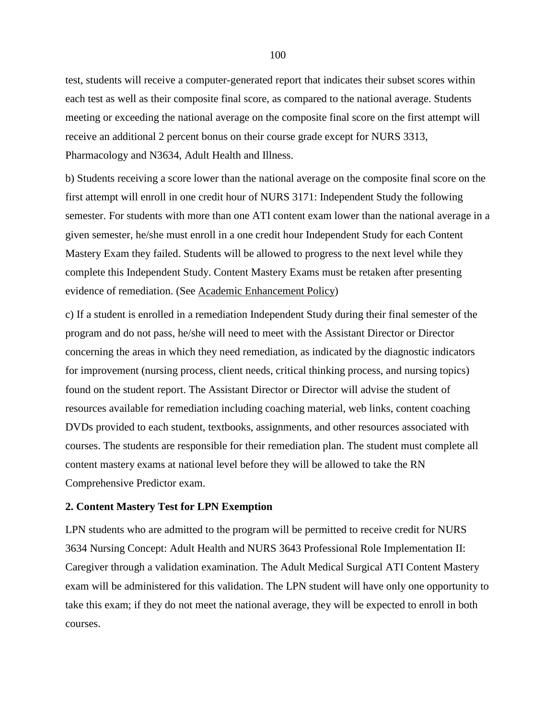test, students will receive a computer-generated report that indicates their subset scores within each test as well as their composite final score, as compared to the national average. Students meeting or exceeding the national average on the composite final score on the first attempt will receive an additional 2 percent bonus on their course grade except for NURS 3313, Pharmacology and N3634, Adult Health and Illness.

b) Students receiving a score lower than the national average on the composite final score on the first attempt will enroll in one credit hour of NURS 3171: Independent Study the following semester. For students with more than one ATI content exam lower than the national average in a given semester, he/she must enroll in a one credit hour Independent Study for each Content Mastery Exam they failed. Students will be allowed to progress to the next level while they complete this Independent Study. Content Mastery Exams must be retaken after presenting evidence of remediation. (See Academic Enhancement Policy)

c) If a student is enrolled in a remediation Independent Study during their final semester of the program and do not pass, he/she will need to meet with the Assistant Director or Director concerning the areas in which they need remediation, as indicated by the diagnostic indicators for improvement (nursing process, client needs, critical thinking process, and nursing topics) found on the student report. The Assistant Director or Director will advise the student of resources available for remediation including coaching material, web links, content coaching DVDs provided to each student, textbooks, assignments, and other resources associated with courses. The students are responsible for their remediation plan. The student must complete all content mastery exams at national level before they will be allowed to take the RN Comprehensive Predictor exam.

### **2. Content Mastery Test for LPN Exemption**

LPN students who are admitted to the program will be permitted to receive credit for NURS 3634 Nursing Concept: Adult Health and NURS 3643 Professional Role Implementation II: Caregiver through a validation examination. The Adult Medical Surgical ATI Content Mastery exam will be administered for this validation. The LPN student will have only one opportunity to take this exam; if they do not meet the national average, they will be expected to enroll in both courses.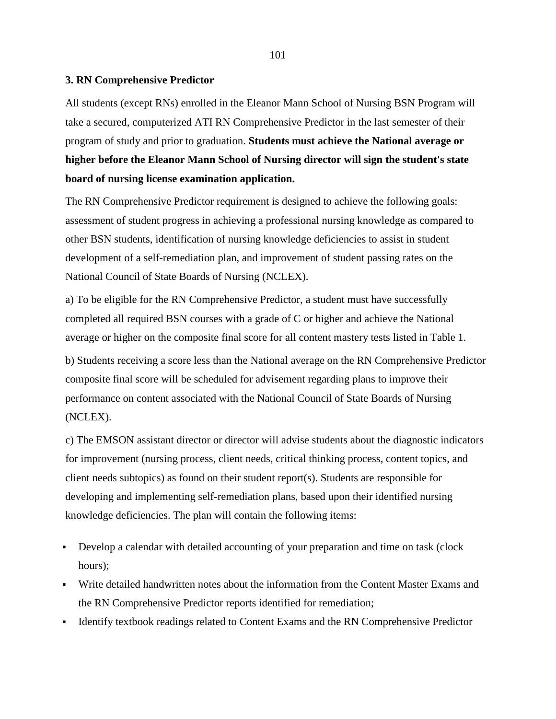#### **3. RN Comprehensive Predictor**

All students (except RNs) enrolled in the Eleanor Mann School of Nursing BSN Program will take a secured, computerized ATI RN Comprehensive Predictor in the last semester of their program of study and prior to graduation. **Students must achieve the National average or higher before the Eleanor Mann School of Nursing director will sign the student's state board of nursing license examination application.**

The RN Comprehensive Predictor requirement is designed to achieve the following goals: assessment of student progress in achieving a professional nursing knowledge as compared to other BSN students, identification of nursing knowledge deficiencies to assist in student development of a self-remediation plan, and improvement of student passing rates on the National Council of State Boards of Nursing (NCLEX).

a) To be eligible for the RN Comprehensive Predictor, a student must have successfully completed all required BSN courses with a grade of C or higher and achieve the National average or higher on the composite final score for all content mastery tests listed in Table 1.

b) Students receiving a score less than the National average on the RN Comprehensive Predictor composite final score will be scheduled for advisement regarding plans to improve their performance on content associated with the National Council of State Boards of Nursing (NCLEX).

c) The EMSON assistant director or director will advise students about the diagnostic indicators for improvement (nursing process, client needs, critical thinking process, content topics, and client needs subtopics) as found on their student report(s). Students are responsible for developing and implementing self-remediation plans, based upon their identified nursing knowledge deficiencies. The plan will contain the following items:

- Develop a calendar with detailed accounting of your preparation and time on task (clock hours);
- Write detailed handwritten notes about the information from the Content Master Exams and the RN Comprehensive Predictor reports identified for remediation;
- Identify textbook readings related to Content Exams and the RN Comprehensive Predictor

101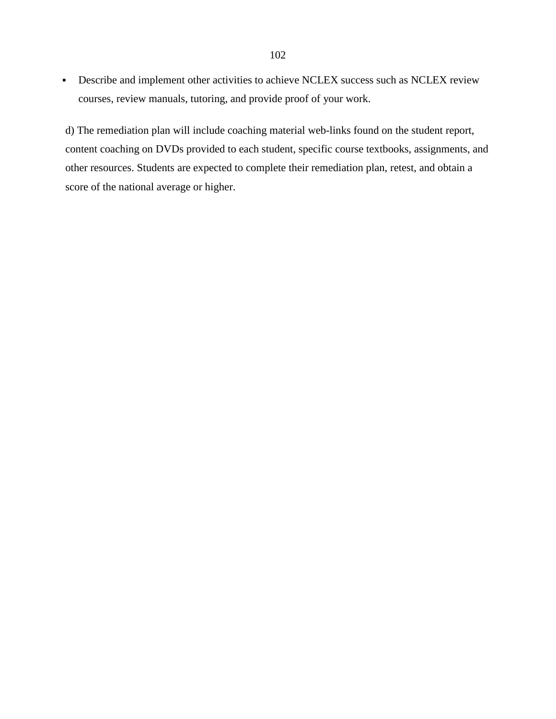Describe and implement other activities to achieve NCLEX success such as NCLEX review courses, review manuals, tutoring, and provide proof of your work.

d) The remediation plan will include coaching material web-links found on the student report, content coaching on DVDs provided to each student, specific course textbooks, assignments, and other resources. Students are expected to complete their remediation plan, retest, and obtain a score of the national average or higher.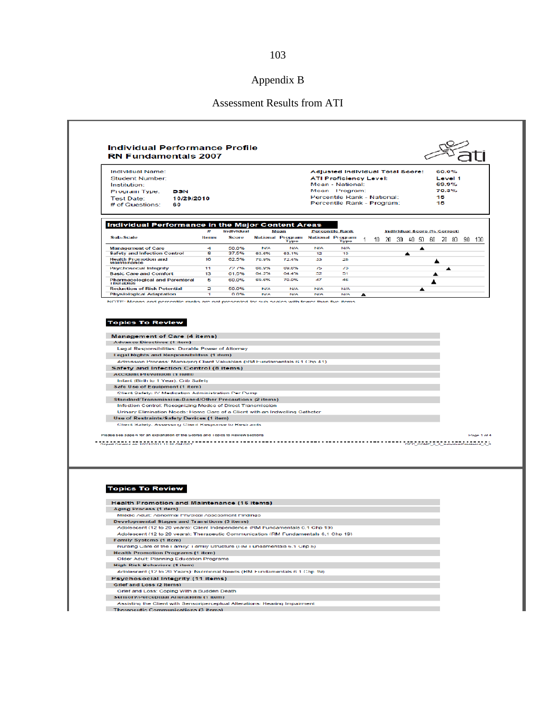# Assessment Results from ATI

|                                                                                                                                                                                                                                                                                                                                                                                                                                                                                                                                                                                                                          | <b>RN Fundamentals 2007</b> |                            |                          |                          |                                   |                                                                                                                                                                     |   |   |   |                                                                |             |
|--------------------------------------------------------------------------------------------------------------------------------------------------------------------------------------------------------------------------------------------------------------------------------------------------------------------------------------------------------------------------------------------------------------------------------------------------------------------------------------------------------------------------------------------------------------------------------------------------------------------------|-----------------------------|----------------------------|--------------------------|--------------------------|-----------------------------------|---------------------------------------------------------------------------------------------------------------------------------------------------------------------|---|---|---|----------------------------------------------------------------|-------------|
| <b>Individual Name:</b><br>Student Number:<br>Institution:<br>Program Type.<br><b>BSN</b><br><b>Test Date:</b><br>10/29/2010                                                                                                                                                                                                                                                                                                                                                                                                                                                                                             |                             |                            |                          |                          |                                   | Adjusted Individual Total Score:<br><b>ATI Proficiency Level:</b><br>Mean - National:<br>Mean Program:<br>Percentile Rank - National:<br>Percentile Rank - Program: |   |   |   | 60.0%<br>Level 1<br>69.9%<br>70.3%<br>15<br>15                 |             |
| # of Questions:<br>60                                                                                                                                                                                                                                                                                                                                                                                                                                                                                                                                                                                                    |                             |                            |                          |                          |                                   |                                                                                                                                                                     |   |   |   |                                                                |             |
| Individual Performance in the Major Content Areas                                                                                                                                                                                                                                                                                                                                                                                                                                                                                                                                                                        |                             |                            |                          |                          |                                   |                                                                                                                                                                     |   |   |   |                                                                |             |
| Sub-Scale                                                                                                                                                                                                                                                                                                                                                                                                                                                                                                                                                                                                                | 雸<br>ltems                  | <b>Individual</b><br>Score |                          | Mean                     | National Program National Program | <b>Percentile Rank</b>                                                                                                                                              | 1 |   |   | Individual Score (% Correct)<br>10 20 30 40 50 60 70 80 90 100 |             |
| <b>Management of Care</b>                                                                                                                                                                                                                                                                                                                                                                                                                                                                                                                                                                                                | 4                           | 50.0%                      | <b>N/A</b>               | <b>Type</b><br>N/A       | N/A                               | Type<br>N/A                                                                                                                                                         |   |   | ▲ |                                                                |             |
| <b>Safety and Infection Control</b>                                                                                                                                                                                                                                                                                                                                                                                                                                                                                                                                                                                      | 8                           | 37.5%                      | 63.6%                    | 63.1%                    | 12                                | 13                                                                                                                                                                  |   | ▲ |   |                                                                |             |
| Health Promotion and<br>Maintenance                                                                                                                                                                                                                                                                                                                                                                                                                                                                                                                                                                                      | 16                          | 62.5%                      | 70.9%                    | 72.4%                    | 33                                | 28                                                                                                                                                                  |   |   |   | ▲                                                              |             |
| Psychosocial Integrity                                                                                                                                                                                                                                                                                                                                                                                                                                                                                                                                                                                                   | 11                          | 17.1%                      | <b>688 99%</b>           | 69.6%                    | 754                               | 73                                                                                                                                                                  |   |   |   |                                                                |             |
| <b>Basic Care and Comfort</b><br><b>Pharmacological and Parenteral</b>                                                                                                                                                                                                                                                                                                                                                                                                                                                                                                                                                   | 13<br>5                     | 61.5%<br>60.0%             | G4.2%<br>69.6%           | G4.4%<br>70.0%           | 52<br>47                          | 51<br>46                                                                                                                                                            |   |   |   | ▲                                                              |             |
| <b>Therapies</b>                                                                                                                                                                                                                                                                                                                                                                                                                                                                                                                                                                                                         |                             | 50.0%                      |                          |                          |                                   |                                                                                                                                                                     |   |   |   | ▴                                                              |             |
| <b>Reduction of Risk Potential</b><br><b>Physiological Adaptation</b>                                                                                                                                                                                                                                                                                                                                                                                                                                                                                                                                                    | 2<br><b>ET</b>              | 0.0%                       | <b>N/A</b><br><b>NIA</b> | <b>N/A</b><br><b>NAA</b> | N/A<br>NIA                        | N/A<br><b>NIA</b>                                                                                                                                                   | ▲ |   | ▲ |                                                                |             |
| NOTE: Means and percentile ranks are not presented for sub-scales with fewer than five items                                                                                                                                                                                                                                                                                                                                                                                                                                                                                                                             |                             |                            |                          |                          |                                   |                                                                                                                                                                     |   |   |   |                                                                |             |
| Admission Process: Managing Client Valuables (RM Fundamentals 6.1 Chp 41)<br><b>Safety and Infection Control (8 items)</b>                                                                                                                                                                                                                                                                                                                                                                                                                                                                                               |                             |                            |                          |                          |                                   |                                                                                                                                                                     |   |   |   |                                                                |             |
| <b>Accident Prevention (1 Item)</b><br>Infant (Birth to 1 Year), Crib Safety<br>Safe Use of Equipment (1 item)<br>Client Safety: IV Medication Administration Per Pump<br>Standard/Transmission-Based/Other Precautions (2 items)<br>Infection Control: Recognizing Modes of Direct Transmission<br>Urinary Elimination Needs: Home Care of a Client with an Indwelling Catheter<br>Use of Restraints/Safety Devices (1 item)<br>Client Safety: Assessing Client Response to Restraints<br>mease see page 4 for an explanation of the Scores and Topics to Review sections<br>Report Created on: 10/24/2011 11:40 AM CDT |                             |                            |                          | ----------------         |                                   |                                                                                                                                                                     |   |   |   | REP_COMP_3_0_IndividualProctored_3_0                           | Page 1 of 4 |
| <b>Topics To Review</b>                                                                                                                                                                                                                                                                                                                                                                                                                                                                                                                                                                                                  |                             |                            |                          |                          |                                   |                                                                                                                                                                     |   |   |   |                                                                |             |
| <b>Health Promotion and Maintenance (16 items)</b><br>Aging Process (1 item)                                                                                                                                                                                                                                                                                                                                                                                                                                                                                                                                             |                             |                            |                          |                          |                                   |                                                                                                                                                                     |   |   |   |                                                                |             |
| Middle Adult: Abnormal Physical Assessment Findings                                                                                                                                                                                                                                                                                                                                                                                                                                                                                                                                                                      |                             |                            |                          |                          |                                   |                                                                                                                                                                     |   |   |   |                                                                |             |
| Developmental Stages and Transitions (3 items)                                                                                                                                                                                                                                                                                                                                                                                                                                                                                                                                                                           |                             |                            |                          |                          |                                   |                                                                                                                                                                     |   |   |   |                                                                |             |
| Adolescent (12 to 20 years): Client Independence (RM Fundamentals 6.1 Chp 19)                                                                                                                                                                                                                                                                                                                                                                                                                                                                                                                                            |                             |                            |                          |                          |                                   |                                                                                                                                                                     |   |   |   |                                                                |             |
| Adolescent (12 to 20 years): Therapeutic Communication (RM Fundamentals 6.1 Chp 19)<br><b>Family Systems (1 item)</b>                                                                                                                                                                                                                                                                                                                                                                                                                                                                                                    |                             |                            |                          |                          |                                   |                                                                                                                                                                     |   |   |   |                                                                |             |
| Nursing Care of the Family: Family Structure (RM Fundamentals 6.1 Chp 5)                                                                                                                                                                                                                                                                                                                                                                                                                                                                                                                                                 |                             |                            |                          |                          |                                   |                                                                                                                                                                     |   |   |   |                                                                |             |
| <b>Health Promotion Programs (1 item)</b>                                                                                                                                                                                                                                                                                                                                                                                                                                                                                                                                                                                |                             |                            |                          |                          |                                   |                                                                                                                                                                     |   |   |   |                                                                |             |
| Older Adult: Planning Education Programs                                                                                                                                                                                                                                                                                                                                                                                                                                                                                                                                                                                 |                             |                            |                          |                          |                                   |                                                                                                                                                                     |   |   |   |                                                                |             |
| <b>High Rick Behaviors (1 item)</b>                                                                                                                                                                                                                                                                                                                                                                                                                                                                                                                                                                                      |                             |                            |                          |                          |                                   |                                                                                                                                                                     |   |   |   |                                                                |             |
| Adolescent (12 to 20 Years): Nutritional Needs (RM Fundamentals 6.1 Chp 19)                                                                                                                                                                                                                                                                                                                                                                                                                                                                                                                                              |                             |                            |                          |                          |                                   |                                                                                                                                                                     |   |   |   |                                                                |             |
| Psychosocial Integrity (11 items)<br>Grief and Loss (2 Items)                                                                                                                                                                                                                                                                                                                                                                                                                                                                                                                                                            |                             |                            |                          |                          |                                   |                                                                                                                                                                     |   |   |   |                                                                |             |
| Grief and Loss: Coping With a Sudden Death<br>Sensory/Perceptual Alterations (1 item)                                                                                                                                                                                                                                                                                                                                                                                                                                                                                                                                    |                             |                            |                          |                          |                                   |                                                                                                                                                                     |   |   |   |                                                                |             |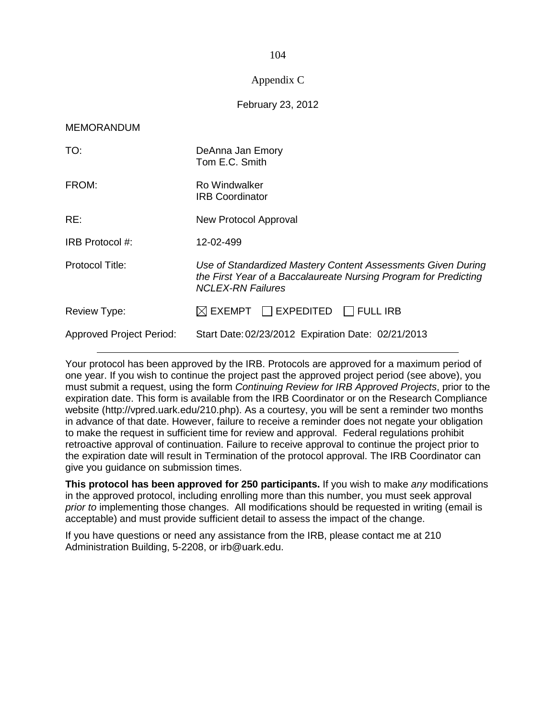# 104

# Appendix C

## February 23, 2012

#### MEMORANDUM

| TO:                             | DeAnna Jan Emory<br>Tom E.C. Smith                                                                                                                           |
|---------------------------------|--------------------------------------------------------------------------------------------------------------------------------------------------------------|
| FROM:                           | Ro Windwalker<br><b>IRB Coordinator</b>                                                                                                                      |
| RE:                             | New Protocol Approval                                                                                                                                        |
| IRB Protocol #:                 | 12-02-499                                                                                                                                                    |
| Protocol Title:                 | Use of Standardized Mastery Content Assessments Given During<br>the First Year of a Baccalaureate Nursing Program for Predicting<br><b>NCLEX-RN Failures</b> |
| Review Type:                    | $\boxtimes$ EXEMPT $\Box$ EXPEDITED $\Box$ FULL IRB                                                                                                          |
| <b>Approved Project Period:</b> | Start Date: 02/23/2012 Expiration Date: 02/21/2013                                                                                                           |

Your protocol has been approved by the IRB. Protocols are approved for a maximum period of one year. If you wish to continue the project past the approved project period (see above), you must submit a request, using the form Continuing Review for IRB Approved Projects, prior to the expiration date. This form is available from the IRB Coordinator or on the Research Compliance website (http://vpred.uark.edu/210.php). As a courtesy, you will be sent a reminder two months in advance of that date. However, failure to receive a reminder does not negate your obligation to make the request in sufficient time for review and approval. Federal regulations prohibit retroactive approval of continuation. Failure to receive approval to continue the project prior to the expiration date will result in Termination of the protocol approval. The IRB Coordinator can give you guidance on submission times.

**This protocol has been approved for 250 participants.** If you wish to make any modifications in the approved protocol, including enrolling more than this number, you must seek approval prior to implementing those changes. All modifications should be requested in writing (email is acceptable) and must provide sufficient detail to assess the impact of the change.

If you have questions or need any assistance from the IRB, please contact me at 210 Administration Building, 5-2208, or irb@uark.edu.